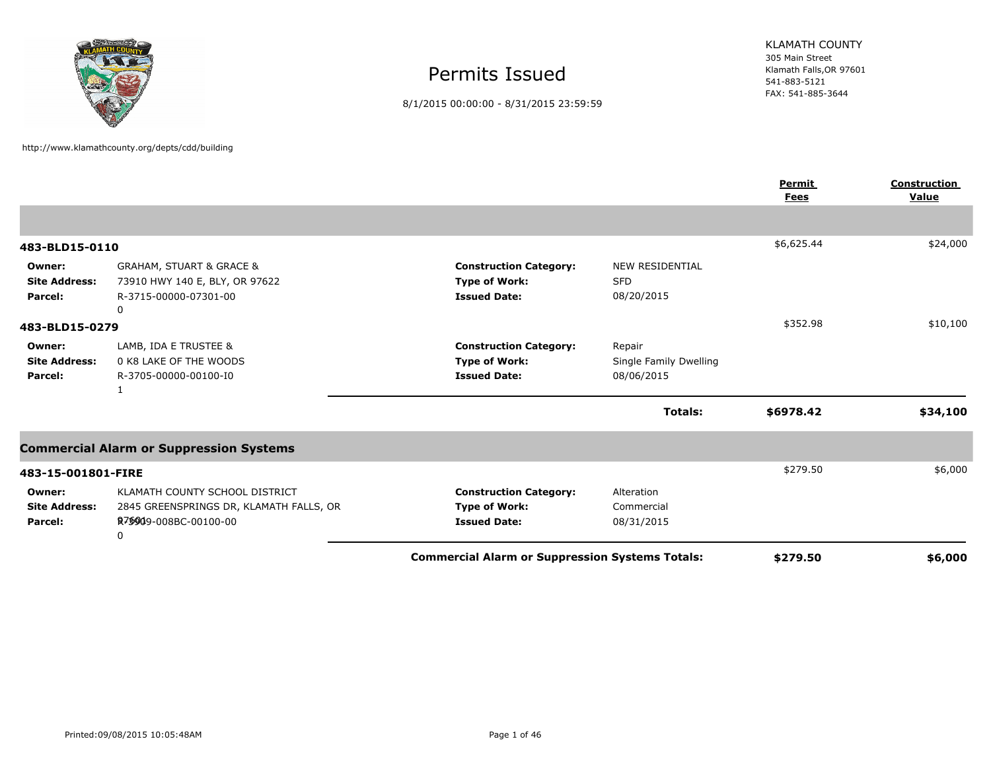

http://www.klamathcounty.org/depts/cdd/building

Permits Issued

8/1/2015 00:00:00 - 8/31/2015 23:59:59

305 Main Street Klamath Falls,OR 97601 541-883-5121 FAX: 541-885-3644 KLAMATH COUNTY

|                                           |                                                                                                                       |                                                                              |                                                    | <b>Permit</b><br><b>Fees</b> | <b>Construction</b><br>Value |
|-------------------------------------------|-----------------------------------------------------------------------------------------------------------------------|------------------------------------------------------------------------------|----------------------------------------------------|------------------------------|------------------------------|
|                                           |                                                                                                                       |                                                                              |                                                    |                              |                              |
| 483-BLD15-0110                            |                                                                                                                       |                                                                              |                                                    | \$6,625.44                   | \$24,000                     |
| Owner:<br><b>Site Address:</b><br>Parcel: | <b>GRAHAM, STUART &amp; GRACE &amp;</b><br>73910 HWY 140 E, BLY, OR 97622<br>R-3715-00000-07301-00<br>0               | <b>Construction Category:</b><br><b>Type of Work:</b><br><b>Issued Date:</b> | <b>NEW RESIDENTIAL</b><br><b>SFD</b><br>08/20/2015 |                              |                              |
| 483-BLD15-0279                            |                                                                                                                       |                                                                              |                                                    | \$352.98                     | \$10,100                     |
| Owner:<br><b>Site Address:</b><br>Parcel: | LAMB, IDA E TRUSTEE &<br>0 K8 LAKE OF THE WOODS<br>R-3705-00000-00100-I0                                              | <b>Construction Category:</b><br><b>Type of Work:</b><br><b>Issued Date:</b> | Repair<br>Single Family Dwelling<br>08/06/2015     |                              |                              |
|                                           |                                                                                                                       |                                                                              | <b>Totals:</b>                                     | \$6978.42                    | \$34,100                     |
|                                           | <b>Commercial Alarm or Suppression Systems</b>                                                                        |                                                                              |                                                    |                              |                              |
| 483-15-001801-FIRE                        |                                                                                                                       |                                                                              |                                                    | \$279.50                     | \$6,000                      |
| Owner:<br><b>Site Address:</b><br>Parcel: | KLAMATH COUNTY SCHOOL DISTRICT<br>2845 GREENSPRINGS DR, KLAMATH FALLS, OR<br>R <sub>7</sub> \$949-008BC-00100-00<br>0 | <b>Construction Category:</b><br><b>Type of Work:</b><br><b>Issued Date:</b> | Alteration<br>Commercial<br>08/31/2015             |                              |                              |
|                                           |                                                                                                                       | <b>Commercial Alarm or Suppression Systems Totals:</b>                       |                                                    | \$279.50                     | \$6,000                      |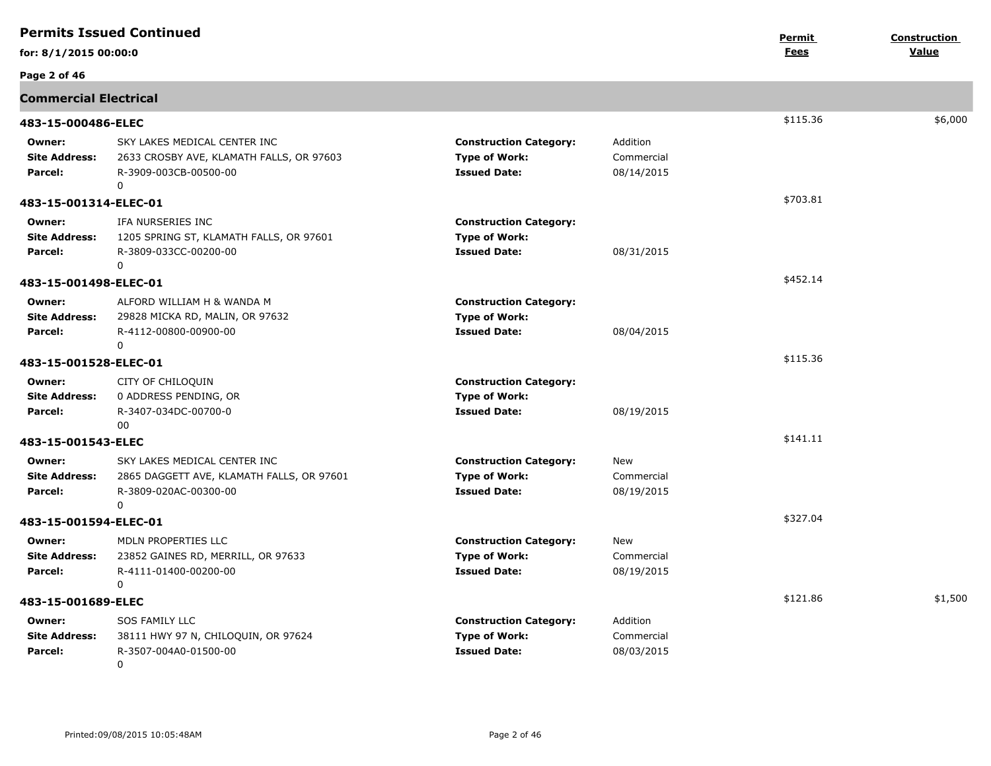|                                           | <b>Permits Issued Continued</b>                                                                               |                                                                              |                                      | Permit   | Construction |
|-------------------------------------------|---------------------------------------------------------------------------------------------------------------|------------------------------------------------------------------------------|--------------------------------------|----------|--------------|
| for: 8/1/2015 00:00:0                     |                                                                                                               |                                                                              |                                      | Fees     | Value        |
| Page 2 of 46                              |                                                                                                               |                                                                              |                                      |          |              |
| <b>Commercial Electrical</b>              |                                                                                                               |                                                                              |                                      |          |              |
| 483-15-000486-ELEC                        |                                                                                                               |                                                                              |                                      | \$115.36 | \$6,000      |
| Owner:<br><b>Site Address:</b><br>Parcel: | SKY LAKES MEDICAL CENTER INC<br>2633 CROSBY AVE, KLAMATH FALLS, OR 97603<br>R-3909-003CB-00500-00<br>$\Omega$ | <b>Construction Category:</b><br><b>Type of Work:</b><br><b>Issued Date:</b> | Addition<br>Commercial<br>08/14/2015 |          |              |
| 483-15-001314-ELEC-01                     |                                                                                                               |                                                                              |                                      | \$703.81 |              |
| Owner:<br><b>Site Address:</b><br>Parcel: | IFA NURSERIES INC<br>1205 SPRING ST, KLAMATH FALLS, OR 97601<br>R-3809-033CC-00200-00<br>0                    | <b>Construction Category:</b><br><b>Type of Work:</b><br><b>Issued Date:</b> | 08/31/2015                           |          |              |
| 483-15-001498-ELEC-01                     |                                                                                                               |                                                                              |                                      | \$452.14 |              |
| Owner:<br><b>Site Address:</b><br>Parcel: | ALFORD WILLIAM H & WANDA M<br>29828 MICKA RD, MALIN, OR 97632<br>R-4112-00800-00900-00<br>0                   | <b>Construction Category:</b><br><b>Type of Work:</b><br><b>Issued Date:</b> | 08/04/2015                           |          |              |
| 483-15-001528-ELEC-01                     |                                                                                                               |                                                                              |                                      | \$115.36 |              |
| Owner:<br><b>Site Address:</b><br>Parcel: | CITY OF CHILOQUIN<br>0 ADDRESS PENDING, OR<br>R-3407-034DC-00700-0<br>00                                      | <b>Construction Category:</b><br><b>Type of Work:</b><br><b>Issued Date:</b> | 08/19/2015                           |          |              |
| 483-15-001543-ELEC                        |                                                                                                               |                                                                              |                                      | \$141.11 |              |
| Owner:<br><b>Site Address:</b><br>Parcel: | SKY LAKES MEDICAL CENTER INC<br>2865 DAGGETT AVE, KLAMATH FALLS, OR 97601<br>R-3809-020AC-00300-00<br>0       | <b>Construction Category:</b><br><b>Type of Work:</b><br><b>Issued Date:</b> | New<br>Commercial<br>08/19/2015      |          |              |
| 483-15-001594-ELEC-01                     |                                                                                                               |                                                                              |                                      | \$327.04 |              |
| Owner:<br><b>Site Address:</b><br>Parcel: | MDLN PROPERTIES LLC<br>23852 GAINES RD, MERRILL, OR 97633<br>R-4111-01400-00200-00<br>$\Omega$                | <b>Construction Category:</b><br><b>Type of Work:</b><br><b>Issued Date:</b> | New<br>Commercial<br>08/19/2015      |          |              |
| 483-15-001689-ELEC                        |                                                                                                               |                                                                              |                                      | \$121.86 | \$1,500      |
| Owner:<br><b>Site Address:</b><br>Parcel: | <b>SOS FAMILY LLC</b><br>38111 HWY 97 N, CHILOQUIN, OR 97624<br>R-3507-004A0-01500-00<br>$\Omega$             | <b>Construction Category:</b><br><b>Type of Work:</b><br><b>Issued Date:</b> | Addition<br>Commercial<br>08/03/2015 |          |              |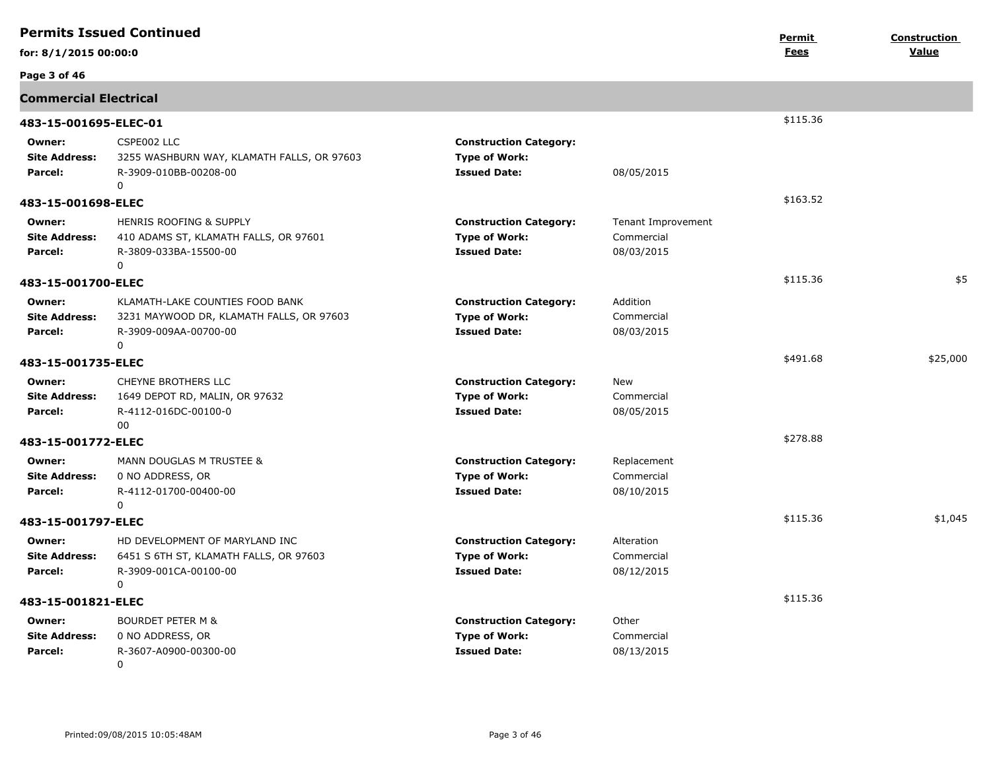|                                           | <b>Permits Issued Continued</b>                                                                                      |                                                                              |                                                | Permit      | Construction |
|-------------------------------------------|----------------------------------------------------------------------------------------------------------------------|------------------------------------------------------------------------------|------------------------------------------------|-------------|--------------|
| for: 8/1/2015 00:00:0                     |                                                                                                                      |                                                                              |                                                | <u>Fees</u> | Value        |
| Page 3 of 46                              |                                                                                                                      |                                                                              |                                                |             |              |
| <b>Commercial Electrical</b>              |                                                                                                                      |                                                                              |                                                |             |              |
| 483-15-001695-ELEC-01                     |                                                                                                                      |                                                                              |                                                | \$115.36    |              |
| Owner:<br><b>Site Address:</b><br>Parcel: | CSPE002 LLC<br>3255 WASHBURN WAY, KLAMATH FALLS, OR 97603<br>R-3909-010BB-00208-00<br>0                              | <b>Construction Category:</b><br><b>Type of Work:</b><br><b>Issued Date:</b> | 08/05/2015                                     |             |              |
| 483-15-001698-ELEC                        |                                                                                                                      |                                                                              |                                                | \$163.52    |              |
| Owner:<br><b>Site Address:</b><br>Parcel: | <b>HENRIS ROOFING &amp; SUPPLY</b><br>410 ADAMS ST, KLAMATH FALLS, OR 97601<br>R-3809-033BA-15500-00<br>$\mathbf 0$  | <b>Construction Category:</b><br><b>Type of Work:</b><br><b>Issued Date:</b> | Tenant Improvement<br>Commercial<br>08/03/2015 |             |              |
| 483-15-001700-ELEC                        |                                                                                                                      |                                                                              |                                                | \$115.36    | \$5          |
| Owner:<br><b>Site Address:</b><br>Parcel: | KLAMATH-LAKE COUNTIES FOOD BANK<br>3231 MAYWOOD DR, KLAMATH FALLS, OR 97603<br>R-3909-009AA-00700-00<br>$\mathbf{0}$ | <b>Construction Category:</b><br><b>Type of Work:</b><br><b>Issued Date:</b> | Addition<br>Commercial<br>08/03/2015           |             |              |
| 483-15-001735-ELEC                        |                                                                                                                      |                                                                              |                                                | \$491.68    | \$25,000     |
| Owner:<br><b>Site Address:</b><br>Parcel: | CHEYNE BROTHERS LLC<br>1649 DEPOT RD, MALIN, OR 97632<br>R-4112-016DC-00100-0<br>00                                  | <b>Construction Category:</b><br><b>Type of Work:</b><br><b>Issued Date:</b> | New<br>Commercial<br>08/05/2015                |             |              |
| 483-15-001772-ELEC                        |                                                                                                                      |                                                                              |                                                | \$278.88    |              |
| Owner:<br><b>Site Address:</b><br>Parcel: | MANN DOUGLAS M TRUSTEE &<br>0 NO ADDRESS, OR<br>R-4112-01700-00400-00<br>0                                           | <b>Construction Category:</b><br><b>Type of Work:</b><br><b>Issued Date:</b> | Replacement<br>Commercial<br>08/10/2015        |             |              |
| 483-15-001797-ELEC                        |                                                                                                                      |                                                                              |                                                | \$115.36    | \$1,045      |
| Owner:<br><b>Site Address:</b><br>Parcel: | HD DEVELOPMENT OF MARYLAND INC<br>6451 S 6TH ST, KLAMATH FALLS, OR 97603<br>R-3909-001CA-00100-00<br>$\Omega$        | <b>Construction Category:</b><br><b>Type of Work:</b><br><b>Issued Date:</b> | Alteration<br>Commercial<br>08/12/2015         |             |              |
| 483-15-001821-ELEC                        |                                                                                                                      |                                                                              |                                                | \$115.36    |              |
| Owner:<br><b>Site Address:</b><br>Parcel: | <b>BOURDET PETER M &amp;</b><br>0 NO ADDRESS, OR<br>R-3607-A0900-00300-00<br>$\Omega$                                | <b>Construction Category:</b><br><b>Type of Work:</b><br><b>Issued Date:</b> | Other<br>Commercial<br>08/13/2015              |             |              |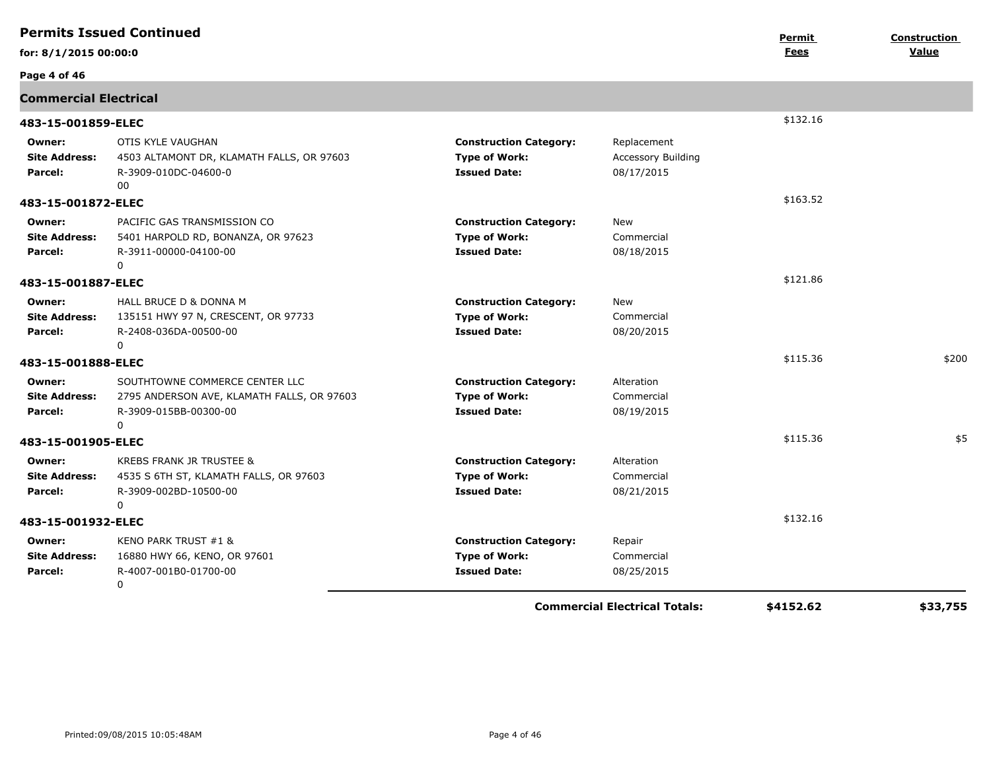|                                           | <b>Permits Issued Continued</b>                                                                                   |                                                                              |                                                 | Permit    | Construction |
|-------------------------------------------|-------------------------------------------------------------------------------------------------------------------|------------------------------------------------------------------------------|-------------------------------------------------|-----------|--------------|
| for: 8/1/2015 00:00:0                     |                                                                                                                   |                                                                              |                                                 | Fees      | Value        |
| Page 4 of 46                              |                                                                                                                   |                                                                              |                                                 |           |              |
| <b>Commercial Electrical</b>              |                                                                                                                   |                                                                              |                                                 |           |              |
| 483-15-001859-ELEC                        |                                                                                                                   |                                                                              |                                                 | \$132.16  |              |
| Owner:<br><b>Site Address:</b><br>Parcel: | OTIS KYLE VAUGHAN<br>4503 ALTAMONT DR, KLAMATH FALLS, OR 97603<br>R-3909-010DC-04600-0<br>00                      | <b>Construction Category:</b><br><b>Type of Work:</b><br><b>Issued Date:</b> | Replacement<br>Accessory Building<br>08/17/2015 |           |              |
| 483-15-001872-ELEC                        |                                                                                                                   |                                                                              |                                                 | \$163.52  |              |
| Owner:<br><b>Site Address:</b><br>Parcel: | PACIFIC GAS TRANSMISSION CO<br>5401 HARPOLD RD, BONANZA, OR 97623<br>R-3911-00000-04100-00<br>$\Omega$            | <b>Construction Category:</b><br><b>Type of Work:</b><br><b>Issued Date:</b> | New<br>Commercial<br>08/18/2015                 |           |              |
| 483-15-001887-ELEC                        |                                                                                                                   |                                                                              |                                                 | \$121.86  |              |
| Owner:<br><b>Site Address:</b><br>Parcel: | HALL BRUCE D & DONNA M<br>135151 HWY 97 N, CRESCENT, OR 97733<br>R-2408-036DA-00500-00<br>$\mathbf{0}$            | <b>Construction Category:</b><br><b>Type of Work:</b><br><b>Issued Date:</b> | New<br>Commercial<br>08/20/2015                 |           |              |
| 483-15-001888-ELEC                        |                                                                                                                   |                                                                              |                                                 | \$115.36  | \$200        |
| Owner:<br><b>Site Address:</b><br>Parcel: | SOUTHTOWNE COMMERCE CENTER LLC<br>2795 ANDERSON AVE, KLAMATH FALLS, OR 97603<br>R-3909-015BB-00300-00<br>$\Omega$ | <b>Construction Category:</b><br><b>Type of Work:</b><br><b>Issued Date:</b> | Alteration<br>Commercial<br>08/19/2015          |           |              |
| 483-15-001905-ELEC                        |                                                                                                                   |                                                                              |                                                 | \$115.36  | \$5          |
| Owner:<br><b>Site Address:</b><br>Parcel: | KREBS FRANK JR TRUSTEE &<br>4535 S 6TH ST, KLAMATH FALLS, OR 97603<br>R-3909-002BD-10500-00<br>$\Omega$           | <b>Construction Category:</b><br><b>Type of Work:</b><br><b>Issued Date:</b> | Alteration<br>Commercial<br>08/21/2015          |           |              |
| 483-15-001932-ELEC                        |                                                                                                                   |                                                                              |                                                 | \$132.16  |              |
| Owner:<br><b>Site Address:</b><br>Parcel: | KENO PARK TRUST #1 &<br>16880 HWY 66, KENO, OR 97601<br>R-4007-001B0-01700-00<br>0                                | <b>Construction Category:</b><br><b>Type of Work:</b><br><b>Issued Date:</b> | Repair<br>Commercial<br>08/25/2015              |           |              |
|                                           |                                                                                                                   |                                                                              | <b>Commercial Electrical Totals:</b>            | \$4152.62 | \$33,755     |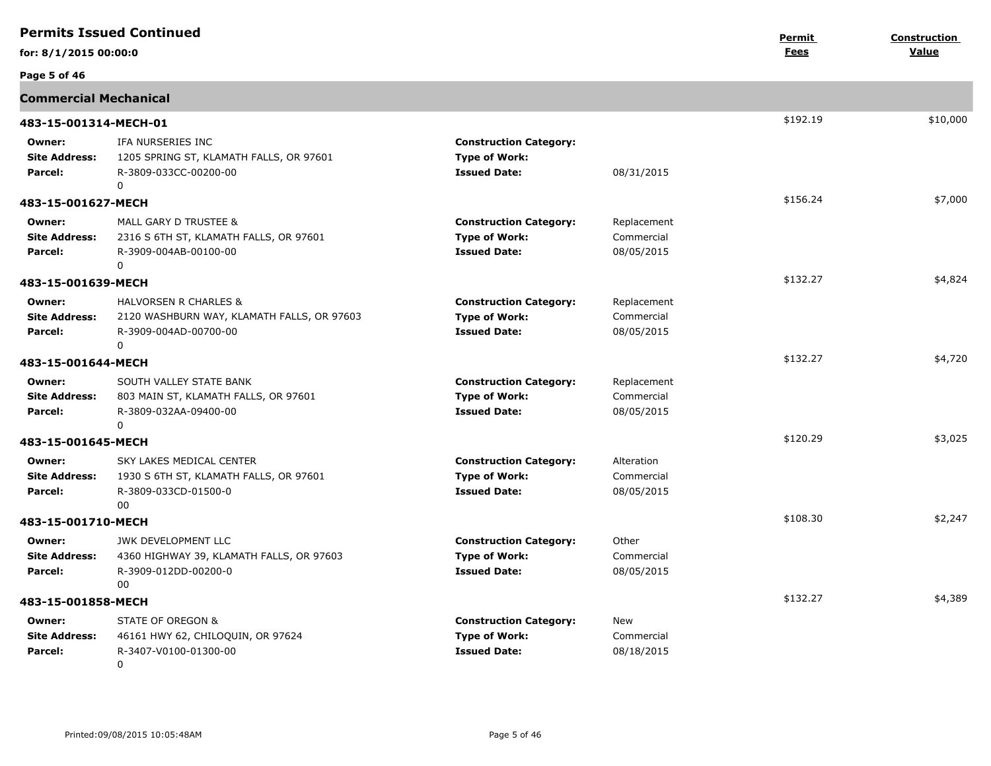|                                           | <b>Permits Issued Continued</b>                                                                          |                                                                              |                                         | Permit   | Construction |
|-------------------------------------------|----------------------------------------------------------------------------------------------------------|------------------------------------------------------------------------------|-----------------------------------------|----------|--------------|
| for: 8/1/2015 00:00:0                     |                                                                                                          |                                                                              |                                         | Fees     | Value        |
| Page 5 of 46                              |                                                                                                          |                                                                              |                                         |          |              |
| <b>Commercial Mechanical</b>              |                                                                                                          |                                                                              |                                         |          |              |
| 483-15-001314-MECH-01                     |                                                                                                          |                                                                              |                                         | \$192.19 | \$10,000     |
| Owner:<br><b>Site Address:</b><br>Parcel: | IFA NURSERIES INC<br>1205 SPRING ST, KLAMATH FALLS, OR 97601<br>R-3809-033CC-00200-00<br>$\mathbf{0}$    | <b>Construction Category:</b><br><b>Type of Work:</b><br><b>Issued Date:</b> | 08/31/2015                              |          |              |
| 483-15-001627-MECH                        |                                                                                                          |                                                                              |                                         | \$156.24 | \$7,000      |
| Owner:<br><b>Site Address:</b><br>Parcel: | MALL GARY D TRUSTEE &<br>2316 S 6TH ST, KLAMATH FALLS, OR 97601<br>R-3909-004AB-00100-00<br>$\mathbf 0$  | <b>Construction Category:</b><br><b>Type of Work:</b><br><b>Issued Date:</b> | Replacement<br>Commercial<br>08/05/2015 |          |              |
| 483-15-001639-MECH                        |                                                                                                          |                                                                              |                                         | \$132.27 | \$4,824      |
| Owner:<br><b>Site Address:</b><br>Parcel: | HALVORSEN R CHARLES &<br>2120 WASHBURN WAY, KLAMATH FALLS, OR 97603<br>R-3909-004AD-00700-00<br>$\Omega$ | <b>Construction Category:</b><br><b>Type of Work:</b><br><b>Issued Date:</b> | Replacement<br>Commercial<br>08/05/2015 |          |              |
| 483-15-001644-MECH                        |                                                                                                          |                                                                              |                                         | \$132.27 | \$4,720      |
| Owner:<br><b>Site Address:</b><br>Parcel: | SOUTH VALLEY STATE BANK<br>803 MAIN ST, KLAMATH FALLS, OR 97601<br>R-3809-032AA-09400-00<br>$\Omega$     | <b>Construction Category:</b><br><b>Type of Work:</b><br><b>Issued Date:</b> | Replacement<br>Commercial<br>08/05/2015 |          |              |
| 483-15-001645-MECH                        |                                                                                                          |                                                                              |                                         | \$120.29 | \$3,025      |
| Owner:<br><b>Site Address:</b><br>Parcel: | SKY LAKES MEDICAL CENTER<br>1930 S 6TH ST, KLAMATH FALLS, OR 97601<br>R-3809-033CD-01500-0<br>00         | <b>Construction Category:</b><br><b>Type of Work:</b><br><b>Issued Date:</b> | Alteration<br>Commercial<br>08/05/2015  |          |              |
| 483-15-001710-MECH                        |                                                                                                          |                                                                              |                                         | \$108.30 | \$2,247      |
| Owner:<br><b>Site Address:</b><br>Parcel: | JWK DEVELOPMENT LLC<br>4360 HIGHWAY 39, KLAMATH FALLS, OR 97603<br>R-3909-012DD-00200-0<br>00            | <b>Construction Category:</b><br><b>Type of Work:</b><br><b>Issued Date:</b> | Other<br>Commercial<br>08/05/2015       |          |              |
| 483-15-001858-MECH                        |                                                                                                          |                                                                              |                                         | \$132.27 | \$4,389      |
| Owner:<br><b>Site Address:</b><br>Parcel: | STATE OF OREGON &<br>46161 HWY 62, CHILOQUIN, OR 97624<br>R-3407-V0100-01300-00<br>$\mathbf 0$           | <b>Construction Category:</b><br><b>Type of Work:</b><br><b>Issued Date:</b> | New<br>Commercial<br>08/18/2015         |          |              |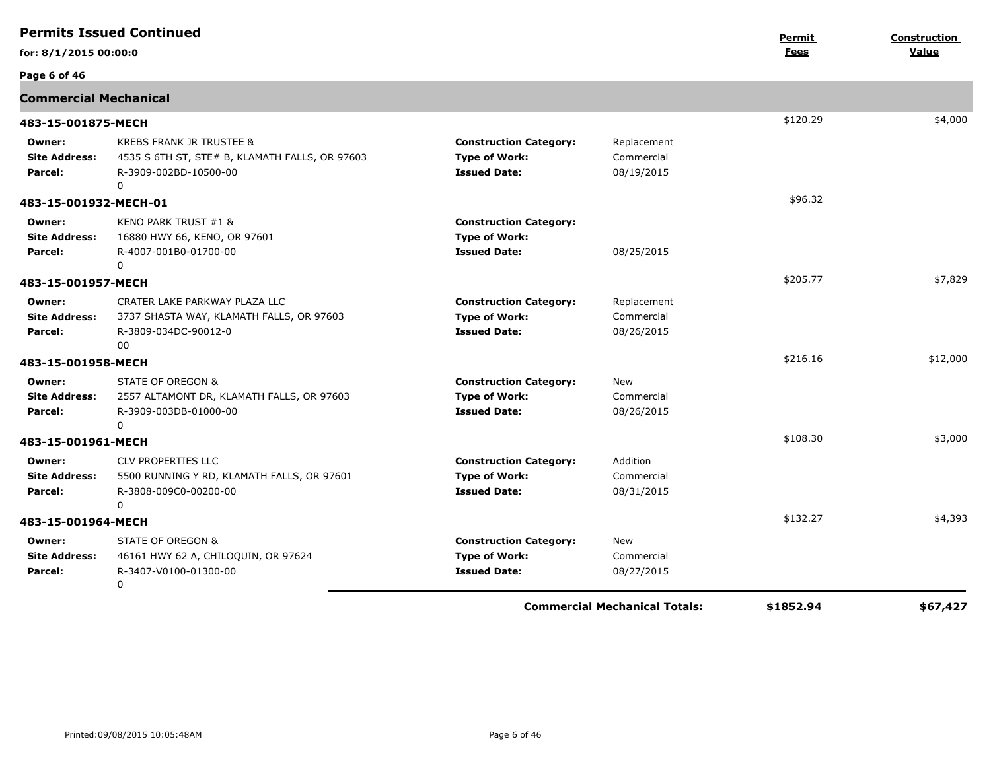| <b>Permits Issued Continued</b>           |                                                                                                                 |                                                                              | Permit                                  | Construction |          |
|-------------------------------------------|-----------------------------------------------------------------------------------------------------------------|------------------------------------------------------------------------------|-----------------------------------------|--------------|----------|
| for: 8/1/2015 00:00:0                     |                                                                                                                 |                                                                              |                                         | <b>Fees</b>  | Value    |
| Page 6 of 46                              |                                                                                                                 |                                                                              |                                         |              |          |
| <b>Commercial Mechanical</b>              |                                                                                                                 |                                                                              |                                         |              |          |
| 483-15-001875-MECH                        |                                                                                                                 |                                                                              |                                         | \$120.29     | \$4,000  |
| Owner:<br><b>Site Address:</b><br>Parcel: | KREBS FRANK JR TRUSTEE &<br>4535 S 6TH ST, STE# B, KLAMATH FALLS, OR 97603<br>R-3909-002BD-10500-00<br>$\Omega$ | <b>Construction Category:</b><br><b>Type of Work:</b><br><b>Issued Date:</b> | Replacement<br>Commercial<br>08/19/2015 |              |          |
| 483-15-001932-MECH-01                     |                                                                                                                 |                                                                              |                                         | \$96.32      |          |
| Owner:<br><b>Site Address:</b><br>Parcel: | KENO PARK TRUST #1 &<br>16880 HWY 66, KENO, OR 97601<br>R-4007-001B0-01700-00<br>$\Omega$                       | <b>Construction Category:</b><br><b>Type of Work:</b><br><b>Issued Date:</b> | 08/25/2015                              |              |          |
| 483-15-001957-MECH                        |                                                                                                                 |                                                                              |                                         | \$205.77     | \$7,829  |
| Owner:<br><b>Site Address:</b><br>Parcel: | CRATER LAKE PARKWAY PLAZA LLC<br>3737 SHASTA WAY, KLAMATH FALLS, OR 97603<br>R-3809-034DC-90012-0<br>00         | <b>Construction Category:</b><br><b>Type of Work:</b><br><b>Issued Date:</b> | Replacement<br>Commercial<br>08/26/2015 |              |          |
| 483-15-001958-MECH                        |                                                                                                                 |                                                                              |                                         | \$216.16     | \$12,000 |
| Owner:<br><b>Site Address:</b><br>Parcel: | STATE OF OREGON &<br>2557 ALTAMONT DR, KLAMATH FALLS, OR 97603<br>R-3909-003DB-01000-00<br>$\Omega$             | <b>Construction Category:</b><br><b>Type of Work:</b><br><b>Issued Date:</b> | New<br>Commercial<br>08/26/2015         |              |          |
| 483-15-001961-MECH                        |                                                                                                                 |                                                                              |                                         | \$108.30     | \$3,000  |
| Owner:<br><b>Site Address:</b><br>Parcel: | CLV PROPERTIES LLC<br>5500 RUNNING Y RD, KLAMATH FALLS, OR 97601<br>R-3808-009C0-00200-00<br>0                  | <b>Construction Category:</b><br><b>Type of Work:</b><br><b>Issued Date:</b> | Addition<br>Commercial<br>08/31/2015    |              |          |
| 483-15-001964-MECH                        |                                                                                                                 |                                                                              |                                         | \$132.27     | \$4,393  |
| Owner:<br><b>Site Address:</b><br>Parcel: | STATE OF OREGON &<br>46161 HWY 62 A, CHILOQUIN, OR 97624<br>R-3407-V0100-01300-00<br>$\mathbf 0$                | <b>Construction Category:</b><br><b>Type of Work:</b><br><b>Issued Date:</b> | <b>New</b><br>Commercial<br>08/27/2015  |              |          |
|                                           |                                                                                                                 |                                                                              | <b>Commercial Mechanical Totals:</b>    | \$1852.94    | \$67,427 |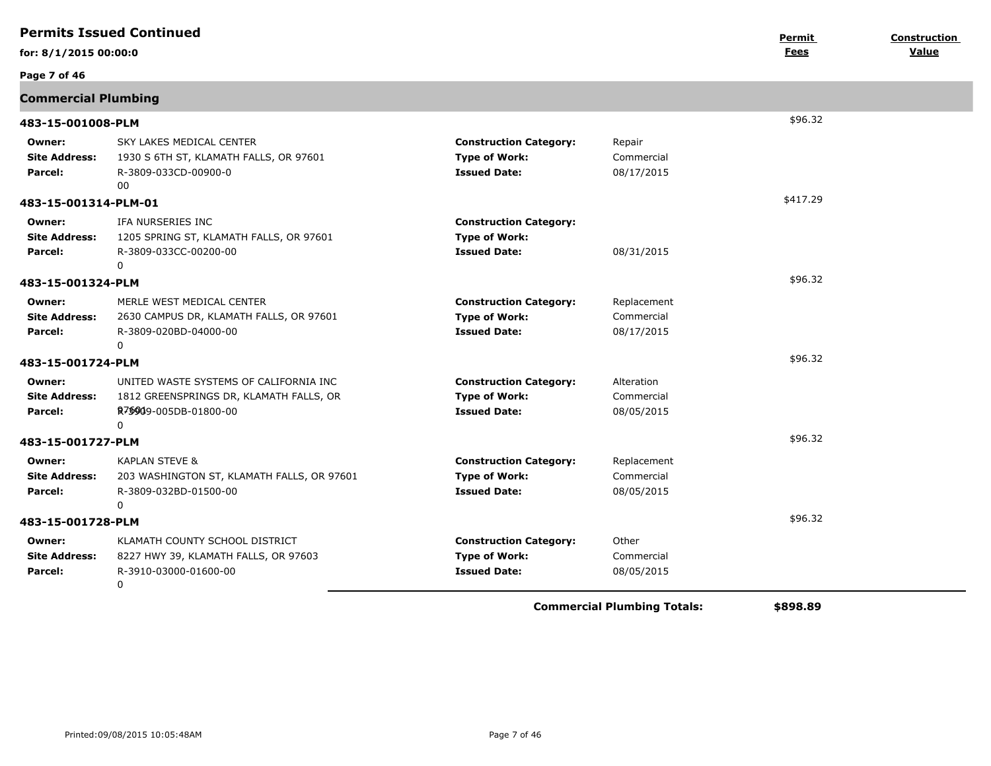| <b>Permits Issued Continued</b>           |                                                                                                                  |                                                                              |                                         |                       | Construction |
|-------------------------------------------|------------------------------------------------------------------------------------------------------------------|------------------------------------------------------------------------------|-----------------------------------------|-----------------------|--------------|
| for: 8/1/2015 00:00:0                     |                                                                                                                  |                                                                              |                                         | Permit<br><b>Fees</b> | Value        |
| Page 7 of 46                              |                                                                                                                  |                                                                              |                                         |                       |              |
| <b>Commercial Plumbing</b>                |                                                                                                                  |                                                                              |                                         |                       |              |
| 483-15-001008-PLM                         |                                                                                                                  |                                                                              |                                         | \$96.32               |              |
| Owner:<br><b>Site Address:</b><br>Parcel: | SKY LAKES MEDICAL CENTER<br>1930 S 6TH ST, KLAMATH FALLS, OR 97601<br>R-3809-033CD-00900-0<br>00                 | <b>Construction Category:</b><br><b>Type of Work:</b><br><b>Issued Date:</b> | Repair<br>Commercial<br>08/17/2015      |                       |              |
| 483-15-001314-PLM-01                      |                                                                                                                  |                                                                              |                                         | \$417.29              |              |
| Owner:<br><b>Site Address:</b><br>Parcel: | IFA NURSERIES INC<br>1205 SPRING ST, KLAMATH FALLS, OR 97601<br>R-3809-033CC-00200-00<br>$\Omega$                | <b>Construction Category:</b><br><b>Type of Work:</b><br><b>Issued Date:</b> | 08/31/2015                              |                       |              |
| 483-15-001324-PLM                         |                                                                                                                  |                                                                              |                                         | \$96.32               |              |
| Owner:<br><b>Site Address:</b><br>Parcel: | MERLE WEST MEDICAL CENTER<br>2630 CAMPUS DR, KLAMATH FALLS, OR 97601<br>R-3809-020BD-04000-00<br>$\Omega$        | <b>Construction Category:</b><br><b>Type of Work:</b><br><b>Issued Date:</b> | Replacement<br>Commercial<br>08/17/2015 |                       |              |
| 483-15-001724-PLM                         |                                                                                                                  |                                                                              |                                         | \$96.32               |              |
| Owner:<br><b>Site Address:</b><br>Parcel: | UNITED WASTE SYSTEMS OF CALIFORNIA INC<br>1812 GREENSPRINGS DR, KLAMATH FALLS, OR<br>R7\$909-005DB-01800-00<br>0 | <b>Construction Category:</b><br><b>Type of Work:</b><br><b>Issued Date:</b> | Alteration<br>Commercial<br>08/05/2015  |                       |              |
| 483-15-001727-PLM                         |                                                                                                                  |                                                                              |                                         | \$96.32               |              |
| Owner:<br><b>Site Address:</b><br>Parcel: | KAPLAN STEVE &<br>203 WASHINGTON ST, KLAMATH FALLS, OR 97601<br>R-3809-032BD-01500-00<br>0                       | <b>Construction Category:</b><br><b>Type of Work:</b><br><b>Issued Date:</b> | Replacement<br>Commercial<br>08/05/2015 |                       |              |
| 483-15-001728-PLM                         |                                                                                                                  |                                                                              |                                         | \$96.32               |              |
| Owner:<br><b>Site Address:</b><br>Parcel: | KLAMATH COUNTY SCHOOL DISTRICT<br>8227 HWY 39, KLAMATH FALLS, OR 97603<br>R-3910-03000-01600-00<br>0             | <b>Construction Category:</b><br><b>Type of Work:</b><br><b>Issued Date:</b> | Other<br>Commercial<br>08/05/2015       |                       |              |
|                                           |                                                                                                                  |                                                                              | Concerted Bloodships Tatalor            | $\lambda$ 000.00      |              |

**Commercial Plumbing Totals: \$898.89**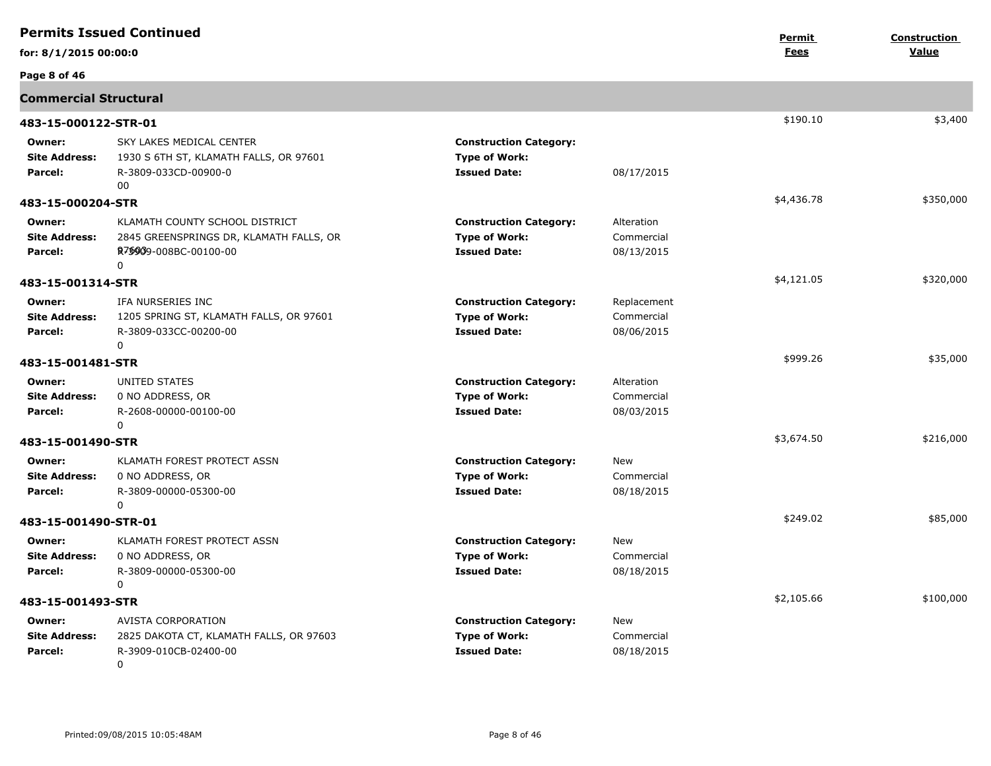| <b>Permits Issued Continued</b>           |                                                                                                                                 |                                                                              | Permit                                  | <b>Construction</b> |           |
|-------------------------------------------|---------------------------------------------------------------------------------------------------------------------------------|------------------------------------------------------------------------------|-----------------------------------------|---------------------|-----------|
| for: 8/1/2015 00:00:0                     |                                                                                                                                 |                                                                              |                                         | Fees                | Value     |
| Page 8 of 46                              |                                                                                                                                 |                                                                              |                                         |                     |           |
| <b>Commercial Structural</b>              |                                                                                                                                 |                                                                              |                                         |                     |           |
| 483-15-000122-STR-01                      |                                                                                                                                 |                                                                              |                                         | \$190.10            | \$3,400   |
| Owner:<br><b>Site Address:</b><br>Parcel: | SKY LAKES MEDICAL CENTER<br>1930 S 6TH ST, KLAMATH FALLS, OR 97601<br>R-3809-033CD-00900-0<br>00                                | <b>Construction Category:</b><br><b>Type of Work:</b><br><b>Issued Date:</b> | 08/17/2015                              |                     |           |
| 483-15-000204-STR                         |                                                                                                                                 |                                                                              |                                         | \$4,436.78          | \$350,000 |
| Owner:<br><b>Site Address:</b><br>Parcel: | KLAMATH COUNTY SCHOOL DISTRICT<br>2845 GREENSPRINGS DR, KLAMATH FALLS, OR<br>R <sub>7</sub> \$909-008BC-00100-00<br>$\mathbf 0$ | <b>Construction Category:</b><br><b>Type of Work:</b><br><b>Issued Date:</b> | Alteration<br>Commercial<br>08/13/2015  |                     |           |
| 483-15-001314-STR                         |                                                                                                                                 |                                                                              |                                         | \$4,121.05          | \$320,000 |
| Owner:<br><b>Site Address:</b><br>Parcel: | IFA NURSERIES INC<br>1205 SPRING ST, KLAMATH FALLS, OR 97601<br>R-3809-033CC-00200-00<br>0                                      | <b>Construction Category:</b><br><b>Type of Work:</b><br><b>Issued Date:</b> | Replacement<br>Commercial<br>08/06/2015 |                     |           |
| 483-15-001481-STR                         |                                                                                                                                 |                                                                              |                                         | \$999.26            | \$35,000  |
| Owner:<br><b>Site Address:</b><br>Parcel: | UNITED STATES<br>0 NO ADDRESS, OR<br>R-2608-00000-00100-00<br>$\mathbf{0}$                                                      | <b>Construction Category:</b><br><b>Type of Work:</b><br><b>Issued Date:</b> | Alteration<br>Commercial<br>08/03/2015  |                     |           |
| 483-15-001490-STR                         |                                                                                                                                 |                                                                              |                                         | \$3,674.50          | \$216,000 |
| Owner:<br><b>Site Address:</b><br>Parcel: | KLAMATH FOREST PROTECT ASSN<br>0 NO ADDRESS, OR<br>R-3809-00000-05300-00<br>0                                                   | <b>Construction Category:</b><br><b>Type of Work:</b><br><b>Issued Date:</b> | <b>New</b><br>Commercial<br>08/18/2015  |                     |           |
| 483-15-001490-STR-01                      |                                                                                                                                 |                                                                              |                                         | \$249.02            | \$85,000  |
| Owner:<br><b>Site Address:</b><br>Parcel: | KLAMATH FOREST PROTECT ASSN<br>0 NO ADDRESS, OR<br>R-3809-00000-05300-00<br>$\Omega$                                            | <b>Construction Category:</b><br><b>Type of Work:</b><br><b>Issued Date:</b> | <b>New</b><br>Commercial<br>08/18/2015  |                     |           |
| 483-15-001493-STR                         |                                                                                                                                 |                                                                              |                                         | \$2,105.66          | \$100,000 |
| Owner:<br><b>Site Address:</b><br>Parcel: | AVISTA CORPORATION<br>2825 DAKOTA CT, KLAMATH FALLS, OR 97603<br>R-3909-010CB-02400-00<br>$\mathbf{0}$                          | <b>Construction Category:</b><br><b>Type of Work:</b><br><b>Issued Date:</b> | New<br>Commercial<br>08/18/2015         |                     |           |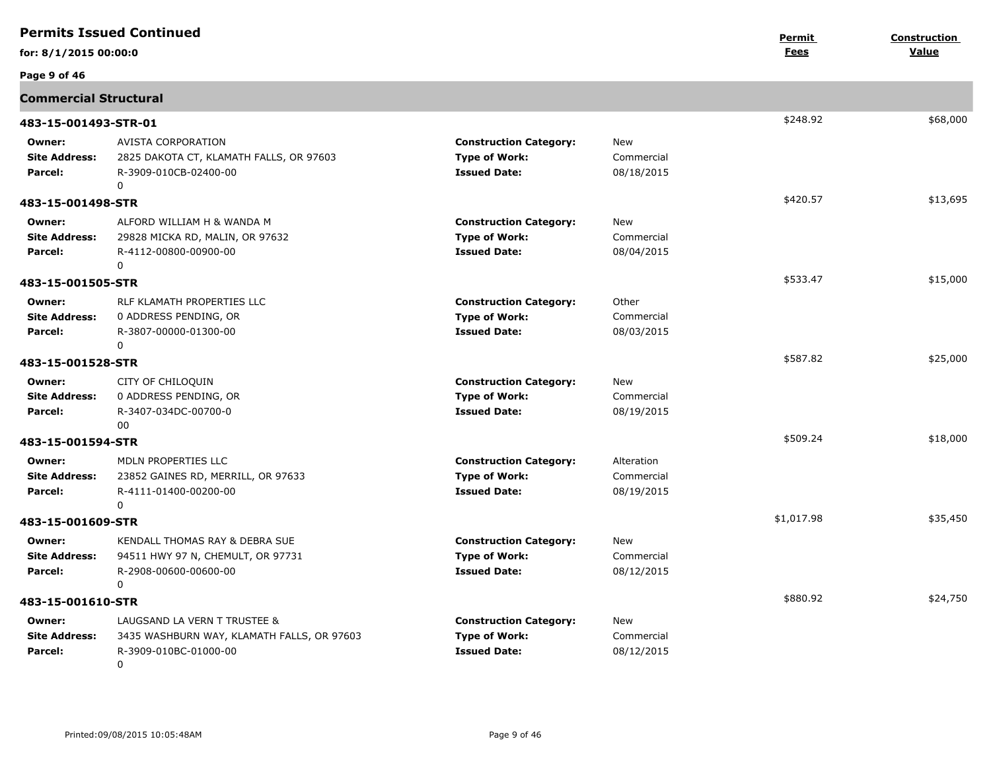| <b>Permits Issued Continued</b>           |                                                                                                          |                                                                              | Permit                                 | Construction |          |
|-------------------------------------------|----------------------------------------------------------------------------------------------------------|------------------------------------------------------------------------------|----------------------------------------|--------------|----------|
| for: 8/1/2015 00:00:0                     |                                                                                                          |                                                                              |                                        | Fees         | Value    |
| Page 9 of 46                              |                                                                                                          |                                                                              |                                        |              |          |
| <b>Commercial Structural</b>              |                                                                                                          |                                                                              |                                        |              |          |
| 483-15-001493-STR-01                      |                                                                                                          |                                                                              |                                        | \$248.92     | \$68,000 |
| Owner:<br><b>Site Address:</b><br>Parcel: | AVISTA CORPORATION<br>2825 DAKOTA CT, KLAMATH FALLS, OR 97603<br>R-3909-010CB-02400-00<br>0              | <b>Construction Category:</b><br><b>Type of Work:</b><br><b>Issued Date:</b> | New<br>Commercial<br>08/18/2015        |              |          |
| 483-15-001498-STR                         |                                                                                                          |                                                                              |                                        | \$420.57     | \$13,695 |
| Owner:<br><b>Site Address:</b><br>Parcel: | ALFORD WILLIAM H & WANDA M<br>29828 MICKA RD, MALIN, OR 97632<br>R-4112-00800-00900-00<br>0              | <b>Construction Category:</b><br><b>Type of Work:</b><br><b>Issued Date:</b> | <b>New</b><br>Commercial<br>08/04/2015 |              |          |
| 483-15-001505-STR                         |                                                                                                          |                                                                              |                                        | \$533.47     | \$15,000 |
| Owner:<br><b>Site Address:</b><br>Parcel: | RLF KLAMATH PROPERTIES LLC<br>0 ADDRESS PENDING, OR<br>R-3807-00000-01300-00<br>$\mathbf{0}$             | <b>Construction Category:</b><br><b>Type of Work:</b><br><b>Issued Date:</b> | Other<br>Commercial<br>08/03/2015      |              |          |
| 483-15-001528-STR                         |                                                                                                          |                                                                              |                                        | \$587.82     | \$25,000 |
| Owner:<br><b>Site Address:</b><br>Parcel: | CITY OF CHILOQUIN<br>0 ADDRESS PENDING, OR<br>R-3407-034DC-00700-0<br>00                                 | <b>Construction Category:</b><br><b>Type of Work:</b><br><b>Issued Date:</b> | New<br>Commercial<br>08/19/2015        |              |          |
| 483-15-001594-STR                         |                                                                                                          |                                                                              |                                        | \$509.24     | \$18,000 |
| Owner:<br><b>Site Address:</b><br>Parcel: | MDLN PROPERTIES LLC<br>23852 GAINES RD, MERRILL, OR 97633<br>R-4111-01400-00200-00<br>0                  | <b>Construction Category:</b><br><b>Type of Work:</b><br><b>Issued Date:</b> | Alteration<br>Commercial<br>08/19/2015 |              |          |
| 483-15-001609-STR                         |                                                                                                          |                                                                              |                                        | \$1,017.98   | \$35,450 |
| Owner:<br><b>Site Address:</b><br>Parcel: | KENDALL THOMAS RAY & DEBRA SUE<br>94511 HWY 97 N, CHEMULT, OR 97731<br>R-2908-00600-00600-00<br>0        | <b>Construction Category:</b><br><b>Type of Work:</b><br><b>Issued Date:</b> | <b>New</b><br>Commercial<br>08/12/2015 |              |          |
| 483-15-001610-STR                         |                                                                                                          |                                                                              |                                        | \$880.92     | \$24,750 |
| Owner:<br><b>Site Address:</b><br>Parcel: | LAUGSAND LA VERN T TRUSTEE &<br>3435 WASHBURN WAY, KLAMATH FALLS, OR 97603<br>R-3909-010BC-01000-00<br>0 | <b>Construction Category:</b><br><b>Type of Work:</b><br><b>Issued Date:</b> | <b>New</b><br>Commercial<br>08/12/2015 |              |          |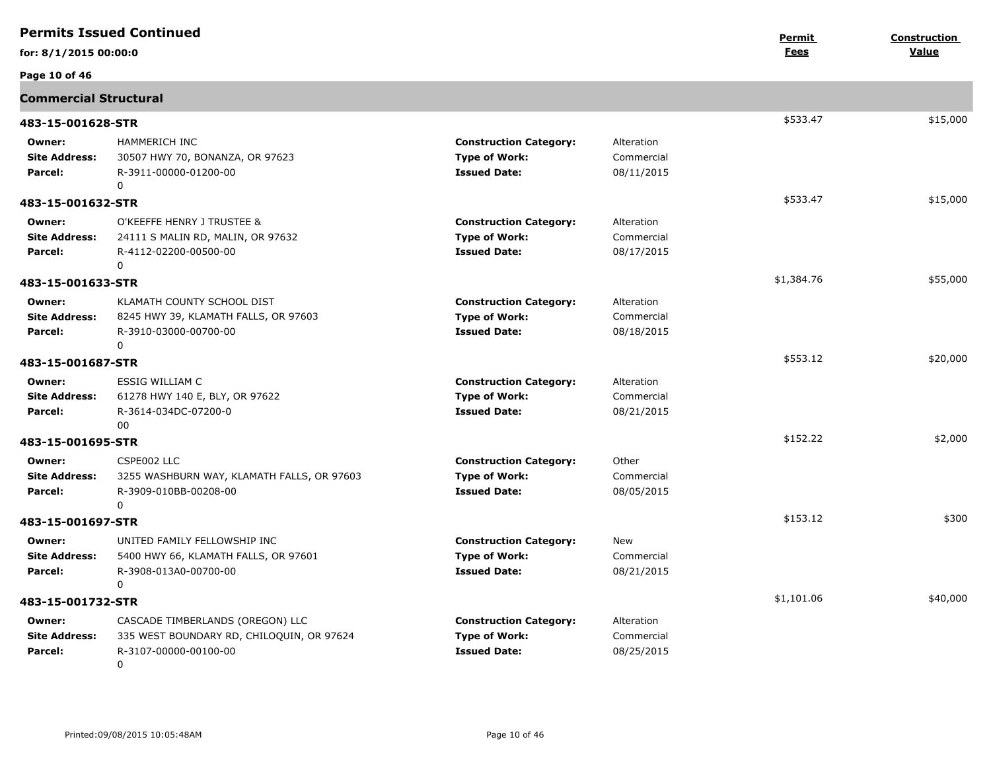|                                           | <b>Permits Issued Continued</b>                                                                                        |                                                                              |                                        | Permit     | Construction |
|-------------------------------------------|------------------------------------------------------------------------------------------------------------------------|------------------------------------------------------------------------------|----------------------------------------|------------|--------------|
| for: 8/1/2015 00:00:0                     |                                                                                                                        |                                                                              |                                        | Fees       | Value        |
| Page 10 of 46                             |                                                                                                                        |                                                                              |                                        |            |              |
| <b>Commercial Structural</b>              |                                                                                                                        |                                                                              |                                        |            |              |
| 483-15-001628-STR                         |                                                                                                                        |                                                                              |                                        | \$533.47   | \$15,000     |
| Owner:<br><b>Site Address:</b><br>Parcel: | HAMMERICH INC<br>30507 HWY 70, BONANZA, OR 97623<br>R-3911-00000-01200-00<br>0                                         | <b>Construction Category:</b><br><b>Type of Work:</b><br><b>Issued Date:</b> | Alteration<br>Commercial<br>08/11/2015 |            |              |
| 483-15-001632-STR                         |                                                                                                                        |                                                                              |                                        | \$533.47   | \$15,000     |
| Owner:<br><b>Site Address:</b><br>Parcel: | O'KEEFFE HENRY J TRUSTEE &<br>24111 S MALIN RD, MALIN, OR 97632<br>R-4112-02200-00500-00<br>0                          | <b>Construction Category:</b><br><b>Type of Work:</b><br><b>Issued Date:</b> | Alteration<br>Commercial<br>08/17/2015 |            |              |
| 483-15-001633-STR                         |                                                                                                                        |                                                                              |                                        | \$1,384.76 | \$55,000     |
| Owner:<br><b>Site Address:</b><br>Parcel: | KLAMATH COUNTY SCHOOL DIST<br>8245 HWY 39, KLAMATH FALLS, OR 97603<br>R-3910-03000-00700-00<br>0                       | <b>Construction Category:</b><br><b>Type of Work:</b><br><b>Issued Date:</b> | Alteration<br>Commercial<br>08/18/2015 |            |              |
| 483-15-001687-STR                         |                                                                                                                        |                                                                              |                                        | \$553.12   | \$20,000     |
| Owner:<br><b>Site Address:</b><br>Parcel: | ESSIG WILLIAM C<br>61278 HWY 140 E, BLY, OR 97622<br>R-3614-034DC-07200-0<br>00                                        | <b>Construction Category:</b><br><b>Type of Work:</b><br><b>Issued Date:</b> | Alteration<br>Commercial<br>08/21/2015 |            |              |
| 483-15-001695-STR                         |                                                                                                                        |                                                                              |                                        | \$152.22   | \$2,000      |
| Owner:<br><b>Site Address:</b><br>Parcel: | CSPE002 LLC<br>3255 WASHBURN WAY, KLAMATH FALLS, OR 97603<br>R-3909-010BB-00208-00<br>0                                | <b>Construction Category:</b><br><b>Type of Work:</b><br><b>Issued Date:</b> | Other<br>Commercial<br>08/05/2015      |            |              |
| 483-15-001697-STR                         |                                                                                                                        |                                                                              |                                        | \$153.12   | \$300        |
| Owner:<br><b>Site Address:</b><br>Parcel: | UNITED FAMILY FELLOWSHIP INC<br>5400 HWY 66, KLAMATH FALLS, OR 97601<br>R-3908-013A0-00700-00<br>0                     | <b>Construction Category:</b><br><b>Type of Work:</b><br><b>Issued Date:</b> | New<br>Commercial<br>08/21/2015        |            |              |
| 483-15-001732-STR                         |                                                                                                                        |                                                                              |                                        | \$1,101.06 | \$40,000     |
| Owner:<br><b>Site Address:</b><br>Parcel: | CASCADE TIMBERLANDS (OREGON) LLC<br>335 WEST BOUNDARY RD, CHILOQUIN, OR 97624<br>R-3107-00000-00100-00<br>$\mathbf{0}$ | <b>Construction Category:</b><br><b>Type of Work:</b><br><b>Issued Date:</b> | Alteration<br>Commercial<br>08/25/2015 |            |              |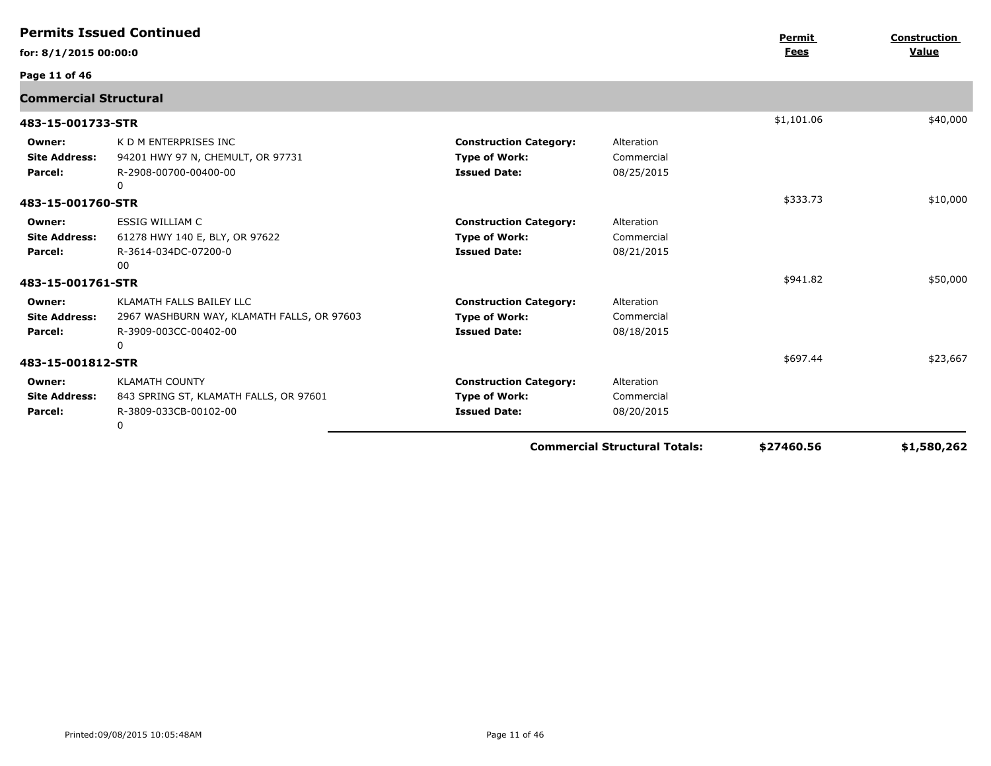|                                           | <b>Permits Issued Continued</b>                                                                      |                                                                              |                                        | Permit     | Construction |
|-------------------------------------------|------------------------------------------------------------------------------------------------------|------------------------------------------------------------------------------|----------------------------------------|------------|--------------|
| for: 8/1/2015 00:00:0                     |                                                                                                      |                                                                              |                                        | Fees       | Value        |
| Page 11 of 46                             |                                                                                                      |                                                                              |                                        |            |              |
| <b>Commercial Structural</b>              |                                                                                                      |                                                                              |                                        |            |              |
| 483-15-001733-STR                         |                                                                                                      |                                                                              |                                        | \$1,101.06 | \$40,000     |
| Owner:<br><b>Site Address:</b><br>Parcel: | K D M ENTERPRISES INC<br>94201 HWY 97 N, CHEMULT, OR 97731<br>R-2908-00700-00400-00<br>0             | <b>Construction Category:</b><br><b>Type of Work:</b><br><b>Issued Date:</b> | Alteration<br>Commercial<br>08/25/2015 |            |              |
| 483-15-001760-STR                         |                                                                                                      |                                                                              |                                        | \$333.73   | \$10,000     |
| Owner:<br><b>Site Address:</b><br>Parcel: | <b>ESSIG WILLIAM C</b><br>61278 HWY 140 E, BLY, OR 97622<br>R-3614-034DC-07200-0<br>00               | <b>Construction Category:</b><br><b>Type of Work:</b><br><b>Issued Date:</b> | Alteration<br>Commercial<br>08/21/2015 |            |              |
| 483-15-001761-STR                         |                                                                                                      |                                                                              |                                        | \$941.82   | \$50,000     |
| Owner:<br><b>Site Address:</b><br>Parcel: | KLAMATH FALLS BAILEY LLC<br>2967 WASHBURN WAY, KLAMATH FALLS, OR 97603<br>R-3909-003CC-00402-00<br>0 | <b>Construction Category:</b><br><b>Type of Work:</b><br><b>Issued Date:</b> | Alteration<br>Commercial<br>08/18/2015 |            |              |
| 483-15-001812-STR                         |                                                                                                      |                                                                              |                                        | \$697.44   | \$23,667     |
| Owner:<br><b>Site Address:</b><br>Parcel: | <b>KLAMATH COUNTY</b><br>843 SPRING ST, KLAMATH FALLS, OR 97601<br>R-3809-033CB-00102-00<br>0        | <b>Construction Category:</b><br><b>Type of Work:</b><br><b>Issued Date:</b> | Alteration<br>Commercial<br>08/20/2015 |            |              |
|                                           |                                                                                                      |                                                                              | <b>Commercial Structural Totals:</b>   | \$27460.56 | \$1,580,262  |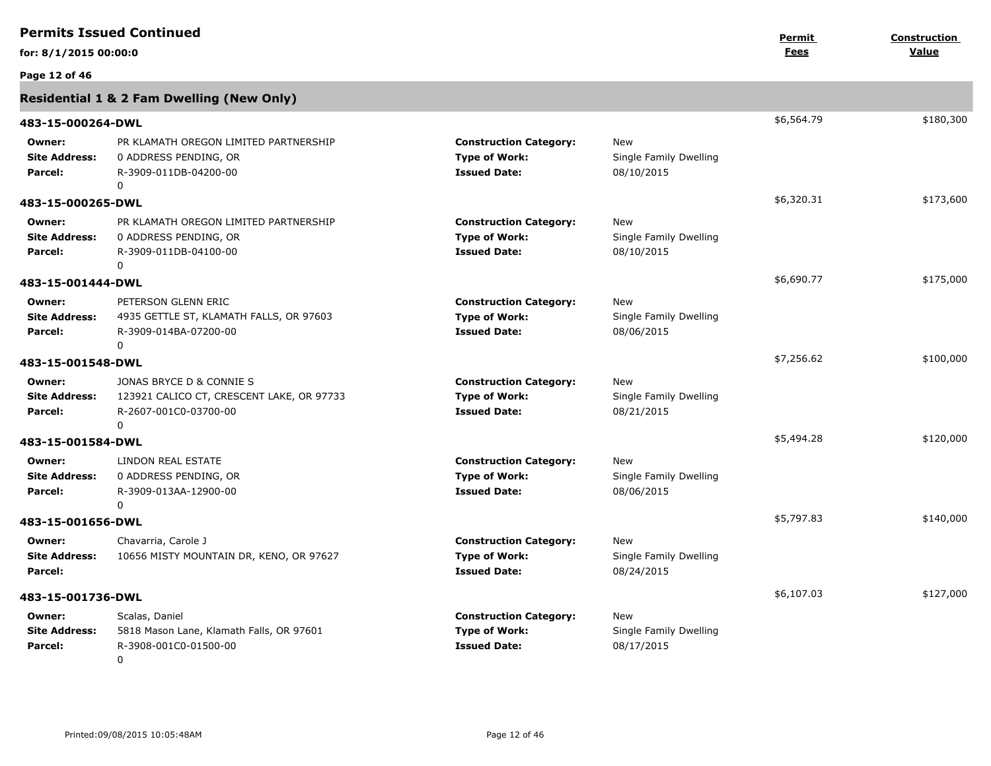|                                           | <b>Permits Issued Continued</b>                                                                            |                                                                              |                                                    | Permit     | <b>Construction</b> |
|-------------------------------------------|------------------------------------------------------------------------------------------------------------|------------------------------------------------------------------------------|----------------------------------------------------|------------|---------------------|
| for: 8/1/2015 00:00:0                     |                                                                                                            |                                                                              |                                                    | Fees       | Value               |
| Page 12 of 46                             |                                                                                                            |                                                                              |                                                    |            |                     |
|                                           | Residential 1 & 2 Fam Dwelling (New Only)                                                                  |                                                                              |                                                    |            |                     |
| 483-15-000264-DWL                         |                                                                                                            |                                                                              |                                                    | \$6,564.79 | \$180,300           |
| Owner:<br><b>Site Address:</b><br>Parcel: | PR KLAMATH OREGON LIMITED PARTNERSHIP<br>0 ADDRESS PENDING, OR<br>R-3909-011DB-04200-00<br>$\Omega$        | <b>Construction Category:</b><br><b>Type of Work:</b><br><b>Issued Date:</b> | New<br>Single Family Dwelling<br>08/10/2015        |            |                     |
| 483-15-000265-DWL                         |                                                                                                            |                                                                              |                                                    | \$6,320.31 | \$173,600           |
| Owner:<br><b>Site Address:</b><br>Parcel: | PR KLAMATH OREGON LIMITED PARTNERSHIP<br>0 ADDRESS PENDING, OR<br>R-3909-011DB-04100-00<br>$\Omega$        | <b>Construction Category:</b><br><b>Type of Work:</b><br><b>Issued Date:</b> | New<br>Single Family Dwelling<br>08/10/2015        |            |                     |
| 483-15-001444-DWL                         |                                                                                                            |                                                                              |                                                    | \$6,690.77 | \$175,000           |
| Owner:<br><b>Site Address:</b><br>Parcel: | PETERSON GLENN ERIC<br>4935 GETTLE ST, KLAMATH FALLS, OR 97603<br>R-3909-014BA-07200-00<br>$\Omega$        | <b>Construction Category:</b><br><b>Type of Work:</b><br><b>Issued Date:</b> | New<br>Single Family Dwelling<br>08/06/2015        |            |                     |
| 483-15-001548-DWL                         |                                                                                                            |                                                                              |                                                    | \$7,256.62 | \$100,000           |
| Owner:<br><b>Site Address:</b><br>Parcel: | JONAS BRYCE D & CONNIE S<br>123921 CALICO CT, CRESCENT LAKE, OR 97733<br>R-2607-001C0-03700-00<br>$\Omega$ | <b>Construction Category:</b><br><b>Type of Work:</b><br><b>Issued Date:</b> | <b>New</b><br>Single Family Dwelling<br>08/21/2015 |            |                     |
| 483-15-001584-DWL                         |                                                                                                            |                                                                              |                                                    | \$5,494.28 | \$120,000           |
| Owner:<br><b>Site Address:</b><br>Parcel: | LINDON REAL ESTATE<br>0 ADDRESS PENDING, OR<br>R-3909-013AA-12900-00<br>0                                  | <b>Construction Category:</b><br><b>Type of Work:</b><br><b>Issued Date:</b> | <b>New</b><br>Single Family Dwelling<br>08/06/2015 |            |                     |
| 483-15-001656-DWL                         |                                                                                                            |                                                                              |                                                    | \$5,797.83 | \$140,000           |
| Owner:<br><b>Site Address:</b><br>Parcel: | Chavarria, Carole J<br>10656 MISTY MOUNTAIN DR, KENO, OR 97627                                             | <b>Construction Category:</b><br><b>Type of Work:</b><br><b>Issued Date:</b> | New<br>Single Family Dwelling<br>08/24/2015        |            |                     |
| 483-15-001736-DWL                         |                                                                                                            |                                                                              |                                                    | \$6,107.03 | \$127,000           |
| Owner:<br><b>Site Address:</b><br>Parcel: | Scalas, Daniel<br>5818 Mason Lane, Klamath Falls, OR 97601<br>R-3908-001C0-01500-00<br>$\Omega$            | <b>Construction Category:</b><br><b>Type of Work:</b><br><b>Issued Date:</b> | New<br>Single Family Dwelling<br>08/17/2015        |            |                     |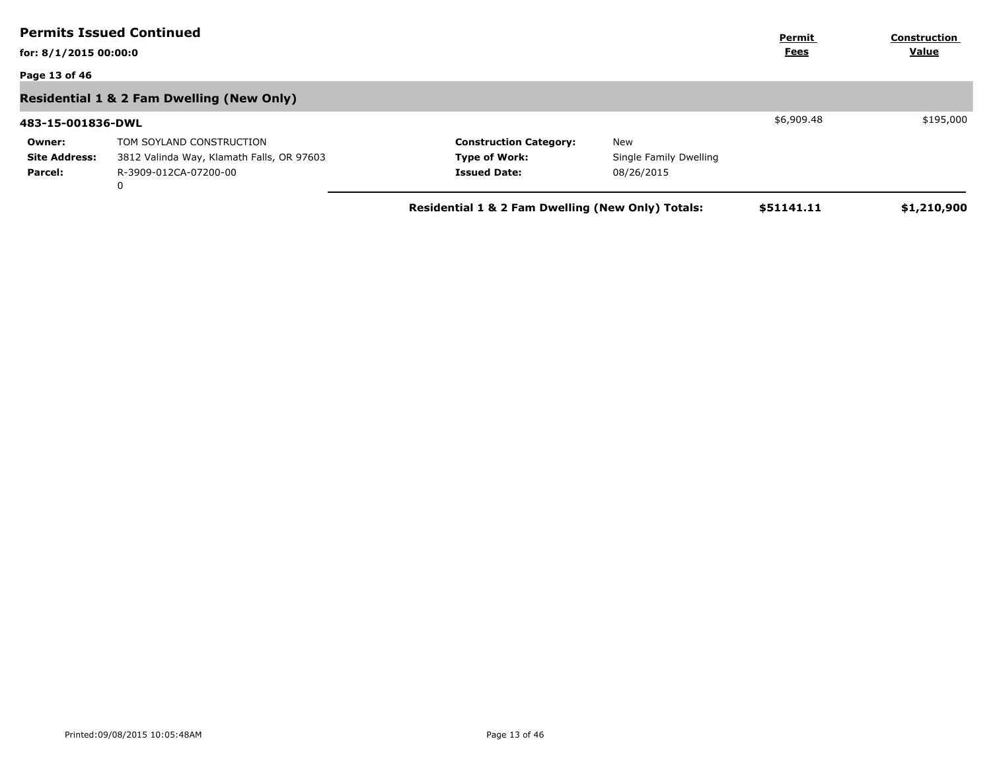|                       | <b>Permits Issued Continued</b>                      |                                                   |                        | Permit      | <b>Construction</b> |
|-----------------------|------------------------------------------------------|---------------------------------------------------|------------------------|-------------|---------------------|
| for: 8/1/2015 00:00:0 |                                                      |                                                   |                        | <u>Fees</u> | Value               |
| Page 13 of 46         |                                                      |                                                   |                        |             |                     |
|                       | <b>Residential 1 &amp; 2 Fam Dwelling (New Only)</b> |                                                   |                        |             |                     |
| 483-15-001836-DWL     |                                                      |                                                   |                        | \$6,909.48  | \$195,000           |
| Owner:                | TOM SOYLAND CONSTRUCTION                             | <b>Construction Category:</b>                     | New                    |             |                     |
| <b>Site Address:</b>  | 3812 Valinda Way, Klamath Falls, OR 97603            | <b>Type of Work:</b>                              | Single Family Dwelling |             |                     |
| Parcel:               | R-3909-012CA-07200-00<br>0                           | <b>Issued Date:</b>                               | 08/26/2015             |             |                     |
|                       |                                                      | Residential 1 & 2 Fam Dwelling (New Only) Totals: |                        | \$51141.11  | \$1,210,900         |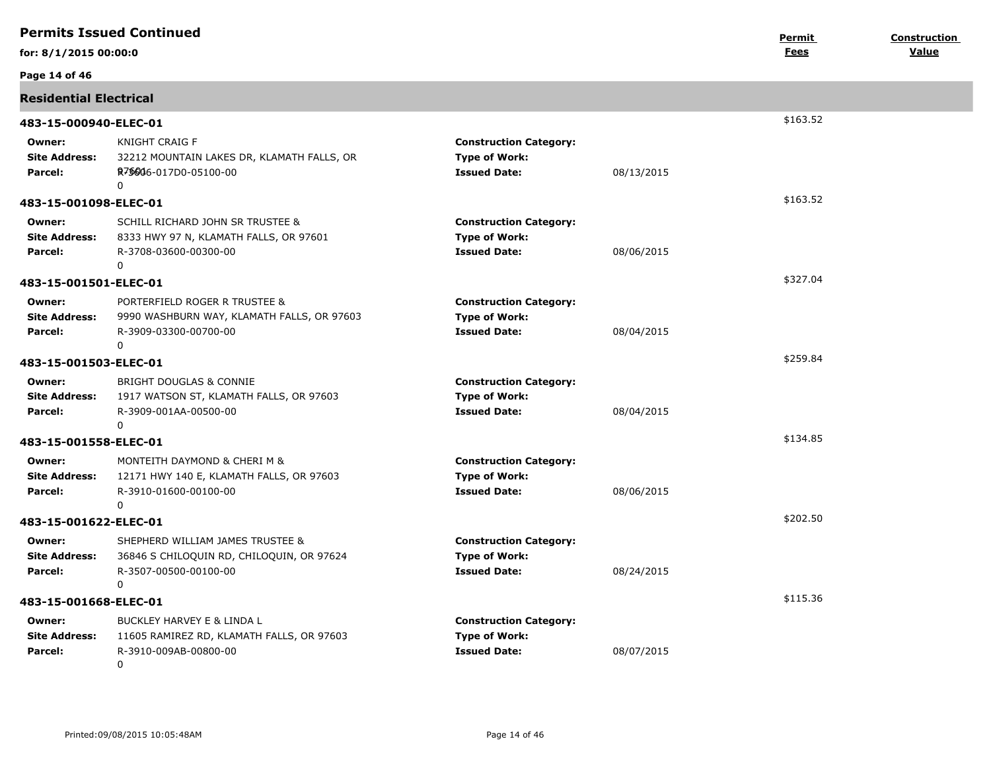|                                           | <b>Permits Issued Continued</b>                                                                                       |                                                                              |            | Permit      | Construction |
|-------------------------------------------|-----------------------------------------------------------------------------------------------------------------------|------------------------------------------------------------------------------|------------|-------------|--------------|
| for: 8/1/2015 00:00:0                     |                                                                                                                       |                                                                              |            | <b>Fees</b> | Value        |
| Page 14 of 46                             |                                                                                                                       |                                                                              |            |             |              |
| <b>Residential Electrical</b>             |                                                                                                                       |                                                                              |            |             |              |
| 483-15-000940-ELEC-01                     |                                                                                                                       |                                                                              |            | \$163.52    |              |
| Owner:<br><b>Site Address:</b><br>Parcel: | KNIGHT CRAIG F<br>32212 MOUNTAIN LAKES DR, KLAMATH FALLS, OR<br>R <sub>7</sub> \$6046-017D0-05100-00<br>$\mathbf 0$   | <b>Construction Category:</b><br><b>Type of Work:</b><br><b>Issued Date:</b> | 08/13/2015 |             |              |
| 483-15-001098-ELEC-01                     |                                                                                                                       |                                                                              |            | \$163.52    |              |
| Owner:<br><b>Site Address:</b><br>Parcel: | SCHILL RICHARD JOHN SR TRUSTEE &<br>8333 HWY 97 N, KLAMATH FALLS, OR 97601<br>R-3708-03600-00300-00<br>0              | <b>Construction Category:</b><br><b>Type of Work:</b><br><b>Issued Date:</b> | 08/06/2015 |             |              |
| 483-15-001501-ELEC-01                     |                                                                                                                       |                                                                              |            | \$327.04    |              |
| Owner:<br><b>Site Address:</b><br>Parcel: | PORTERFIELD ROGER R TRUSTEE &<br>9990 WASHBURN WAY, KLAMATH FALLS, OR 97603<br>R-3909-03300-00700-00<br>$\mathbf{0}$  | <b>Construction Category:</b><br><b>Type of Work:</b><br><b>Issued Date:</b> | 08/04/2015 |             |              |
| 483-15-001503-ELEC-01                     |                                                                                                                       |                                                                              |            | \$259.84    |              |
| Owner:<br><b>Site Address:</b><br>Parcel: | BRIGHT DOUGLAS & CONNIE<br>1917 WATSON ST, KLAMATH FALLS, OR 97603<br>R-3909-001AA-00500-00<br>0                      | <b>Construction Category:</b><br><b>Type of Work:</b><br><b>Issued Date:</b> | 08/04/2015 |             |              |
| 483-15-001558-ELEC-01                     |                                                                                                                       |                                                                              |            | \$134.85    |              |
| Owner:<br><b>Site Address:</b><br>Parcel: | MONTEITH DAYMOND & CHERI M &<br>12171 HWY 140 E, KLAMATH FALLS, OR 97603<br>R-3910-01600-00100-00<br>$\mathbf{0}$     | <b>Construction Category:</b><br><b>Type of Work:</b><br><b>Issued Date:</b> | 08/06/2015 |             |              |
| 483-15-001622-ELEC-01                     |                                                                                                                       |                                                                              |            | \$202.50    |              |
| Owner:<br><b>Site Address:</b><br>Parcel: | SHEPHERD WILLIAM JAMES TRUSTEE &<br>36846 S CHILOQUIN RD, CHILOQUIN, OR 97624<br>R-3507-00500-00100-00<br>$\mathbf 0$ | <b>Construction Category:</b><br><b>Type of Work:</b><br><b>Issued Date:</b> | 08/24/2015 |             |              |
| 483-15-001668-ELEC-01                     |                                                                                                                       |                                                                              | \$115.36   |             |              |
| Owner:<br><b>Site Address:</b><br>Parcel: | BUCKLEY HARVEY E & LINDA L<br>11605 RAMIREZ RD, KLAMATH FALLS, OR 97603<br>R-3910-009AB-00800-00<br>0                 | <b>Construction Category:</b><br><b>Type of Work:</b><br><b>Issued Date:</b> | 08/07/2015 |             |              |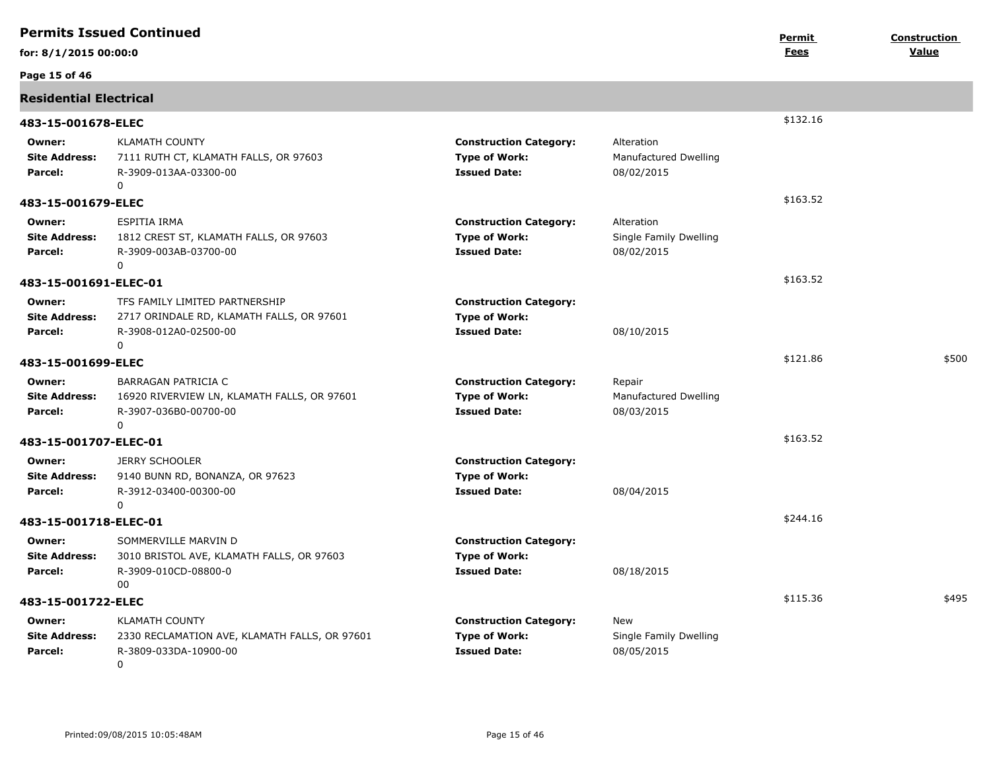|                                           | <b>Permits Issued Continued</b>                                                                                  |                                                                              |                                                    | Permit   | <b>Construction</b> |
|-------------------------------------------|------------------------------------------------------------------------------------------------------------------|------------------------------------------------------------------------------|----------------------------------------------------|----------|---------------------|
| for: 8/1/2015 00:00:0                     |                                                                                                                  |                                                                              |                                                    | Fees     | Value               |
| Page 15 of 46                             |                                                                                                                  |                                                                              |                                                    |          |                     |
| <b>Residential Electrical</b>             |                                                                                                                  |                                                                              |                                                    |          |                     |
| 483-15-001678-ELEC                        |                                                                                                                  |                                                                              |                                                    | \$132.16 |                     |
| Owner:<br><b>Site Address:</b><br>Parcel: | <b>KLAMATH COUNTY</b><br>7111 RUTH CT, KLAMATH FALLS, OR 97603<br>R-3909-013AA-03300-00<br>$\Omega$              | <b>Construction Category:</b><br><b>Type of Work:</b><br><b>Issued Date:</b> | Alteration<br>Manufactured Dwelling<br>08/02/2015  |          |                     |
| 483-15-001679-ELEC                        |                                                                                                                  |                                                                              |                                                    | \$163.52 |                     |
| Owner:<br><b>Site Address:</b><br>Parcel: | ESPITIA IRMA<br>1812 CREST ST, KLAMATH FALLS, OR 97603<br>R-3909-003AB-03700-00<br>0                             | <b>Construction Category:</b><br><b>Type of Work:</b><br><b>Issued Date:</b> | Alteration<br>Single Family Dwelling<br>08/02/2015 |          |                     |
| 483-15-001691-ELEC-01                     |                                                                                                                  |                                                                              |                                                    | \$163.52 |                     |
| Owner:<br><b>Site Address:</b><br>Parcel: | TFS FAMILY LIMITED PARTNERSHIP<br>2717 ORINDALE RD, KLAMATH FALLS, OR 97601<br>R-3908-012A0-02500-00<br>$\Omega$ | <b>Construction Category:</b><br><b>Type of Work:</b><br><b>Issued Date:</b> | 08/10/2015                                         |          |                     |
| 483-15-001699-ELEC                        |                                                                                                                  |                                                                              |                                                    | \$121.86 | \$500               |
| Owner:<br><b>Site Address:</b><br>Parcel: | BARRAGAN PATRICIA C<br>16920 RIVERVIEW LN, KLAMATH FALLS, OR 97601<br>R-3907-036B0-00700-00<br>0                 | <b>Construction Category:</b><br><b>Type of Work:</b><br><b>Issued Date:</b> | Repair<br>Manufactured Dwelling<br>08/03/2015      |          |                     |
| 483-15-001707-ELEC-01                     |                                                                                                                  |                                                                              |                                                    | \$163.52 |                     |
| Owner:<br><b>Site Address:</b><br>Parcel: | <b>JERRY SCHOOLER</b><br>9140 BUNN RD, BONANZA, OR 97623<br>R-3912-03400-00300-00<br>0                           | <b>Construction Category:</b><br><b>Type of Work:</b><br><b>Issued Date:</b> | 08/04/2015                                         |          |                     |
| 483-15-001718-ELEC-01                     |                                                                                                                  |                                                                              |                                                    | \$244.16 |                     |
| Owner:<br><b>Site Address:</b><br>Parcel: | SOMMERVILLE MARVIN D<br>3010 BRISTOL AVE, KLAMATH FALLS, OR 97603<br>R-3909-010CD-08800-0<br>00                  | <b>Construction Category:</b><br><b>Type of Work:</b><br><b>Issued Date:</b> | 08/18/2015                                         |          |                     |
| 483-15-001722-ELEC                        |                                                                                                                  |                                                                              |                                                    | \$115.36 | \$495               |
| Owner:<br><b>Site Address:</b><br>Parcel: | <b>KLAMATH COUNTY</b><br>2330 RECLAMATION AVE, KLAMATH FALLS, OR 97601<br>R-3809-033DA-10900-00<br>0             | <b>Construction Category:</b><br><b>Type of Work:</b><br><b>Issued Date:</b> | New<br>Single Family Dwelling<br>08/05/2015        |          |                     |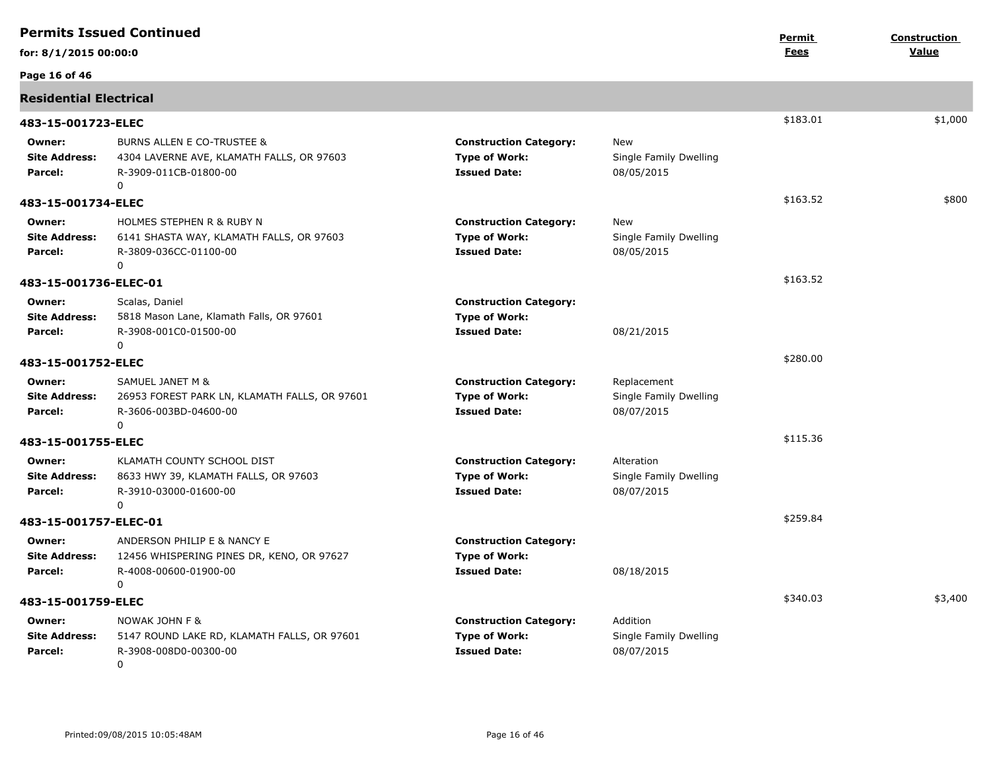|                                           | <b>Permits Issued Continued</b>                                                                                  |                                                                              |                                                     | Permit   | Construction |
|-------------------------------------------|------------------------------------------------------------------------------------------------------------------|------------------------------------------------------------------------------|-----------------------------------------------------|----------|--------------|
| for: 8/1/2015 00:00:0                     |                                                                                                                  |                                                                              |                                                     | Fees     | Value        |
| Page 16 of 46                             |                                                                                                                  |                                                                              |                                                     |          |              |
| <b>Residential Electrical</b>             |                                                                                                                  |                                                                              |                                                     |          |              |
| 483-15-001723-ELEC                        |                                                                                                                  |                                                                              |                                                     | \$183.01 | \$1,000      |
| Owner:<br><b>Site Address:</b><br>Parcel: | <b>BURNS ALLEN E CO-TRUSTEE &amp;</b><br>4304 LAVERNE AVE, KLAMATH FALLS, OR 97603<br>R-3909-011CB-01800-00<br>0 | <b>Construction Category:</b><br><b>Type of Work:</b><br><b>Issued Date:</b> | New<br>Single Family Dwelling<br>08/05/2015         |          |              |
| 483-15-001734-ELEC                        |                                                                                                                  |                                                                              |                                                     | \$163.52 | \$800        |
| Owner:<br><b>Site Address:</b><br>Parcel: | <b>HOLMES STEPHEN R &amp; RUBY N</b><br>6141 SHASTA WAY, KLAMATH FALLS, OR 97603<br>R-3809-036CC-01100-00<br>0   | <b>Construction Category:</b><br><b>Type of Work:</b><br><b>Issued Date:</b> | <b>New</b><br>Single Family Dwelling<br>08/05/2015  |          |              |
| 483-15-001736-ELEC-01                     |                                                                                                                  |                                                                              |                                                     | \$163.52 |              |
| Owner:<br><b>Site Address:</b><br>Parcel: | Scalas, Daniel<br>5818 Mason Lane, Klamath Falls, OR 97601<br>R-3908-001C0-01500-00<br>0                         | <b>Construction Category:</b><br><b>Type of Work:</b><br><b>Issued Date:</b> | 08/21/2015                                          |          |              |
| 483-15-001752-ELEC                        |                                                                                                                  |                                                                              |                                                     | \$280.00 |              |
| Owner:<br><b>Site Address:</b><br>Parcel: | SAMUEL JANET M &<br>26953 FOREST PARK LN, KLAMATH FALLS, OR 97601<br>R-3606-003BD-04600-00<br>0                  | <b>Construction Category:</b><br><b>Type of Work:</b><br><b>Issued Date:</b> | Replacement<br>Single Family Dwelling<br>08/07/2015 |          |              |
| 483-15-001755-ELEC                        |                                                                                                                  |                                                                              |                                                     | \$115.36 |              |
| Owner:<br><b>Site Address:</b><br>Parcel: | KLAMATH COUNTY SCHOOL DIST<br>8633 HWY 39, KLAMATH FALLS, OR 97603<br>R-3910-03000-01600-00<br>0                 | <b>Construction Category:</b><br><b>Type of Work:</b><br><b>Issued Date:</b> | Alteration<br>Single Family Dwelling<br>08/07/2015  |          |              |
| 483-15-001757-ELEC-01                     |                                                                                                                  |                                                                              |                                                     | \$259.84 |              |
| Owner:<br><b>Site Address:</b><br>Parcel: | ANDERSON PHILIP E & NANCY E<br>12456 WHISPERING PINES DR, KENO, OR 97627<br>R-4008-00600-01900-00<br>0           | <b>Construction Category:</b><br><b>Type of Work:</b><br><b>Issued Date:</b> | 08/18/2015                                          |          |              |
| 483-15-001759-ELEC                        |                                                                                                                  |                                                                              |                                                     | \$340.03 | \$3,400      |
| Owner:<br><b>Site Address:</b><br>Parcel: | NOWAK JOHN F &<br>5147 ROUND LAKE RD, KLAMATH FALLS, OR 97601<br>R-3908-008D0-00300-00<br>0                      | <b>Construction Category:</b><br><b>Type of Work:</b><br><b>Issued Date:</b> | Addition<br>Single Family Dwelling<br>08/07/2015    |          |              |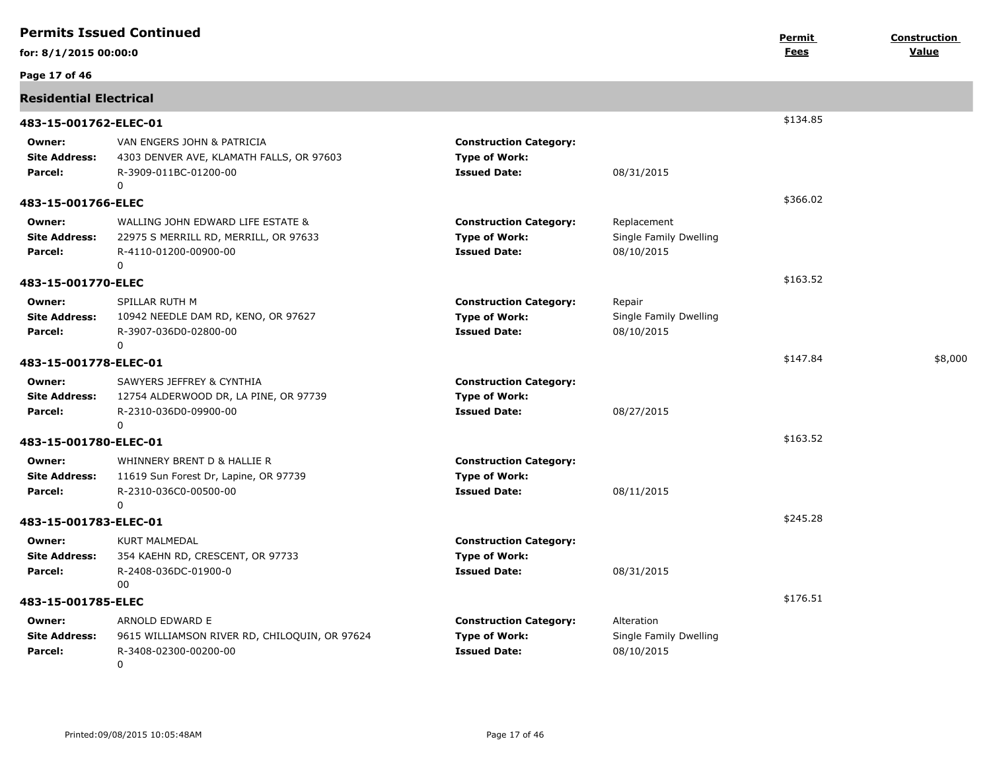|                                           | <b>Permits Issued Continued</b>                                                                          |                                                                              |                                                     | <b>Permit</b> | Construction |
|-------------------------------------------|----------------------------------------------------------------------------------------------------------|------------------------------------------------------------------------------|-----------------------------------------------------|---------------|--------------|
| for: 8/1/2015 00:00:0                     |                                                                                                          |                                                                              |                                                     | Fees          | Value        |
| Page 17 of 46                             |                                                                                                          |                                                                              |                                                     |               |              |
| <b>Residential Electrical</b>             |                                                                                                          |                                                                              |                                                     |               |              |
| 483-15-001762-ELEC-01                     |                                                                                                          |                                                                              |                                                     | \$134.85      |              |
| Owner:<br><b>Site Address:</b><br>Parcel: | VAN ENGERS JOHN & PATRICIA<br>4303 DENVER AVE, KLAMATH FALLS, OR 97603<br>R-3909-011BC-01200-00<br>0     | <b>Construction Category:</b><br><b>Type of Work:</b><br><b>Issued Date:</b> | 08/31/2015                                          |               |              |
| 483-15-001766-ELEC                        |                                                                                                          |                                                                              |                                                     | \$366.02      |              |
| Owner:<br><b>Site Address:</b><br>Parcel: | WALLING JOHN EDWARD LIFE ESTATE &<br>22975 S MERRILL RD, MERRILL, OR 97633<br>R-4110-01200-00900-00<br>0 | <b>Construction Category:</b><br><b>Type of Work:</b><br><b>Issued Date:</b> | Replacement<br>Single Family Dwelling<br>08/10/2015 |               |              |
| 483-15-001770-ELEC                        |                                                                                                          |                                                                              |                                                     | \$163.52      |              |
| Owner:<br><b>Site Address:</b><br>Parcel: | SPILLAR RUTH M<br>10942 NEEDLE DAM RD, KENO, OR 97627<br>R-3907-036D0-02800-00<br>0                      | <b>Construction Category:</b><br><b>Type of Work:</b><br><b>Issued Date:</b> | Repair<br>Single Family Dwelling<br>08/10/2015      |               |              |
| 483-15-001778-ELEC-01                     |                                                                                                          |                                                                              |                                                     | \$147.84      | \$8,000      |
| Owner:<br><b>Site Address:</b><br>Parcel: | SAWYERS JEFFREY & CYNTHIA<br>12754 ALDERWOOD DR, LA PINE, OR 97739<br>R-2310-036D0-09900-00<br>0         | <b>Construction Category:</b><br><b>Type of Work:</b><br><b>Issued Date:</b> | 08/27/2015                                          |               |              |
| 483-15-001780-ELEC-01                     |                                                                                                          |                                                                              |                                                     | \$163.52      |              |
| Owner:<br><b>Site Address:</b><br>Parcel: | WHINNERY BRENT D & HALLIE R<br>11619 Sun Forest Dr, Lapine, OR 97739<br>R-2310-036C0-00500-00<br>0       | <b>Construction Category:</b><br><b>Type of Work:</b><br><b>Issued Date:</b> | 08/11/2015                                          |               |              |
| 483-15-001783-ELEC-01                     |                                                                                                          |                                                                              |                                                     | \$245.28      |              |
| Owner:<br><b>Site Address:</b><br>Parcel: | <b>KURT MALMEDAL</b><br>354 KAEHN RD, CRESCENT, OR 97733<br>R-2408-036DC-01900-0<br>00                   | <b>Construction Category:</b><br><b>Type of Work:</b><br><b>Issued Date:</b> | 08/31/2015                                          |               |              |
| 483-15-001785-ELEC                        |                                                                                                          |                                                                              |                                                     | \$176.51      |              |
| Owner:<br><b>Site Address:</b><br>Parcel: | ARNOLD EDWARD E<br>9615 WILLIAMSON RIVER RD, CHILOQUIN, OR 97624<br>R-3408-02300-00200-00<br>0           | <b>Construction Category:</b><br><b>Type of Work:</b><br><b>Issued Date:</b> | Alteration<br>Single Family Dwelling<br>08/10/2015  |               |              |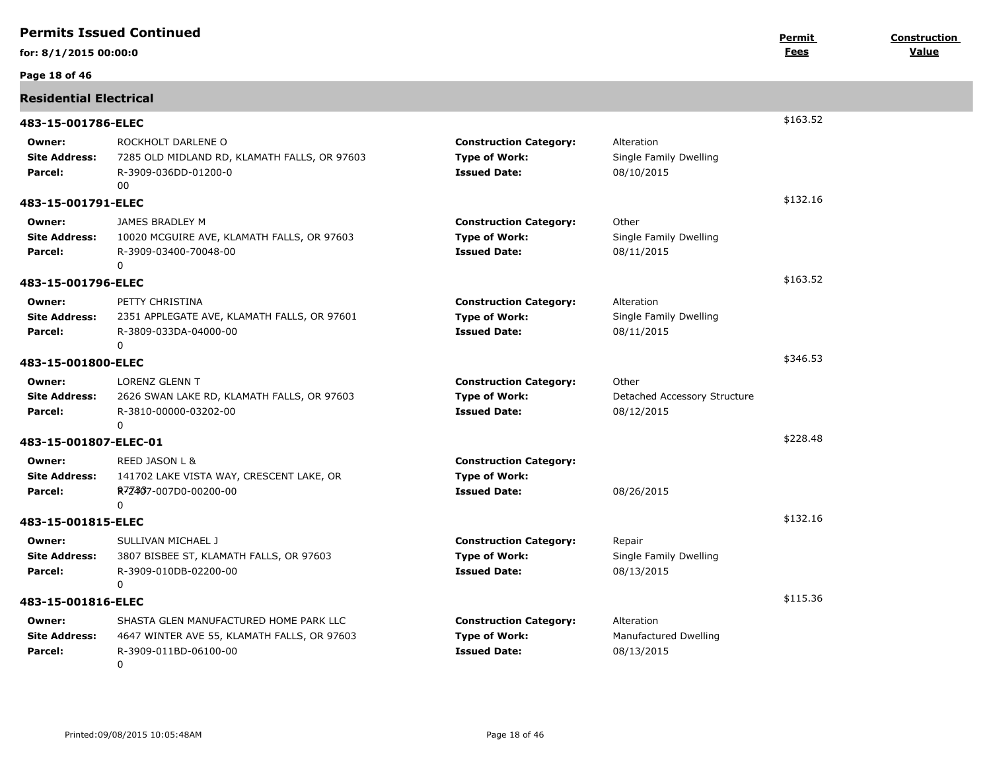|                                           | <b>Permits Issued Continued</b>                                                                                     |                                                                              |                                                     | Permit      | Construction |
|-------------------------------------------|---------------------------------------------------------------------------------------------------------------------|------------------------------------------------------------------------------|-----------------------------------------------------|-------------|--------------|
| for: 8/1/2015 00:00:0                     |                                                                                                                     |                                                                              |                                                     | <u>Fees</u> | Value        |
| Page 18 of 46                             |                                                                                                                     |                                                                              |                                                     |             |              |
| <b>Residential Electrical</b>             |                                                                                                                     |                                                                              |                                                     |             |              |
| 483-15-001786-ELEC                        |                                                                                                                     |                                                                              |                                                     | \$163.52    |              |
| Owner:<br><b>Site Address:</b><br>Parcel: | ROCKHOLT DARLENE O<br>7285 OLD MIDLAND RD, KLAMATH FALLS, OR 97603<br>R-3909-036DD-01200-0<br>00                    | <b>Construction Category:</b><br><b>Type of Work:</b><br><b>Issued Date:</b> | Alteration<br>Single Family Dwelling<br>08/10/2015  |             |              |
| 483-15-001791-ELEC                        |                                                                                                                     |                                                                              |                                                     | \$132.16    |              |
| Owner:<br>Site Address:<br>Parcel:        | JAMES BRADLEY M<br>10020 MCGUIRE AVE, KLAMATH FALLS, OR 97603<br>R-3909-03400-70048-00<br>0                         | <b>Construction Category:</b><br><b>Type of Work:</b><br><b>Issued Date:</b> | Other<br>Single Family Dwelling<br>08/11/2015       |             |              |
| 483-15-001796-ELEC                        |                                                                                                                     |                                                                              |                                                     | \$163.52    |              |
| Owner:<br><b>Site Address:</b><br>Parcel: | PETTY CHRISTINA<br>2351 APPLEGATE AVE, KLAMATH FALLS, OR 97601<br>R-3809-033DA-04000-00<br>$\mathbf{0}$             | <b>Construction Category:</b><br><b>Type of Work:</b><br><b>Issued Date:</b> | Alteration<br>Single Family Dwelling<br>08/11/2015  |             |              |
| 483-15-001800-ELEC                        |                                                                                                                     |                                                                              |                                                     | \$346.53    |              |
| Owner:<br><b>Site Address:</b><br>Parcel: | <b>LORENZ GLENN T</b><br>2626 SWAN LAKE RD, KLAMATH FALLS, OR 97603<br>R-3810-00000-03202-00<br>0                   | <b>Construction Category:</b><br><b>Type of Work:</b><br><b>Issued Date:</b> | Other<br>Detached Accessory Structure<br>08/12/2015 |             |              |
| 483-15-001807-ELEC-01                     |                                                                                                                     |                                                                              |                                                     | \$228.48    |              |
| Owner:<br><b>Site Address:</b><br>Parcel: | REED JASON L &<br>141702 LAKE VISTA WAY, CRESCENT LAKE, OR<br>R7Z467-007D0-00200-00<br>0                            | <b>Construction Category:</b><br><b>Type of Work:</b><br><b>Issued Date:</b> | 08/26/2015                                          |             |              |
| 483-15-001815-ELEC                        |                                                                                                                     |                                                                              |                                                     | \$132.16    |              |
| Owner:<br><b>Site Address:</b><br>Parcel: | SULLIVAN MICHAEL J<br>3807 BISBEE ST, KLAMATH FALLS, OR 97603<br>R-3909-010DB-02200-00<br>$\Omega$                  | <b>Construction Category:</b><br><b>Type of Work:</b><br><b>Issued Date:</b> | Repair<br>Single Family Dwelling<br>08/13/2015      |             |              |
| 483-15-001816-ELEC                        |                                                                                                                     |                                                                              |                                                     | \$115.36    |              |
| Owner:<br><b>Site Address:</b><br>Parcel: | SHASTA GLEN MANUFACTURED HOME PARK LLC<br>4647 WINTER AVE 55, KLAMATH FALLS, OR 97603<br>R-3909-011BD-06100-00<br>0 | <b>Construction Category:</b><br><b>Type of Work:</b><br><b>Issued Date:</b> | Alteration<br>Manufactured Dwelling<br>08/13/2015   |             |              |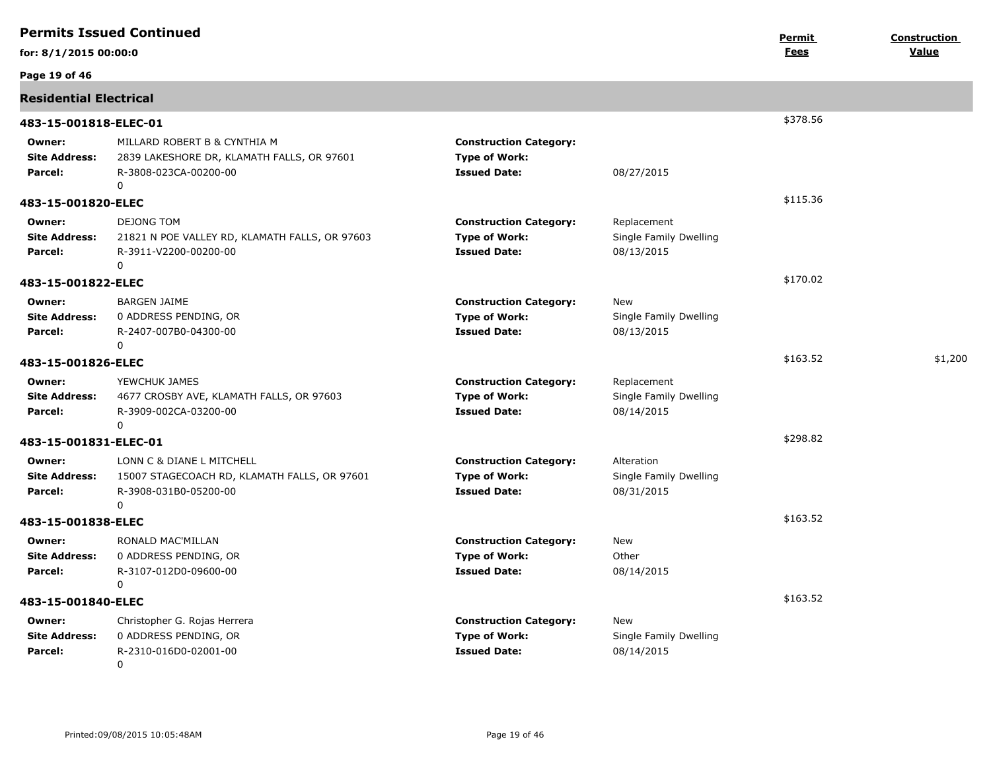|                                           | <b>Permits Issued Continued</b>                                                                          |                                                                              |                                                     | Permit      | Construction |
|-------------------------------------------|----------------------------------------------------------------------------------------------------------|------------------------------------------------------------------------------|-----------------------------------------------------|-------------|--------------|
| for: 8/1/2015 00:00:0                     |                                                                                                          |                                                                              |                                                     | <u>Fees</u> | Value        |
| Page 19 of 46                             |                                                                                                          |                                                                              |                                                     |             |              |
| <b>Residential Electrical</b>             |                                                                                                          |                                                                              |                                                     |             |              |
| 483-15-001818-ELEC-01                     |                                                                                                          |                                                                              |                                                     | \$378.56    |              |
| Owner:<br><b>Site Address:</b><br>Parcel: | MILLARD ROBERT B & CYNTHIA M<br>2839 LAKESHORE DR, KLAMATH FALLS, OR 97601<br>R-3808-023CA-00200-00<br>0 | <b>Construction Category:</b><br><b>Type of Work:</b><br><b>Issued Date:</b> | 08/27/2015                                          |             |              |
| 483-15-001820-ELEC                        |                                                                                                          |                                                                              |                                                     | \$115.36    |              |
| Owner:<br><b>Site Address:</b><br>Parcel: | <b>DEJONG TOM</b><br>21821 N POE VALLEY RD, KLAMATH FALLS, OR 97603<br>R-3911-V2200-00200-00<br>0        | <b>Construction Category:</b><br><b>Type of Work:</b><br><b>Issued Date:</b> | Replacement<br>Single Family Dwelling<br>08/13/2015 |             |              |
| 483-15-001822-ELEC                        |                                                                                                          |                                                                              |                                                     | \$170.02    |              |
| Owner:<br><b>Site Address:</b><br>Parcel: | <b>BARGEN JAIME</b><br>0 ADDRESS PENDING, OR<br>R-2407-007B0-04300-00                                    | <b>Construction Category:</b><br><b>Type of Work:</b><br><b>Issued Date:</b> | New<br>Single Family Dwelling<br>08/13/2015         |             |              |
|                                           | 0                                                                                                        |                                                                              |                                                     | \$163.52    | \$1,200      |
| 483-15-001826-ELEC                        |                                                                                                          |                                                                              |                                                     |             |              |
| Owner:<br><b>Site Address:</b><br>Parcel: | YEWCHUK JAMES<br>4677 CROSBY AVE, KLAMATH FALLS, OR 97603<br>R-3909-002CA-03200-00<br>0                  | <b>Construction Category:</b><br><b>Type of Work:</b><br><b>Issued Date:</b> | Replacement<br>Single Family Dwelling<br>08/14/2015 |             |              |
| 483-15-001831-ELEC-01                     |                                                                                                          |                                                                              |                                                     | \$298.82    |              |
| Owner:<br><b>Site Address:</b><br>Parcel: | LONN C & DIANE L MITCHELL<br>15007 STAGECOACH RD, KLAMATH FALLS, OR 97601<br>R-3908-031B0-05200-00<br>0  | <b>Construction Category:</b><br><b>Type of Work:</b><br><b>Issued Date:</b> | Alteration<br>Single Family Dwelling<br>08/31/2015  |             |              |
| 483-15-001838-ELEC                        |                                                                                                          |                                                                              |                                                     | \$163.52    |              |
| Owner:<br><b>Site Address:</b><br>Parcel: | RONALD MAC'MILLAN<br>0 ADDRESS PENDING, OR<br>R-3107-012D0-09600-00<br>0                                 | <b>Construction Category:</b><br><b>Type of Work:</b><br><b>Issued Date:</b> | New<br>Other<br>08/14/2015                          |             |              |
| 483-15-001840-ELEC                        |                                                                                                          |                                                                              |                                                     | \$163.52    |              |
| Owner:<br><b>Site Address:</b><br>Parcel: | Christopher G. Rojas Herrera<br>0 ADDRESS PENDING, OR<br>R-2310-016D0-02001-00<br>0                      | <b>Construction Category:</b><br><b>Type of Work:</b><br><b>Issued Date:</b> | New<br>Single Family Dwelling<br>08/14/2015         |             |              |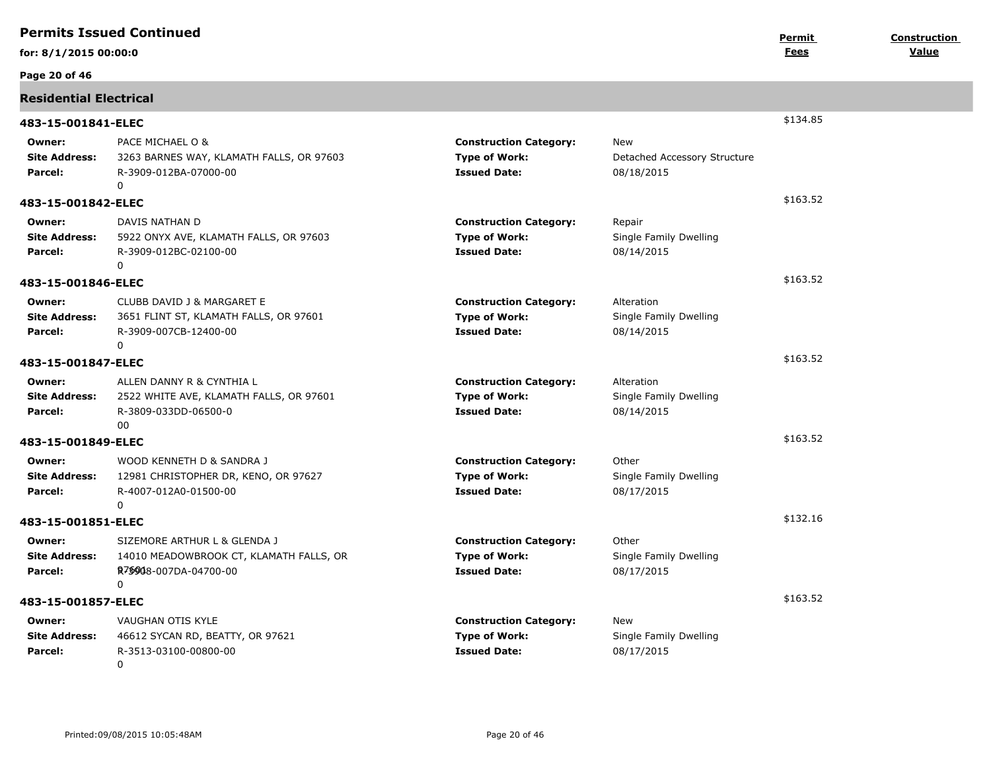|                                           | <b>Permits Issued Continued</b>                                                                                  |                                                                              |                                                          | Permit      | <b>Construction</b> |
|-------------------------------------------|------------------------------------------------------------------------------------------------------------------|------------------------------------------------------------------------------|----------------------------------------------------------|-------------|---------------------|
| for: 8/1/2015 00:00:0                     |                                                                                                                  |                                                                              |                                                          | <b>Fees</b> | Value               |
| Page 20 of 46                             |                                                                                                                  |                                                                              |                                                          |             |                     |
| <b>Residential Electrical</b>             |                                                                                                                  |                                                                              |                                                          |             |                     |
| 483-15-001841-ELEC                        |                                                                                                                  |                                                                              |                                                          | \$134.85    |                     |
| Owner:<br><b>Site Address:</b><br>Parcel: | PACE MICHAEL O &<br>3263 BARNES WAY, KLAMATH FALLS, OR 97603<br>R-3909-012BA-07000-00<br>$\Omega$                | <b>Construction Category:</b><br><b>Type of Work:</b><br><b>Issued Date:</b> | <b>New</b><br>Detached Accessory Structure<br>08/18/2015 |             |                     |
| 483-15-001842-ELEC                        |                                                                                                                  |                                                                              |                                                          | \$163.52    |                     |
| Owner:<br><b>Site Address:</b><br>Parcel: | DAVIS NATHAN D<br>5922 ONYX AVE, KLAMATH FALLS, OR 97603<br>R-3909-012BC-02100-00<br>0                           | <b>Construction Category:</b><br><b>Type of Work:</b><br><b>Issued Date:</b> | Repair<br>Single Family Dwelling<br>08/14/2015           |             |                     |
| 483-15-001846-ELEC                        |                                                                                                                  |                                                                              |                                                          | \$163.52    |                     |
| Owner:<br><b>Site Address:</b><br>Parcel: | CLUBB DAVID J & MARGARET E<br>3651 FLINT ST, KLAMATH FALLS, OR 97601<br>R-3909-007CB-12400-00<br>$\Omega$        | <b>Construction Category:</b><br><b>Type of Work:</b><br><b>Issued Date:</b> | Alteration<br>Single Family Dwelling<br>08/14/2015       |             |                     |
| 483-15-001847-ELEC                        |                                                                                                                  |                                                                              |                                                          | \$163.52    |                     |
| Owner:<br><b>Site Address:</b><br>Parcel: | ALLEN DANNY R & CYNTHIA L<br>2522 WHITE AVE, KLAMATH FALLS, OR 97601<br>R-3809-033DD-06500-0<br>00               | <b>Construction Category:</b><br><b>Type of Work:</b><br><b>Issued Date:</b> | Alteration<br>Single Family Dwelling<br>08/14/2015       |             |                     |
| 483-15-001849-ELEC                        |                                                                                                                  |                                                                              |                                                          | \$163.52    |                     |
| Owner:<br><b>Site Address:</b><br>Parcel: | WOOD KENNETH D & SANDRA J<br>12981 CHRISTOPHER DR, KENO, OR 97627<br>R-4007-012A0-01500-00<br>$\Omega$           | <b>Construction Category:</b><br><b>Type of Work:</b><br><b>Issued Date:</b> | Other<br>Single Family Dwelling<br>08/17/2015            |             |                     |
| 483-15-001851-ELEC                        |                                                                                                                  |                                                                              |                                                          | \$132.16    |                     |
| Owner:<br><b>Site Address:</b><br>Parcel: | SIZEMORE ARTHUR L & GLENDA J<br>14010 MEADOWBROOK CT, KLAMATH FALLS, OR<br>R7\$908-007DA-04700-00<br>$\mathbf 0$ | <b>Construction Category:</b><br><b>Type of Work:</b><br><b>Issued Date:</b> | Other<br>Single Family Dwelling<br>08/17/2015            |             |                     |
| 483-15-001857-ELEC                        |                                                                                                                  |                                                                              |                                                          | \$163.52    |                     |
| Owner:<br><b>Site Address:</b><br>Parcel: | VAUGHAN OTIS KYLE<br>46612 SYCAN RD, BEATTY, OR 97621<br>R-3513-03100-00800-00<br>0                              | <b>Construction Category:</b><br><b>Type of Work:</b><br><b>Issued Date:</b> | New<br>Single Family Dwelling<br>08/17/2015              |             |                     |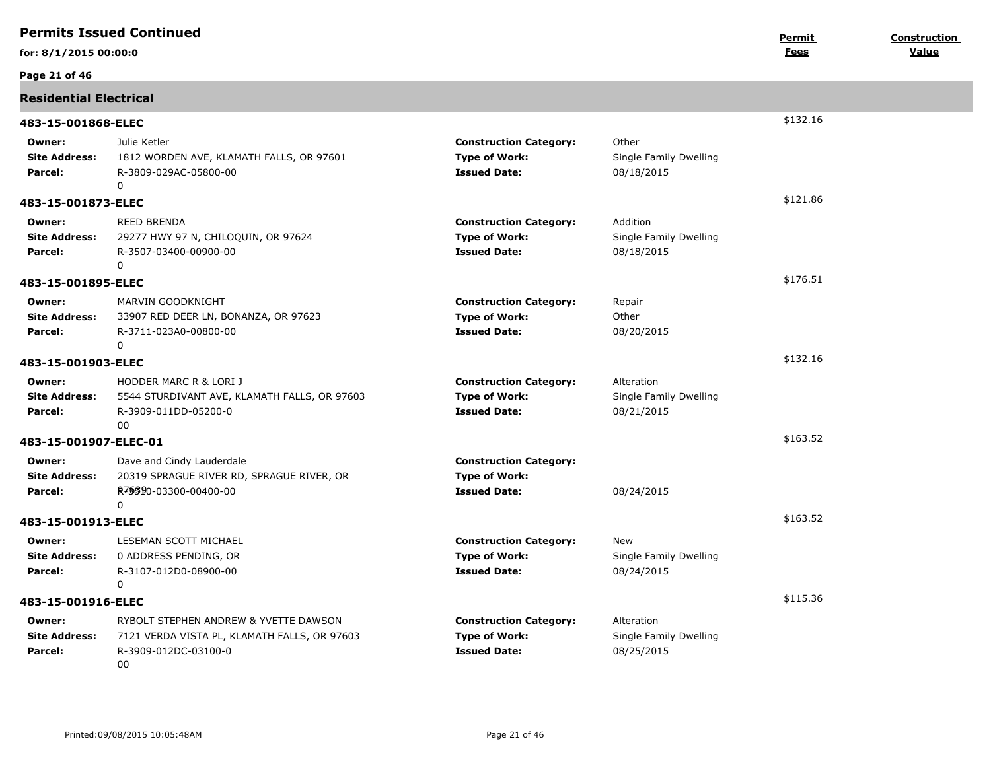|                                           | <b>Permits Issued Continued</b>                                                                                            |                                                                              |                                                    | Permit   | Construction |
|-------------------------------------------|----------------------------------------------------------------------------------------------------------------------------|------------------------------------------------------------------------------|----------------------------------------------------|----------|--------------|
| for: 8/1/2015 00:00:0                     |                                                                                                                            |                                                                              |                                                    | Fees     | Value        |
| Page 21 of 46                             |                                                                                                                            |                                                                              |                                                    |          |              |
| <b>Residential Electrical</b>             |                                                                                                                            |                                                                              |                                                    |          |              |
| 483-15-001868-ELEC                        |                                                                                                                            |                                                                              |                                                    | \$132.16 |              |
| Owner:<br><b>Site Address:</b><br>Parcel: | Julie Ketler<br>1812 WORDEN AVE, KLAMATH FALLS, OR 97601<br>R-3809-029AC-05800-00<br>$\Omega$                              | <b>Construction Category:</b><br><b>Type of Work:</b><br><b>Issued Date:</b> | Other<br>Single Family Dwelling<br>08/18/2015      |          |              |
| 483-15-001873-ELEC                        |                                                                                                                            |                                                                              |                                                    | \$121.86 |              |
| Owner:<br><b>Site Address:</b><br>Parcel: | <b>REED BRENDA</b><br>29277 HWY 97 N, CHILOQUIN, OR 97624<br>R-3507-03400-00900-00<br>$\Omega$                             | <b>Construction Category:</b><br><b>Type of Work:</b><br><b>Issued Date:</b> | Addition<br>Single Family Dwelling<br>08/18/2015   |          |              |
| 483-15-001895-ELEC                        |                                                                                                                            |                                                                              |                                                    | \$176.51 |              |
| Owner:<br><b>Site Address:</b><br>Parcel: | MARVIN GOODKNIGHT<br>33907 RED DEER LN, BONANZA, OR 97623<br>R-3711-023A0-00800-00<br>$\Omega$                             | <b>Construction Category:</b><br><b>Type of Work:</b><br><b>Issued Date:</b> | Repair<br>Other<br>08/20/2015                      |          |              |
| 483-15-001903-ELEC                        |                                                                                                                            |                                                                              |                                                    | \$132.16 |              |
| Owner:<br><b>Site Address:</b><br>Parcel: | <b>HODDER MARC R &amp; LORI J</b><br>5544 STURDIVANT AVE, KLAMATH FALLS, OR 97603<br>R-3909-011DD-05200-0<br>00            | <b>Construction Category:</b><br><b>Type of Work:</b><br><b>Issued Date:</b> | Alteration<br>Single Family Dwelling<br>08/21/2015 |          |              |
| 483-15-001907-ELEC-01                     |                                                                                                                            |                                                                              |                                                    | \$163.52 |              |
| Owner:<br><b>Site Address:</b><br>Parcel: | Dave and Cindy Lauderdale<br>20319 SPRAGUE RIVER RD, SPRAGUE RIVER, OR<br>R <sub>7</sub> \$\$90-03300-00400-00<br>$\Omega$ | <b>Construction Category:</b><br><b>Type of Work:</b><br><b>Issued Date:</b> | 08/24/2015                                         |          |              |
| 483-15-001913-ELEC                        |                                                                                                                            |                                                                              |                                                    | \$163.52 |              |
| Owner:<br><b>Site Address:</b><br>Parcel: | LESEMAN SCOTT MICHAEL<br>0 ADDRESS PENDING, OR<br>R-3107-012D0-08900-00<br>0                                               | <b>Construction Category:</b><br><b>Type of Work:</b><br><b>Issued Date:</b> | New<br>Single Family Dwelling<br>08/24/2015        |          |              |
| 483-15-001916-ELEC                        |                                                                                                                            |                                                                              |                                                    | \$115.36 |              |
| Owner:<br><b>Site Address:</b><br>Parcel: | RYBOLT STEPHEN ANDREW & YVETTE DAWSON<br>7121 VERDA VISTA PL, KLAMATH FALLS, OR 97603<br>R-3909-012DC-03100-0<br>00        | <b>Construction Category:</b><br><b>Type of Work:</b><br><b>Issued Date:</b> | Alteration<br>Single Family Dwelling<br>08/25/2015 |          |              |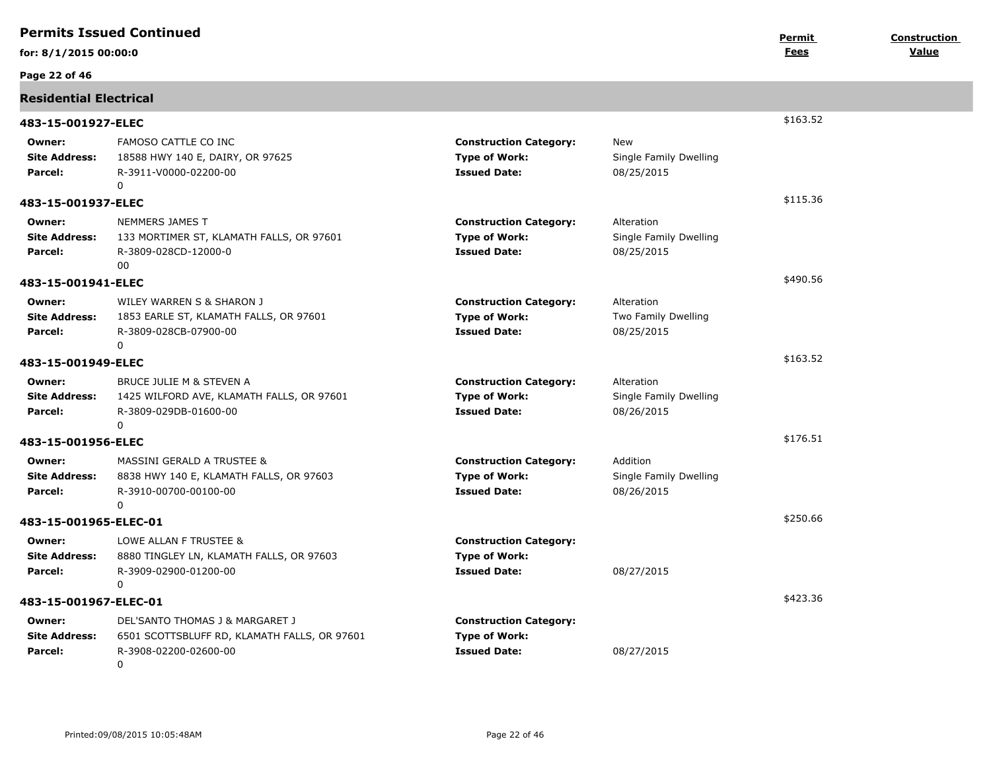|                                           | <b>Permits Issued Continued</b>                                                                                         |                                                                              |                                                    | Permit   | <b>Construction</b> |
|-------------------------------------------|-------------------------------------------------------------------------------------------------------------------------|------------------------------------------------------------------------------|----------------------------------------------------|----------|---------------------|
| for: 8/1/2015 00:00:0                     |                                                                                                                         |                                                                              |                                                    | Fees     | Value               |
| Page 22 of 46                             |                                                                                                                         |                                                                              |                                                    |          |                     |
| <b>Residential Electrical</b>             |                                                                                                                         |                                                                              |                                                    |          |                     |
| 483-15-001927-ELEC                        |                                                                                                                         |                                                                              |                                                    | \$163.52 |                     |
| Owner:<br><b>Site Address:</b><br>Parcel: | FAMOSO CATTLE CO INC<br>18588 HWY 140 E, DAIRY, OR 97625<br>R-3911-V0000-02200-00<br>$\mathbf 0$                        | <b>Construction Category:</b><br><b>Type of Work:</b><br><b>Issued Date:</b> | New<br>Single Family Dwelling<br>08/25/2015        |          |                     |
| 483-15-001937-ELEC                        |                                                                                                                         |                                                                              |                                                    | \$115.36 |                     |
| Owner:<br><b>Site Address:</b><br>Parcel: | NEMMERS JAMES T<br>133 MORTIMER ST, KLAMATH FALLS, OR 97601<br>R-3809-028CD-12000-0<br>00                               | <b>Construction Category:</b><br><b>Type of Work:</b><br><b>Issued Date:</b> | Alteration<br>Single Family Dwelling<br>08/25/2015 |          |                     |
| 483-15-001941-ELEC                        |                                                                                                                         |                                                                              |                                                    | \$490.56 |                     |
| Owner:<br><b>Site Address:</b><br>Parcel: | WILEY WARREN S & SHARON J<br>1853 EARLE ST, KLAMATH FALLS, OR 97601<br>R-3809-028CB-07900-00<br>$\Omega$                | <b>Construction Category:</b><br><b>Type of Work:</b><br><b>Issued Date:</b> | Alteration<br>Two Family Dwelling<br>08/25/2015    |          |                     |
| 483-15-001949-ELEC                        |                                                                                                                         |                                                                              |                                                    | \$163.52 |                     |
| Owner:<br><b>Site Address:</b><br>Parcel: | BRUCE JULIE M & STEVEN A<br>1425 WILFORD AVE, KLAMATH FALLS, OR 97601<br>R-3809-029DB-01600-00<br>$\mathbf 0$           | <b>Construction Category:</b><br><b>Type of Work:</b><br><b>Issued Date:</b> | Alteration<br>Single Family Dwelling<br>08/26/2015 |          |                     |
| 483-15-001956-ELEC                        |                                                                                                                         |                                                                              |                                                    | \$176.51 |                     |
| Owner:<br><b>Site Address:</b><br>Parcel: | MASSINI GERALD A TRUSTEE &<br>8838 HWY 140 E, KLAMATH FALLS, OR 97603<br>R-3910-00700-00100-00<br>$\mathbf 0$           | <b>Construction Category:</b><br><b>Type of Work:</b><br><b>Issued Date:</b> | Addition<br>Single Family Dwelling<br>08/26/2015   |          |                     |
| 483-15-001965-ELEC-01                     |                                                                                                                         |                                                                              |                                                    | \$250.66 |                     |
| Owner:<br><b>Site Address:</b><br>Parcel: | LOWE ALLAN F TRUSTEE &<br>8880 TINGLEY LN, KLAMATH FALLS, OR 97603<br>R-3909-02900-01200-00<br>$\mathbf 0$              | <b>Construction Category:</b><br><b>Type of Work:</b><br><b>Issued Date:</b> | 08/27/2015                                         |          |                     |
| 483-15-001967-ELEC-01                     |                                                                                                                         |                                                                              |                                                    | \$423.36 |                     |
| Owner:<br><b>Site Address:</b><br>Parcel: | DEL'SANTO THOMAS J & MARGARET J<br>6501 SCOTTSBLUFF RD, KLAMATH FALLS, OR 97601<br>R-3908-02200-02600-00<br>$\mathbf 0$ | <b>Construction Category:</b><br><b>Type of Work:</b><br><b>Issued Date:</b> | 08/27/2015                                         |          |                     |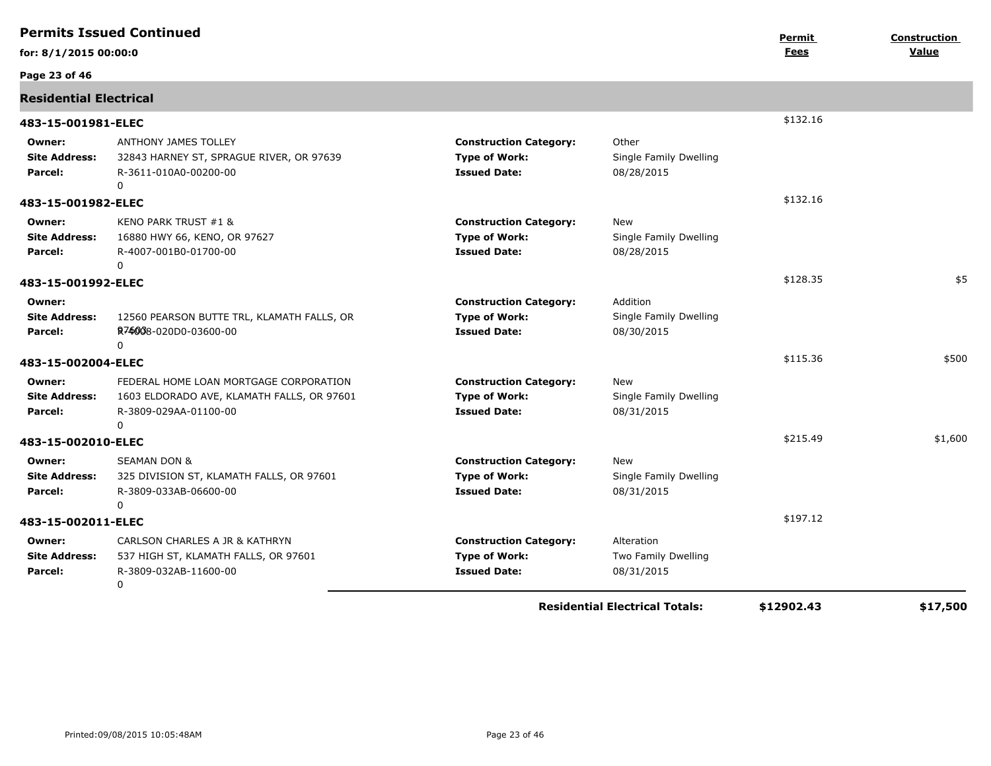|                                           | <b>Permits Issued Continued</b>                                                                                    |                                                                              |                                                  | Permit     | <b>Construction</b> |
|-------------------------------------------|--------------------------------------------------------------------------------------------------------------------|------------------------------------------------------------------------------|--------------------------------------------------|------------|---------------------|
| for: 8/1/2015 00:00:0                     |                                                                                                                    |                                                                              |                                                  | Fees       | Value               |
| Page 23 of 46                             |                                                                                                                    |                                                                              |                                                  |            |                     |
| <b>Residential Electrical</b>             |                                                                                                                    |                                                                              |                                                  |            |                     |
| 483-15-001981-ELEC                        |                                                                                                                    |                                                                              |                                                  | \$132.16   |                     |
| Owner:<br><b>Site Address:</b><br>Parcel: | ANTHONY JAMES TOLLEY<br>32843 HARNEY ST, SPRAGUE RIVER, OR 97639<br>R-3611-010A0-00200-00<br>$\mathbf 0$           | <b>Construction Category:</b><br><b>Type of Work:</b><br><b>Issued Date:</b> | Other<br>Single Family Dwelling<br>08/28/2015    |            |                     |
| 483-15-001982-ELEC                        |                                                                                                                    |                                                                              |                                                  | \$132.16   |                     |
| Owner:<br><b>Site Address:</b><br>Parcel: | KENO PARK TRUST #1 &<br>16880 HWY 66, KENO, OR 97627<br>R-4007-001B0-01700-00<br>$\Omega$                          | <b>Construction Category:</b><br><b>Type of Work:</b><br><b>Issued Date:</b> | New<br>Single Family Dwelling<br>08/28/2015      |            |                     |
| 483-15-001992-ELEC                        |                                                                                                                    |                                                                              |                                                  | \$128.35   | \$5                 |
| Owner:<br><b>Site Address:</b><br>Parcel: | 12560 PEARSON BUTTE TRL, KLAMATH FALLS, OR<br>R74008-020D0-03600-00<br>$\Omega$                                    | <b>Construction Category:</b><br><b>Type of Work:</b><br><b>Issued Date:</b> | Addition<br>Single Family Dwelling<br>08/30/2015 |            |                     |
| 483-15-002004-ELEC                        |                                                                                                                    |                                                                              |                                                  | \$115.36   | \$500               |
| Owner:<br><b>Site Address:</b><br>Parcel: | FEDERAL HOME LOAN MORTGAGE CORPORATION<br>1603 ELDORADO AVE, KLAMATH FALLS, OR 97601<br>R-3809-029AA-01100-00<br>0 | <b>Construction Category:</b><br><b>Type of Work:</b><br><b>Issued Date:</b> | New<br>Single Family Dwelling<br>08/31/2015      |            |                     |
| 483-15-002010-ELEC                        |                                                                                                                    |                                                                              |                                                  | \$215.49   | \$1,600             |
| Owner:<br><b>Site Address:</b><br>Parcel: | <b>SEAMAN DON &amp;</b><br>325 DIVISION ST, KLAMATH FALLS, OR 97601<br>R-3809-033AB-06600-00<br>$\mathbf 0$        | <b>Construction Category:</b><br><b>Type of Work:</b><br><b>Issued Date:</b> | New<br>Single Family Dwelling<br>08/31/2015      |            |                     |
| 483-15-002011-ELEC                        |                                                                                                                    |                                                                              |                                                  | \$197.12   |                     |
| Owner:<br><b>Site Address:</b><br>Parcel: | CARLSON CHARLES A JR & KATHRYN<br>537 HIGH ST, KLAMATH FALLS, OR 97601<br>R-3809-032AB-11600-00<br>0               | <b>Construction Category:</b><br><b>Type of Work:</b><br><b>Issued Date:</b> | Alteration<br>Two Family Dwelling<br>08/31/2015  |            |                     |
|                                           |                                                                                                                    |                                                                              | <b>Residential Electrical Totals:</b>            | \$12902.43 | \$17,500            |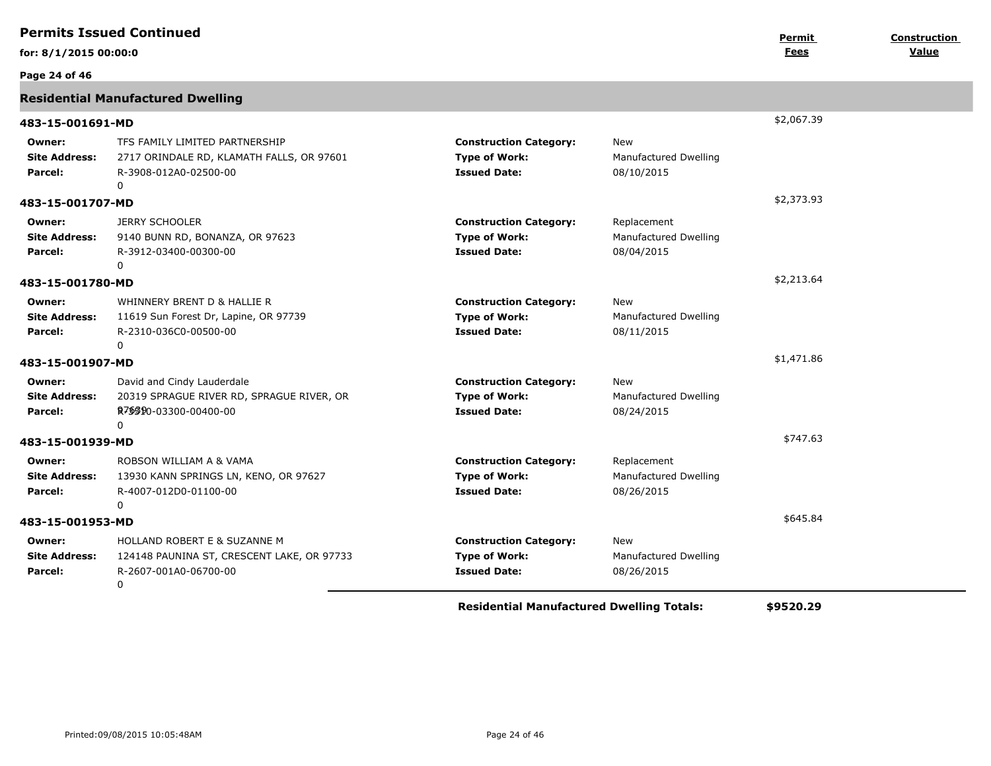|                                           | <b>Permits Issued Continued</b>                                                                           |                                                                              |                                                    | Permit     | Construction |
|-------------------------------------------|-----------------------------------------------------------------------------------------------------------|------------------------------------------------------------------------------|----------------------------------------------------|------------|--------------|
| for: 8/1/2015 00:00:0                     |                                                                                                           |                                                                              |                                                    | Fees       | Value        |
| Page 24 of 46                             |                                                                                                           |                                                                              |                                                    |            |              |
|                                           | <b>Residential Manufactured Dwelling</b>                                                                  |                                                                              |                                                    |            |              |
| 483-15-001691-MD                          |                                                                                                           |                                                                              |                                                    | \$2,067.39 |              |
| Owner:<br><b>Site Address:</b><br>Parcel: | TFS FAMILY LIMITED PARTNERSHIP<br>2717 ORINDALE RD, KLAMATH FALLS, OR 97601<br>R-3908-012A0-02500-00<br>0 | <b>Construction Category:</b><br><b>Type of Work:</b><br><b>Issued Date:</b> | New<br>Manufactured Dwelling<br>08/10/2015         |            |              |
| 483-15-001707-MD                          |                                                                                                           |                                                                              |                                                    | \$2,373.93 |              |
| Owner:<br><b>Site Address:</b><br>Parcel: | <b>JERRY SCHOOLER</b><br>9140 BUNN RD, BONANZA, OR 97623<br>R-3912-03400-00300-00<br>$\Omega$             | <b>Construction Category:</b><br><b>Type of Work:</b><br><b>Issued Date:</b> | Replacement<br>Manufactured Dwelling<br>08/04/2015 |            |              |
| 483-15-001780-MD                          |                                                                                                           |                                                                              |                                                    | \$2,213.64 |              |
| Owner:<br><b>Site Address:</b><br>Parcel: | WHINNERY BRENT D & HALLIE R<br>11619 Sun Forest Dr, Lapine, OR 97739<br>R-2310-036C0-00500-00<br>$\Omega$ | <b>Construction Category:</b><br><b>Type of Work:</b><br><b>Issued Date:</b> | New<br>Manufactured Dwelling<br>08/11/2015         |            |              |
| 483-15-001907-MD                          |                                                                                                           |                                                                              |                                                    | \$1,471.86 |              |
| Owner:<br><b>Site Address:</b><br>Parcel: | David and Cindy Lauderdale<br>20319 SPRAGUE RIVER RD, SPRAGUE RIVER, OR<br>R7\$\$90-03300-00400-00<br>0   | <b>Construction Category:</b><br><b>Type of Work:</b><br><b>Issued Date:</b> | New<br>Manufactured Dwelling<br>08/24/2015         |            |              |
| 483-15-001939-MD                          |                                                                                                           |                                                                              |                                                    | \$747.63   |              |
| Owner:<br><b>Site Address:</b><br>Parcel: | ROBSON WILLIAM A & VAMA<br>13930 KANN SPRINGS LN, KENO, OR 97627<br>R-4007-012D0-01100-00<br>0            | <b>Construction Category:</b><br><b>Type of Work:</b><br><b>Issued Date:</b> | Replacement<br>Manufactured Dwelling<br>08/26/2015 |            |              |
| 483-15-001953-MD                          |                                                                                                           |                                                                              |                                                    | \$645.84   |              |
| Owner:<br><b>Site Address:</b><br>Parcel: | HOLLAND ROBERT E & SUZANNE M<br>124148 PAUNINA ST, CRESCENT LAKE, OR 97733<br>R-2607-001A0-06700-00<br>0  | <b>Construction Category:</b><br><b>Type of Work:</b><br><b>Issued Date:</b> | New<br>Manufactured Dwelling<br>08/26/2015         |            |              |
|                                           |                                                                                                           | <b>Residential Manufactured Dwelling Totals:</b>                             |                                                    | \$9520.29  |              |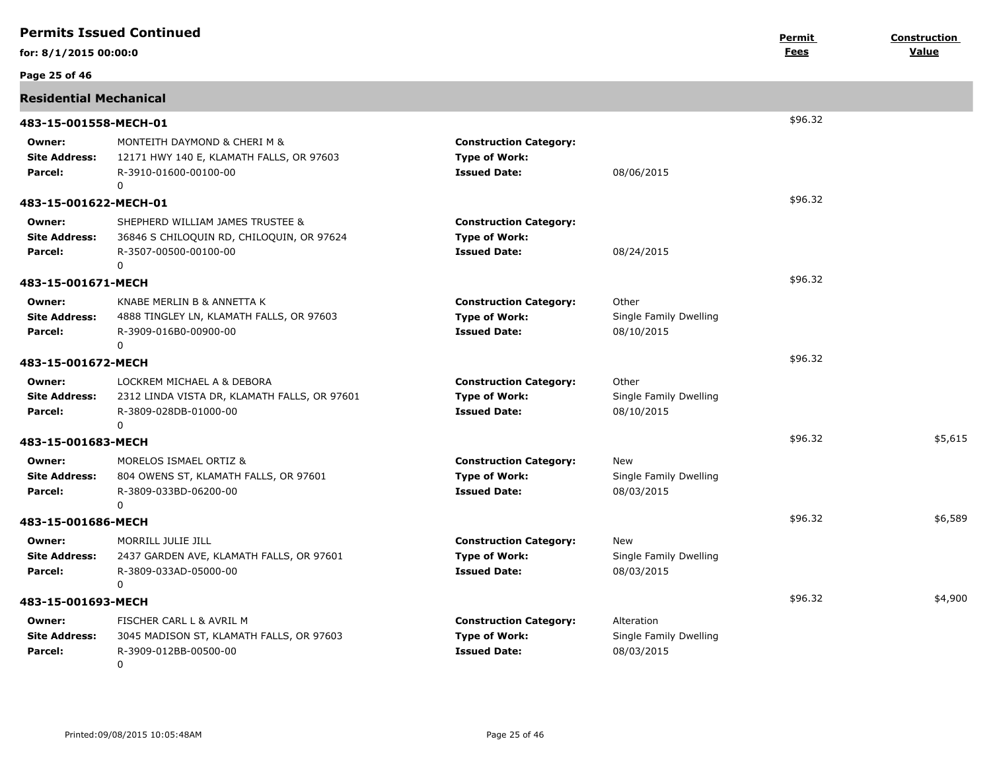|                                           | <b>Permits Issued Continued</b>                                                                               |                                                                              |                                                    | Permit  | <b>Construction</b> |
|-------------------------------------------|---------------------------------------------------------------------------------------------------------------|------------------------------------------------------------------------------|----------------------------------------------------|---------|---------------------|
| for: 8/1/2015 00:00:0                     |                                                                                                               |                                                                              |                                                    | Fees    | Value               |
| Page 25 of 46                             |                                                                                                               |                                                                              |                                                    |         |                     |
| <b>Residential Mechanical</b>             |                                                                                                               |                                                                              |                                                    |         |                     |
| 483-15-001558-MECH-01                     |                                                                                                               |                                                                              |                                                    | \$96.32 |                     |
| Owner:<br><b>Site Address:</b><br>Parcel: | MONTEITH DAYMOND & CHERI M &<br>12171 HWY 140 E, KLAMATH FALLS, OR 97603<br>R-3910-01600-00100-00<br>$\Omega$ | <b>Construction Category:</b><br><b>Type of Work:</b><br><b>Issued Date:</b> | 08/06/2015                                         |         |                     |
| 483-15-001622-MECH-01                     |                                                                                                               |                                                                              |                                                    | \$96.32 |                     |
| Owner:<br><b>Site Address:</b><br>Parcel: | SHEPHERD WILLIAM JAMES TRUSTEE &<br>36846 S CHILOQUIN RD, CHILOQUIN, OR 97624<br>R-3507-00500-00100-00<br>0   | <b>Construction Category:</b><br><b>Type of Work:</b><br><b>Issued Date:</b> | 08/24/2015                                         |         |                     |
| 483-15-001671-MECH                        |                                                                                                               |                                                                              |                                                    | \$96.32 |                     |
| Owner:<br><b>Site Address:</b><br>Parcel: | KNABE MERLIN B & ANNETTA K<br>4888 TINGLEY LN, KLAMATH FALLS, OR 97603<br>R-3909-016B0-00900-00<br>0          | <b>Construction Category:</b><br><b>Type of Work:</b><br><b>Issued Date:</b> | Other<br>Single Family Dwelling<br>08/10/2015      |         |                     |
| 483-15-001672-MECH                        |                                                                                                               |                                                                              |                                                    | \$96.32 |                     |
| Owner:<br><b>Site Address:</b><br>Parcel: | LOCKREM MICHAEL A & DEBORA<br>2312 LINDA VISTA DR, KLAMATH FALLS, OR 97601<br>R-3809-028DB-01000-00<br>0      | <b>Construction Category:</b><br><b>Type of Work:</b><br><b>Issued Date:</b> | Other<br>Single Family Dwelling<br>08/10/2015      |         |                     |
| 483-15-001683-MECH                        |                                                                                                               |                                                                              |                                                    | \$96.32 | \$5,615             |
| Owner:<br><b>Site Address:</b><br>Parcel: | MORELOS ISMAEL ORTIZ &<br>804 OWENS ST, KLAMATH FALLS, OR 97601<br>R-3809-033BD-06200-00<br>0                 | <b>Construction Category:</b><br><b>Type of Work:</b><br><b>Issued Date:</b> | New<br>Single Family Dwelling<br>08/03/2015        |         |                     |
| 483-15-001686-MECH                        |                                                                                                               |                                                                              |                                                    | \$96.32 | \$6,589             |
| Owner:<br><b>Site Address:</b><br>Parcel: | MORRILL JULIE JILL<br>2437 GARDEN AVE, KLAMATH FALLS, OR 97601<br>R-3809-033AD-05000-00<br>$\Omega$           | <b>Construction Category:</b><br><b>Type of Work:</b><br><b>Issued Date:</b> | New<br>Single Family Dwelling<br>08/03/2015        |         |                     |
| 483-15-001693-MECH                        |                                                                                                               |                                                                              |                                                    | \$96.32 | \$4,900             |
| Owner:<br><b>Site Address:</b><br>Parcel: | FISCHER CARL L & AVRIL M<br>3045 MADISON ST, KLAMATH FALLS, OR 97603<br>R-3909-012BB-00500-00<br>0            | <b>Construction Category:</b><br><b>Type of Work:</b><br><b>Issued Date:</b> | Alteration<br>Single Family Dwelling<br>08/03/2015 |         |                     |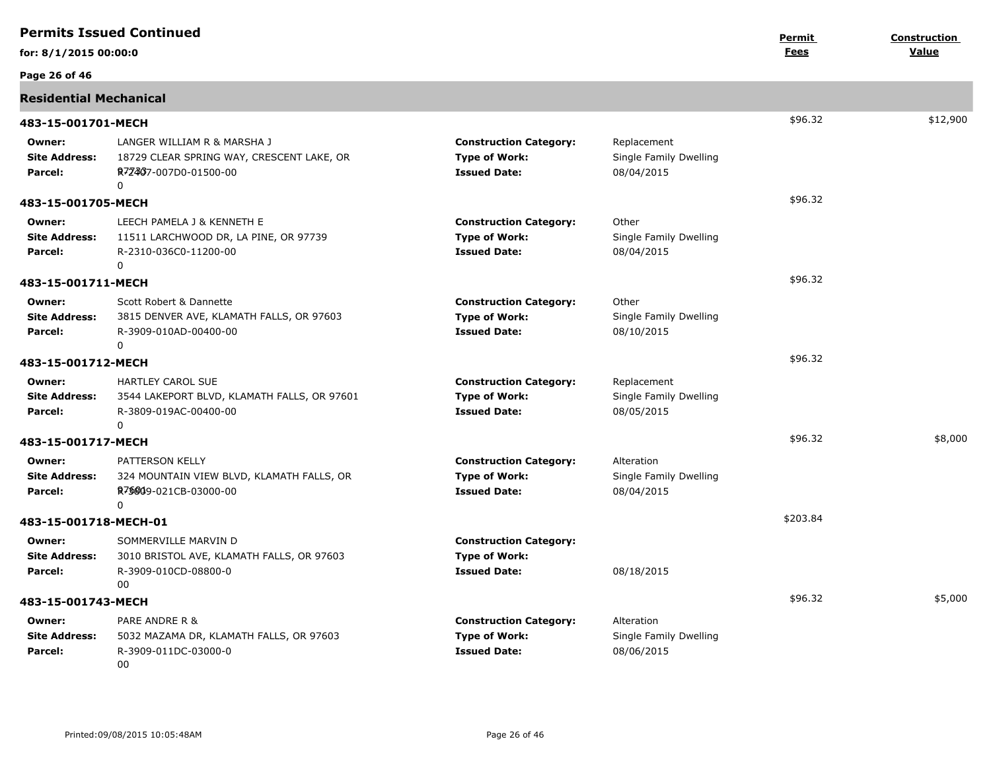|                                           | <b>Permits Issued Continued</b>                                                                               |                                                                              |                                                     | Permit      | <b>Construction</b> |
|-------------------------------------------|---------------------------------------------------------------------------------------------------------------|------------------------------------------------------------------------------|-----------------------------------------------------|-------------|---------------------|
| for: 8/1/2015 00:00:0                     |                                                                                                               |                                                                              |                                                     | <u>Fees</u> | Value               |
| Page 26 of 46                             |                                                                                                               |                                                                              |                                                     |             |                     |
| <b>Residential Mechanical</b>             |                                                                                                               |                                                                              |                                                     |             |                     |
| 483-15-001701-MECH                        |                                                                                                               |                                                                              |                                                     | \$96.32     | \$12,900            |
| Owner:<br><b>Site Address:</b><br>Parcel: | LANGER WILLIAM R & MARSHA J<br>18729 CLEAR SPRING WAY, CRESCENT LAKE, OR<br>R72467-007D0-01500-00<br>$\Omega$ | <b>Construction Category:</b><br><b>Type of Work:</b><br><b>Issued Date:</b> | Replacement<br>Single Family Dwelling<br>08/04/2015 |             |                     |
| 483-15-001705-MECH                        |                                                                                                               |                                                                              |                                                     | \$96.32     |                     |
| Owner:<br><b>Site Address:</b><br>Parcel: | LEECH PAMELA J & KENNETH E<br>11511 LARCHWOOD DR, LA PINE, OR 97739<br>R-2310-036C0-11200-00<br>$\mathbf 0$   | <b>Construction Category:</b><br><b>Type of Work:</b><br><b>Issued Date:</b> | Other<br>Single Family Dwelling<br>08/04/2015       |             |                     |
| 483-15-001711-MECH                        |                                                                                                               |                                                                              |                                                     | \$96.32     |                     |
| Owner:<br><b>Site Address:</b><br>Parcel: | Scott Robert & Dannette<br>3815 DENVER AVE, KLAMATH FALLS, OR 97603<br>R-3909-010AD-00400-00<br>$\mathbf{0}$  | <b>Construction Category:</b><br><b>Type of Work:</b><br><b>Issued Date:</b> | Other<br>Single Family Dwelling<br>08/10/2015       |             |                     |
| 483-15-001712-MECH                        |                                                                                                               |                                                                              |                                                     | \$96.32     |                     |
| Owner:<br><b>Site Address:</b><br>Parcel: | HARTLEY CAROL SUE<br>3544 LAKEPORT BLVD, KLAMATH FALLS, OR 97601<br>R-3809-019AC-00400-00<br>$\Omega$         | <b>Construction Category:</b><br><b>Type of Work:</b><br><b>Issued Date:</b> | Replacement<br>Single Family Dwelling<br>08/05/2015 |             |                     |
| 483-15-001717-MECH                        |                                                                                                               |                                                                              |                                                     | \$96.32     | \$8,000             |
| Owner:<br><b>Site Address:</b><br>Parcel: | PATTERSON KELLY<br>324 MOUNTAIN VIEW BLVD, KLAMATH FALLS, OR<br>R75809-021CB-03000-00<br>0                    | <b>Construction Category:</b><br><b>Type of Work:</b><br><b>Issued Date:</b> | Alteration<br>Single Family Dwelling<br>08/04/2015  |             |                     |
| 483-15-001718-MECH-01                     |                                                                                                               |                                                                              |                                                     | \$203.84    |                     |
| Owner:<br><b>Site Address:</b><br>Parcel: | SOMMERVILLE MARVIN D<br>3010 BRISTOL AVE, KLAMATH FALLS, OR 97603<br>R-3909-010CD-08800-0<br>00               | <b>Construction Category:</b><br><b>Type of Work:</b><br><b>Issued Date:</b> | 08/18/2015                                          |             |                     |
| 483-15-001743-MECH                        |                                                                                                               |                                                                              |                                                     | \$96.32     | \$5,000             |
| Owner:<br><b>Site Address:</b><br>Parcel: | PARE ANDRE R &<br>5032 MAZAMA DR, KLAMATH FALLS, OR 97603<br>R-3909-011DC-03000-0<br>00                       | <b>Construction Category:</b><br><b>Type of Work:</b><br><b>Issued Date:</b> | Alteration<br>Single Family Dwelling<br>08/06/2015  |             |                     |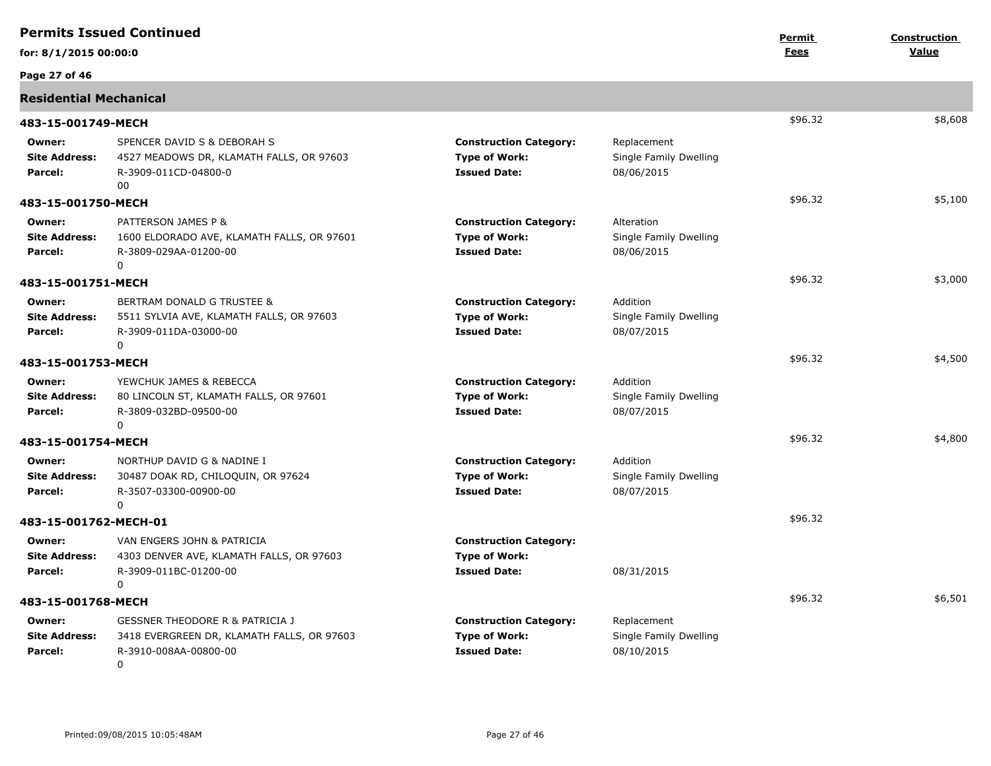|                                           | <b>Permits Issued Continued</b>                                                                                                  |                                                                              |                                                     | Permit      | <b>Construction</b> |
|-------------------------------------------|----------------------------------------------------------------------------------------------------------------------------------|------------------------------------------------------------------------------|-----------------------------------------------------|-------------|---------------------|
| for: 8/1/2015 00:00:0                     |                                                                                                                                  |                                                                              |                                                     | <u>Fees</u> | Value               |
| Page 27 of 46                             |                                                                                                                                  |                                                                              |                                                     |             |                     |
| <b>Residential Mechanical</b>             |                                                                                                                                  |                                                                              |                                                     |             |                     |
| 483-15-001749-MECH                        |                                                                                                                                  |                                                                              |                                                     | \$96.32     | \$8,608             |
| Owner:<br><b>Site Address:</b><br>Parcel: | SPENCER DAVID S & DEBORAH S<br>4527 MEADOWS DR, KLAMATH FALLS, OR 97603<br>R-3909-011CD-04800-0<br>00                            | <b>Construction Category:</b><br><b>Type of Work:</b><br><b>Issued Date:</b> | Replacement<br>Single Family Dwelling<br>08/06/2015 |             |                     |
| 483-15-001750-MECH                        |                                                                                                                                  |                                                                              |                                                     | \$96.32     | \$5,100             |
| Owner:<br><b>Site Address:</b><br>Parcel: | PATTERSON JAMES P &<br>1600 ELDORADO AVE, KLAMATH FALLS, OR 97601<br>R-3809-029AA-01200-00<br>0                                  | <b>Construction Category:</b><br><b>Type of Work:</b><br><b>Issued Date:</b> | Alteration<br>Single Family Dwelling<br>08/06/2015  |             |                     |
| 483-15-001751-MECH                        |                                                                                                                                  |                                                                              |                                                     | \$96.32     | \$3,000             |
| Owner:<br><b>Site Address:</b><br>Parcel: | BERTRAM DONALD G TRUSTEE &<br>5511 SYLVIA AVE, KLAMATH FALLS, OR 97603<br>R-3909-011DA-03000-00<br>0                             | <b>Construction Category:</b><br><b>Type of Work:</b><br><b>Issued Date:</b> | Addition<br>Single Family Dwelling<br>08/07/2015    |             |                     |
| 483-15-001753-MECH                        |                                                                                                                                  |                                                                              |                                                     | \$96.32     | \$4,500             |
| Owner:<br><b>Site Address:</b><br>Parcel: | YEWCHUK JAMES & REBECCA<br>80 LINCOLN ST, KLAMATH FALLS, OR 97601<br>R-3809-032BD-09500-00<br>$\Omega$                           | <b>Construction Category:</b><br><b>Type of Work:</b><br><b>Issued Date:</b> | Addition<br>Single Family Dwelling<br>08/07/2015    |             |                     |
| 483-15-001754-MECH                        |                                                                                                                                  |                                                                              |                                                     | \$96.32     | \$4,800             |
| Owner:<br><b>Site Address:</b><br>Parcel: | NORTHUP DAVID G & NADINE I<br>30487 DOAK RD, CHILOQUIN, OR 97624<br>R-3507-03300-00900-00<br>0                                   | <b>Construction Category:</b><br><b>Type of Work:</b><br><b>Issued Date:</b> | Addition<br>Single Family Dwelling<br>08/07/2015    |             |                     |
| 483-15-001762-MECH-01                     |                                                                                                                                  |                                                                              |                                                     | \$96.32     |                     |
| Owner:<br><b>Site Address:</b><br>Parcel: | VAN ENGERS JOHN & PATRICIA<br>4303 DENVER AVE, KLAMATH FALLS, OR 97603<br>R-3909-011BC-01200-00<br>$\mathbf 0$                   | <b>Construction Category:</b><br><b>Type of Work:</b><br><b>Issued Date:</b> | 08/31/2015                                          |             |                     |
| 483-15-001768-MECH                        |                                                                                                                                  |                                                                              |                                                     | \$96.32     | \$6,501             |
| Owner:<br><b>Site Address:</b><br>Parcel: | <b>GESSNER THEODORE R &amp; PATRICIA J</b><br>3418 EVERGREEN DR, KLAMATH FALLS, OR 97603<br>R-3910-008AA-00800-00<br>$\mathbf 0$ | <b>Construction Category:</b><br><b>Type of Work:</b><br><b>Issued Date:</b> | Replacement<br>Single Family Dwelling<br>08/10/2015 |             |                     |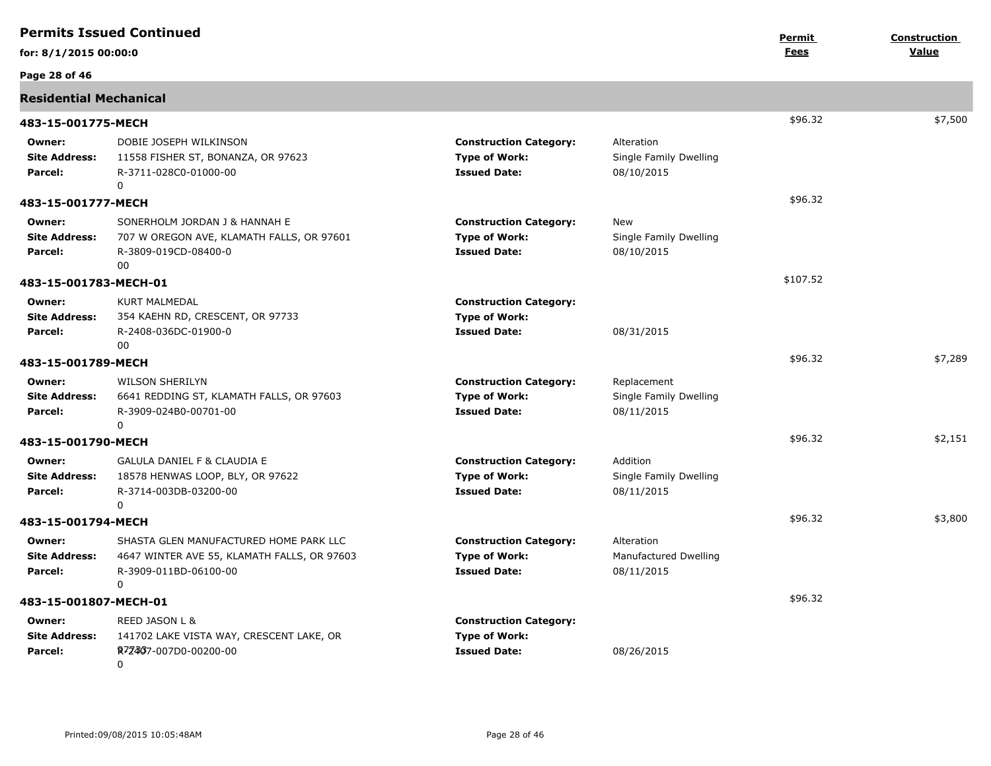|                                           | <b>Permits Issued Continued</b>                                                                                     |                                                                              |                                                     | Permit      | <b>Construction</b> |
|-------------------------------------------|---------------------------------------------------------------------------------------------------------------------|------------------------------------------------------------------------------|-----------------------------------------------------|-------------|---------------------|
| for: 8/1/2015 00:00:0                     |                                                                                                                     |                                                                              |                                                     | <b>Fees</b> | Value               |
| Page 28 of 46                             |                                                                                                                     |                                                                              |                                                     |             |                     |
| <b>Residential Mechanical</b>             |                                                                                                                     |                                                                              |                                                     |             |                     |
| 483-15-001775-MECH                        |                                                                                                                     |                                                                              |                                                     | \$96.32     | \$7,500             |
| Owner:<br><b>Site Address:</b><br>Parcel: | DOBIE JOSEPH WILKINSON<br>11558 FISHER ST, BONANZA, OR 97623<br>R-3711-028C0-01000-00<br>$\Omega$                   | <b>Construction Category:</b><br><b>Type of Work:</b><br><b>Issued Date:</b> | Alteration<br>Single Family Dwelling<br>08/10/2015  |             |                     |
| 483-15-001777-MECH                        |                                                                                                                     |                                                                              |                                                     | \$96.32     |                     |
| Owner:<br><b>Site Address:</b><br>Parcel: | SONERHOLM JORDAN J & HANNAH E<br>707 W OREGON AVE, KLAMATH FALLS, OR 97601<br>R-3809-019CD-08400-0<br>00            | <b>Construction Category:</b><br><b>Type of Work:</b><br><b>Issued Date:</b> | New<br>Single Family Dwelling<br>08/10/2015         |             |                     |
| 483-15-001783-MECH-01                     |                                                                                                                     |                                                                              |                                                     | \$107.52    |                     |
| Owner:<br><b>Site Address:</b><br>Parcel: | <b>KURT MALMEDAL</b><br>354 KAEHN RD, CRESCENT, OR 97733<br>R-2408-036DC-01900-0<br>00                              | <b>Construction Category:</b><br><b>Type of Work:</b><br><b>Issued Date:</b> | 08/31/2015                                          |             |                     |
| 483-15-001789-MECH                        |                                                                                                                     |                                                                              |                                                     | \$96.32     | \$7,289             |
| Owner:<br><b>Site Address:</b><br>Parcel: | <b>WILSON SHERILYN</b><br>6641 REDDING ST, KLAMATH FALLS, OR 97603<br>R-3909-024B0-00701-00<br>0                    | <b>Construction Category:</b><br><b>Type of Work:</b><br><b>Issued Date:</b> | Replacement<br>Single Family Dwelling<br>08/11/2015 |             |                     |
| 483-15-001790-MECH                        |                                                                                                                     |                                                                              |                                                     | \$96.32     | \$2,151             |
| Owner:<br><b>Site Address:</b><br>Parcel: | <b>GALULA DANIEL F &amp; CLAUDIA E</b><br>18578 HENWAS LOOP, BLY, OR 97622<br>R-3714-003DB-03200-00<br>0            | <b>Construction Category:</b><br><b>Type of Work:</b><br><b>Issued Date:</b> | Addition<br>Single Family Dwelling<br>08/11/2015    |             |                     |
| 483-15-001794-MECH                        |                                                                                                                     |                                                                              |                                                     | \$96.32     | \$3,800             |
| Owner:<br><b>Site Address:</b><br>Parcel: | SHASTA GLEN MANUFACTURED HOME PARK LLC<br>4647 WINTER AVE 55, KLAMATH FALLS, OR 97603<br>R-3909-011BD-06100-00<br>0 | <b>Construction Category:</b><br><b>Type of Work:</b><br><b>Issued Date:</b> | Alteration<br>Manufactured Dwelling<br>08/11/2015   |             |                     |
| 483-15-001807-MECH-01                     |                                                                                                                     |                                                                              |                                                     | \$96.32     |                     |
| Owner:<br><b>Site Address:</b><br>Parcel: | REED JASON L &<br>141702 LAKE VISTA WAY, CRESCENT LAKE, OR<br>R724837-007D0-00200-00<br>0                           | <b>Construction Category:</b><br><b>Type of Work:</b><br><b>Issued Date:</b> | 08/26/2015                                          |             |                     |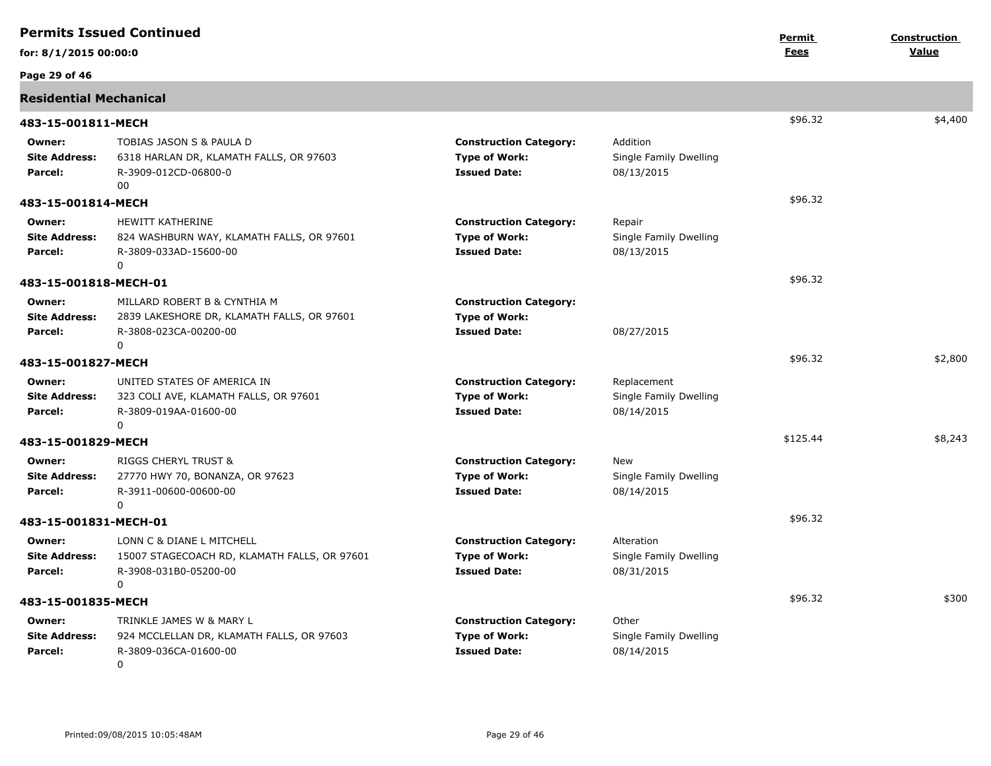|                                           | <b>Permits Issued Continued</b>                                                                                    |                                                                              |                                                     | Permit   | Construction |
|-------------------------------------------|--------------------------------------------------------------------------------------------------------------------|------------------------------------------------------------------------------|-----------------------------------------------------|----------|--------------|
| for: 8/1/2015 00:00:0                     |                                                                                                                    |                                                                              |                                                     | Fees     | <b>Value</b> |
| Page 29 of 46                             |                                                                                                                    |                                                                              |                                                     |          |              |
| <b>Residential Mechanical</b>             |                                                                                                                    |                                                                              |                                                     |          |              |
| 483-15-001811-MECH                        |                                                                                                                    |                                                                              |                                                     | \$96.32  | \$4,400      |
| Owner:<br><b>Site Address:</b><br>Parcel: | TOBIAS JASON S & PAULA D<br>6318 HARLAN DR, KLAMATH FALLS, OR 97603<br>R-3909-012CD-06800-0<br>00                  | <b>Construction Category:</b><br><b>Type of Work:</b><br><b>Issued Date:</b> | Addition<br>Single Family Dwelling<br>08/13/2015    |          |              |
| 483-15-001814-MECH                        |                                                                                                                    |                                                                              |                                                     | \$96.32  |              |
| Owner:<br><b>Site Address:</b><br>Parcel: | HEWITT KATHERINE<br>824 WASHBURN WAY, KLAMATH FALLS, OR 97601<br>R-3809-033AD-15600-00<br>0                        | <b>Construction Category:</b><br><b>Type of Work:</b><br><b>Issued Date:</b> | Repair<br>Single Family Dwelling<br>08/13/2015      |          |              |
| 483-15-001818-MECH-01                     |                                                                                                                    |                                                                              |                                                     | \$96.32  |              |
| Owner:<br><b>Site Address:</b><br>Parcel: | MILLARD ROBERT B & CYNTHIA M<br>2839 LAKESHORE DR, KLAMATH FALLS, OR 97601<br>R-3808-023CA-00200-00<br>$\mathbf 0$ | <b>Construction Category:</b><br><b>Type of Work:</b><br><b>Issued Date:</b> | 08/27/2015                                          |          |              |
| 483-15-001827-MECH                        |                                                                                                                    |                                                                              |                                                     | \$96.32  | \$2,800      |
| Owner:<br><b>Site Address:</b><br>Parcel: | UNITED STATES OF AMERICA IN<br>323 COLI AVE, KLAMATH FALLS, OR 97601<br>R-3809-019AA-01600-00<br>$\Omega$          | <b>Construction Category:</b><br><b>Type of Work:</b><br><b>Issued Date:</b> | Replacement<br>Single Family Dwelling<br>08/14/2015 |          |              |
| 483-15-001829-MECH                        |                                                                                                                    |                                                                              |                                                     | \$125.44 | \$8,243      |
| Owner:<br><b>Site Address:</b><br>Parcel: | <b>RIGGS CHERYL TRUST &amp;</b><br>27770 HWY 70, BONANZA, OR 97623<br>R-3911-00600-00600-00<br>$\mathbf 0$         | <b>Construction Category:</b><br><b>Type of Work:</b><br><b>Issued Date:</b> | New<br>Single Family Dwelling<br>08/14/2015         |          |              |
| 483-15-001831-MECH-01                     |                                                                                                                    |                                                                              |                                                     | \$96.32  |              |
| Owner:<br><b>Site Address:</b><br>Parcel: | LONN C & DIANE L MITCHELL<br>15007 STAGECOACH RD, KLAMATH FALLS, OR 97601<br>R-3908-031B0-05200-00<br>0            | <b>Construction Category:</b><br><b>Type of Work:</b><br><b>Issued Date:</b> | Alteration<br>Single Family Dwelling<br>08/31/2015  |          |              |
| 483-15-001835-MECH                        |                                                                                                                    |                                                                              |                                                     | \$96.32  | \$300        |
| Owner:<br><b>Site Address:</b><br>Parcel: | TRINKLE JAMES W & MARY L<br>924 MCCLELLAN DR, KLAMATH FALLS, OR 97603<br>R-3809-036CA-01600-00<br>$\mathbf 0$      | <b>Construction Category:</b><br><b>Type of Work:</b><br><b>Issued Date:</b> | Other<br>Single Family Dwelling<br>08/14/2015       |          |              |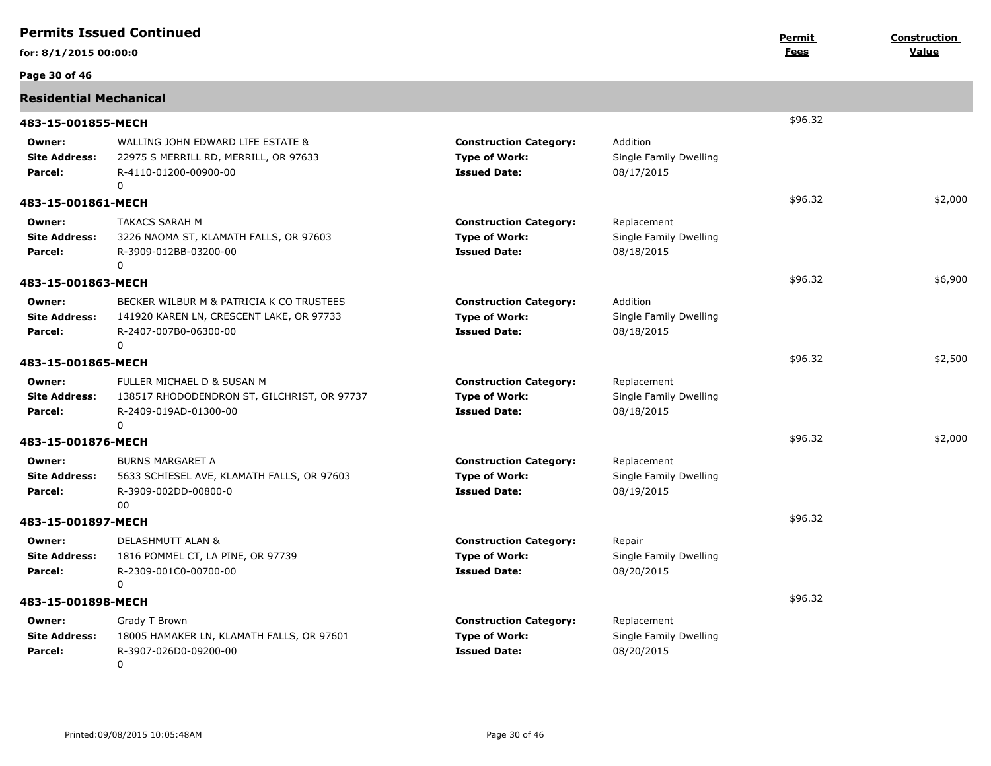|                                           | <b>Permits Issued Continued</b>                                                                                    |                                                                              |                                                     | Permit      | <b>Construction</b> |
|-------------------------------------------|--------------------------------------------------------------------------------------------------------------------|------------------------------------------------------------------------------|-----------------------------------------------------|-------------|---------------------|
| for: 8/1/2015 00:00:0                     |                                                                                                                    |                                                                              |                                                     | <b>Fees</b> | Value               |
| Page 30 of 46                             |                                                                                                                    |                                                                              |                                                     |             |                     |
| <b>Residential Mechanical</b>             |                                                                                                                    |                                                                              |                                                     |             |                     |
| 483-15-001855-MECH                        |                                                                                                                    |                                                                              |                                                     | \$96.32     |                     |
| Owner:<br><b>Site Address:</b><br>Parcel: | WALLING JOHN EDWARD LIFE ESTATE &<br>22975 S MERRILL RD, MERRILL, OR 97633<br>R-4110-01200-00900-00<br>0           | <b>Construction Category:</b><br><b>Type of Work:</b><br><b>Issued Date:</b> | Addition<br>Single Family Dwelling<br>08/17/2015    |             |                     |
| 483-15-001861-MECH                        |                                                                                                                    |                                                                              |                                                     | \$96.32     | \$2,000             |
| Owner:<br><b>Site Address:</b><br>Parcel: | <b>TAKACS SARAH M</b><br>3226 NAOMA ST, KLAMATH FALLS, OR 97603<br>R-3909-012BB-03200-00<br>0                      | <b>Construction Category:</b><br><b>Type of Work:</b><br><b>Issued Date:</b> | Replacement<br>Single Family Dwelling<br>08/18/2015 |             |                     |
| 483-15-001863-MECH                        |                                                                                                                    |                                                                              |                                                     | \$96.32     | \$6,900             |
| Owner:<br><b>Site Address:</b><br>Parcel: | BECKER WILBUR M & PATRICIA K CO TRUSTEES<br>141920 KAREN LN, CRESCENT LAKE, OR 97733<br>R-2407-007B0-06300-00<br>0 | <b>Construction Category:</b><br><b>Type of Work:</b><br><b>Issued Date:</b> | Addition<br>Single Family Dwelling<br>08/18/2015    |             |                     |
| 483-15-001865-MECH                        |                                                                                                                    |                                                                              |                                                     | \$96.32     | \$2,500             |
| Owner:<br><b>Site Address:</b><br>Parcel: | FULLER MICHAEL D & SUSAN M<br>138517 RHODODENDRON ST, GILCHRIST, OR 97737<br>R-2409-019AD-01300-00<br>$\Omega$     | <b>Construction Category:</b><br><b>Type of Work:</b><br><b>Issued Date:</b> | Replacement<br>Single Family Dwelling<br>08/18/2015 |             |                     |
| 483-15-001876-MECH                        |                                                                                                                    |                                                                              |                                                     | \$96.32     | \$2,000             |
| Owner:<br><b>Site Address:</b><br>Parcel: | <b>BURNS MARGARET A</b><br>5633 SCHIESEL AVE, KLAMATH FALLS, OR 97603<br>R-3909-002DD-00800-0<br>00                | <b>Construction Category:</b><br><b>Type of Work:</b><br><b>Issued Date:</b> | Replacement<br>Single Family Dwelling<br>08/19/2015 |             |                     |
| 483-15-001897-MECH                        |                                                                                                                    |                                                                              |                                                     | \$96.32     |                     |
| Owner:<br><b>Site Address:</b><br>Parcel: | DELASHMUTT ALAN &<br>1816 POMMEL CT, LA PINE, OR 97739<br>R-2309-001C0-00700-00<br>$\Omega$                        | <b>Construction Category:</b><br><b>Type of Work:</b><br><b>Issued Date:</b> | Repair<br>Single Family Dwelling<br>08/20/2015      |             |                     |
| 483-15-001898-MECH                        |                                                                                                                    |                                                                              |                                                     | \$96.32     |                     |
| Owner:<br><b>Site Address:</b><br>Parcel: | Grady T Brown<br>18005 HAMAKER LN, KLAMATH FALLS, OR 97601<br>R-3907-026D0-09200-00<br>0                           | <b>Construction Category:</b><br><b>Type of Work:</b><br><b>Issued Date:</b> | Replacement<br>Single Family Dwelling<br>08/20/2015 |             |                     |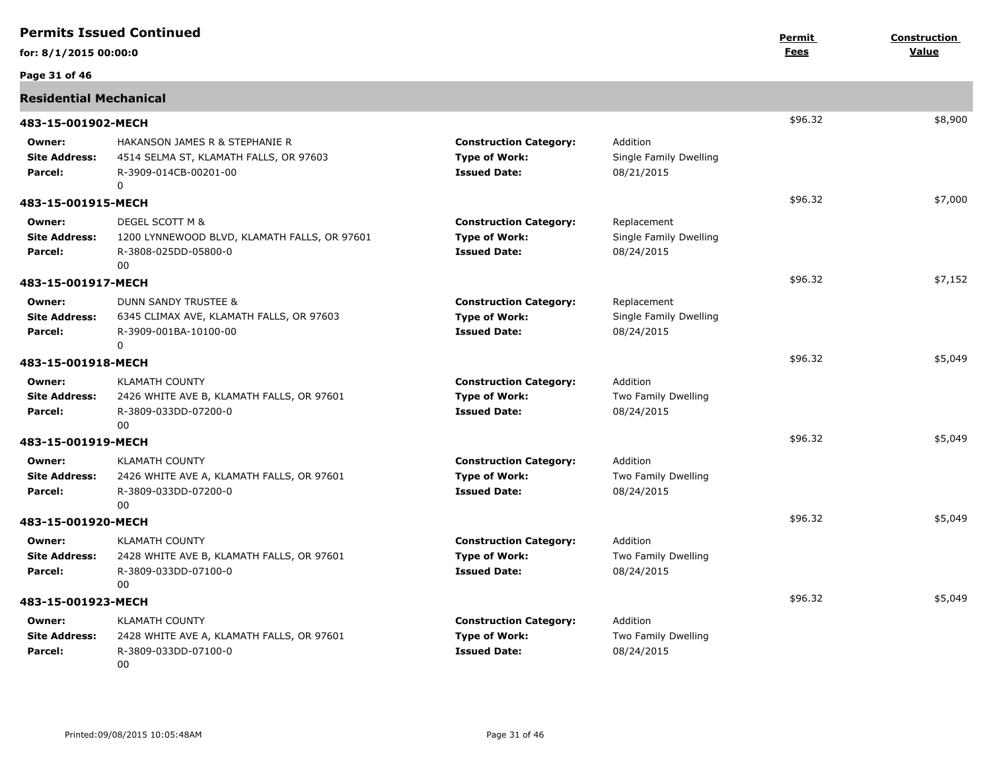|                                           | <b>Permits Issued Continued</b>                                                                               |                                                                              |                                                     | Permit      | <b>Construction</b> |
|-------------------------------------------|---------------------------------------------------------------------------------------------------------------|------------------------------------------------------------------------------|-----------------------------------------------------|-------------|---------------------|
| for: 8/1/2015 00:00:0                     |                                                                                                               |                                                                              |                                                     | <b>Fees</b> | Value               |
| Page 31 of 46                             |                                                                                                               |                                                                              |                                                     |             |                     |
| <b>Residential Mechanical</b>             |                                                                                                               |                                                                              |                                                     |             |                     |
| 483-15-001902-MECH                        |                                                                                                               |                                                                              |                                                     | \$96.32     | \$8,900             |
| Owner:<br><b>Site Address:</b><br>Parcel: | HAKANSON JAMES R & STEPHANIE R<br>4514 SELMA ST, KLAMATH FALLS, OR 97603<br>R-3909-014CB-00201-00<br>$\Omega$ | <b>Construction Category:</b><br><b>Type of Work:</b><br><b>Issued Date:</b> | Addition<br>Single Family Dwelling<br>08/21/2015    |             |                     |
| 483-15-001915-MECH                        |                                                                                                               |                                                                              |                                                     | \$96.32     | \$7,000             |
| Owner:<br><b>Site Address:</b><br>Parcel: | DEGEL SCOTT M &<br>1200 LYNNEWOOD BLVD, KLAMATH FALLS, OR 97601<br>R-3808-025DD-05800-0<br>00                 | <b>Construction Category:</b><br><b>Type of Work:</b><br><b>Issued Date:</b> | Replacement<br>Single Family Dwelling<br>08/24/2015 |             |                     |
| 483-15-001917-MECH                        |                                                                                                               |                                                                              |                                                     | \$96.32     | \$7,152             |
| Owner:<br><b>Site Address:</b><br>Parcel: | DUNN SANDY TRUSTEE &<br>6345 CLIMAX AVE, KLAMATH FALLS, OR 97603<br>R-3909-001BA-10100-00<br>0                | <b>Construction Category:</b><br><b>Type of Work:</b><br><b>Issued Date:</b> | Replacement<br>Single Family Dwelling<br>08/24/2015 |             |                     |
| 483-15-001918-MECH                        |                                                                                                               |                                                                              |                                                     | \$96.32     | \$5,049             |
| Owner:<br><b>Site Address:</b><br>Parcel: | <b>KLAMATH COUNTY</b><br>2426 WHITE AVE B, KLAMATH FALLS, OR 97601<br>R-3809-033DD-07200-0<br>00              | <b>Construction Category:</b><br><b>Type of Work:</b><br><b>Issued Date:</b> | Addition<br>Two Family Dwelling<br>08/24/2015       |             |                     |
| 483-15-001919-MECH                        |                                                                                                               |                                                                              |                                                     | \$96.32     | \$5,049             |
| Owner:<br><b>Site Address:</b><br>Parcel: | <b>KLAMATH COUNTY</b><br>2426 WHITE AVE A, KLAMATH FALLS, OR 97601<br>R-3809-033DD-07200-0<br>00              | <b>Construction Category:</b><br><b>Type of Work:</b><br><b>Issued Date:</b> | Addition<br>Two Family Dwelling<br>08/24/2015       |             |                     |
| 483-15-001920-MECH                        |                                                                                                               |                                                                              |                                                     | \$96.32     | \$5,049             |
| Owner:<br><b>Site Address:</b><br>Parcel: | <b>KLAMATH COUNTY</b><br>2428 WHITE AVE B, KLAMATH FALLS, OR 97601<br>R-3809-033DD-07100-0<br>00              | <b>Construction Category:</b><br><b>Type of Work:</b><br><b>Issued Date:</b> | Addition<br>Two Family Dwelling<br>08/24/2015       |             |                     |
| 483-15-001923-MECH                        |                                                                                                               |                                                                              |                                                     | \$96.32     | \$5,049             |
| Owner:<br><b>Site Address:</b><br>Parcel: | <b>KLAMATH COUNTY</b><br>2428 WHITE AVE A, KLAMATH FALLS, OR 97601<br>R-3809-033DD-07100-0<br>00              | <b>Construction Category:</b><br><b>Type of Work:</b><br><b>Issued Date:</b> | Addition<br>Two Family Dwelling<br>08/24/2015       |             |                     |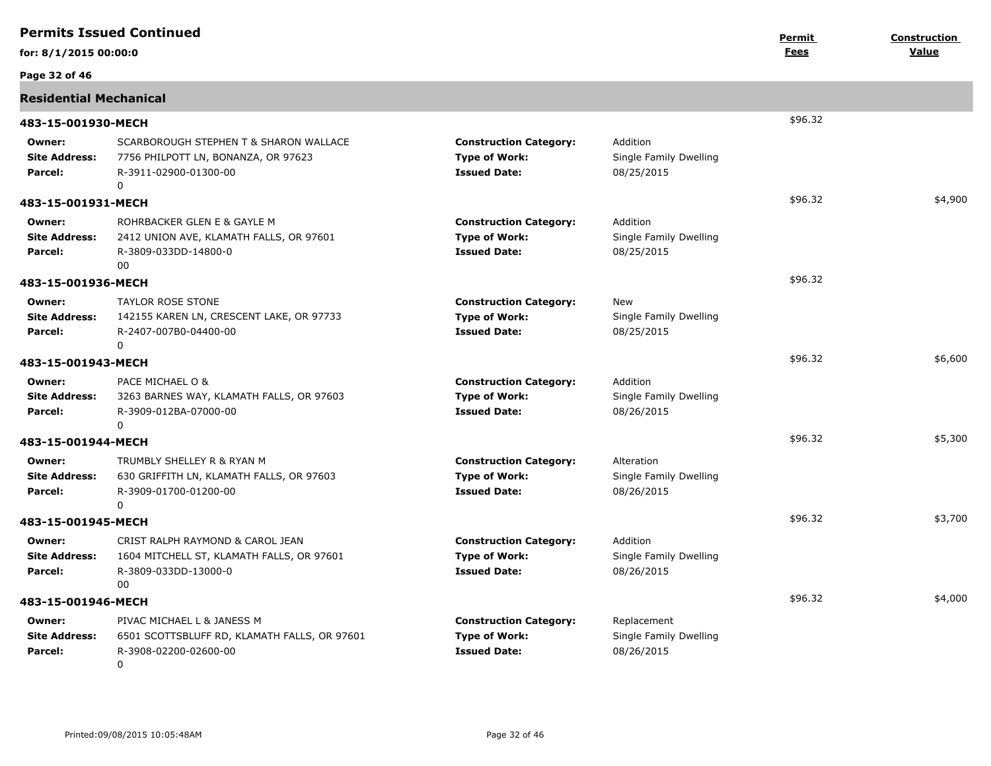|                                           | <b>Permits Issued Continued</b>                                                                              |                                                                              |                                                     | <u>Permit</u> | Construction |
|-------------------------------------------|--------------------------------------------------------------------------------------------------------------|------------------------------------------------------------------------------|-----------------------------------------------------|---------------|--------------|
| for: 8/1/2015 00:00:0                     |                                                                                                              |                                                                              |                                                     | Fees          | Value        |
| Page 32 of 46                             |                                                                                                              |                                                                              |                                                     |               |              |
| <b>Residential Mechanical</b>             |                                                                                                              |                                                                              |                                                     |               |              |
| 483-15-001930-MECH                        |                                                                                                              |                                                                              |                                                     | \$96.32       |              |
| Owner:<br><b>Site Address:</b><br>Parcel: | SCARBOROUGH STEPHEN T & SHARON WALLACE<br>7756 PHILPOTT LN, BONANZA, OR 97623<br>R-3911-02900-01300-00<br>0  | <b>Construction Category:</b><br><b>Type of Work:</b><br><b>Issued Date:</b> | Addition<br>Single Family Dwelling<br>08/25/2015    |               |              |
| 483-15-001931-MECH                        |                                                                                                              |                                                                              |                                                     | \$96.32       | \$4,900      |
| Owner:<br><b>Site Address:</b><br>Parcel: | ROHRBACKER GLEN E & GAYLE M<br>2412 UNION AVE, KLAMATH FALLS, OR 97601<br>R-3809-033DD-14800-0<br>00         | <b>Construction Category:</b><br><b>Type of Work:</b><br><b>Issued Date:</b> | Addition<br>Single Family Dwelling<br>08/25/2015    |               |              |
| 483-15-001936-MECH                        |                                                                                                              |                                                                              |                                                     | \$96.32       |              |
| Owner:<br><b>Site Address:</b><br>Parcel: | <b>TAYLOR ROSE STONE</b><br>142155 KAREN LN, CRESCENT LAKE, OR 97733<br>R-2407-007B0-04400-00<br>0           | <b>Construction Category:</b><br><b>Type of Work:</b><br><b>Issued Date:</b> | New<br>Single Family Dwelling<br>08/25/2015         |               |              |
| 483-15-001943-MECH                        |                                                                                                              |                                                                              |                                                     | \$96.32       | \$6,600      |
| Owner:<br><b>Site Address:</b><br>Parcel: | PACE MICHAEL O &<br>3263 BARNES WAY, KLAMATH FALLS, OR 97603<br>R-3909-012BA-07000-00<br>$\Omega$            | <b>Construction Category:</b><br><b>Type of Work:</b><br><b>Issued Date:</b> | Addition<br>Single Family Dwelling<br>08/26/2015    |               |              |
| 483-15-001944-MECH                        |                                                                                                              |                                                                              |                                                     | \$96.32       | \$5,300      |
| Owner:<br><b>Site Address:</b><br>Parcel: | TRUMBLY SHELLEY R & RYAN M<br>630 GRIFFITH LN, KLAMATH FALLS, OR 97603<br>R-3909-01700-01200-00<br>0         | <b>Construction Category:</b><br><b>Type of Work:</b><br><b>Issued Date:</b> | Alteration<br>Single Family Dwelling<br>08/26/2015  |               |              |
| 483-15-001945-MECH                        |                                                                                                              |                                                                              |                                                     | \$96.32       | \$3,700      |
| Owner:<br><b>Site Address:</b><br>Parcel: | CRIST RALPH RAYMOND & CAROL JEAN<br>1604 MITCHELL ST, KLAMATH FALLS, OR 97601<br>R-3809-033DD-13000-0<br>00. | <b>Construction Category:</b><br><b>Type of Work:</b><br><b>Issued Date:</b> | Addition<br>Single Family Dwelling<br>08/26/2015    |               |              |
| 483-15-001946-MECH                        |                                                                                                              |                                                                              |                                                     | \$96.32       | \$4,000      |
| Owner:<br><b>Site Address:</b><br>Parcel: | PIVAC MICHAEL L & JANESS M<br>6501 SCOTTSBLUFF RD, KLAMATH FALLS, OR 97601<br>R-3908-02200-02600-00<br>0     | <b>Construction Category:</b><br><b>Type of Work:</b><br><b>Issued Date:</b> | Replacement<br>Single Family Dwelling<br>08/26/2015 |               |              |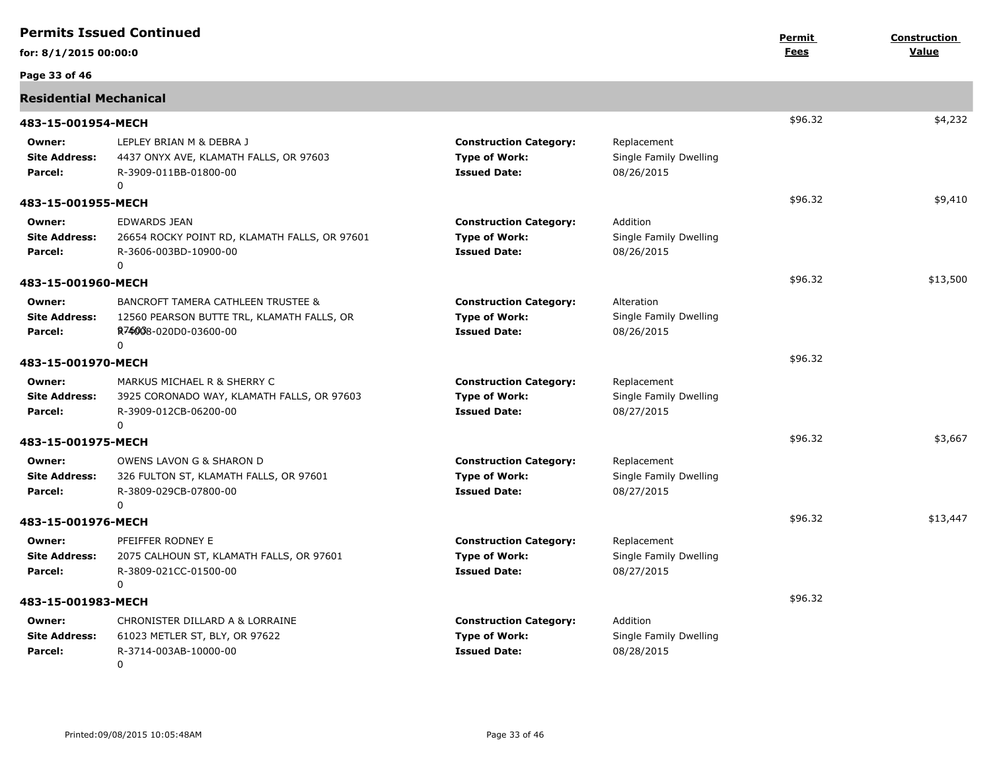|                                           | <b>Permits Issued Continued</b>                                                                                           |                                                                              |                                                     | Permit      | <b>Construction</b> |
|-------------------------------------------|---------------------------------------------------------------------------------------------------------------------------|------------------------------------------------------------------------------|-----------------------------------------------------|-------------|---------------------|
| for: 8/1/2015 00:00:0                     |                                                                                                                           |                                                                              |                                                     | <b>Fees</b> | Value               |
| Page 33 of 46                             |                                                                                                                           |                                                                              |                                                     |             |                     |
| <b>Residential Mechanical</b>             |                                                                                                                           |                                                                              |                                                     |             |                     |
| 483-15-001954-MECH                        |                                                                                                                           |                                                                              |                                                     | \$96.32     | \$4,232             |
| Owner:<br><b>Site Address:</b><br>Parcel: | LEPLEY BRIAN M & DEBRA J<br>4437 ONYX AVE, KLAMATH FALLS, OR 97603<br>R-3909-011BB-01800-00<br>0                          | <b>Construction Category:</b><br><b>Type of Work:</b><br><b>Issued Date:</b> | Replacement<br>Single Family Dwelling<br>08/26/2015 |             |                     |
| 483-15-001955-MECH                        |                                                                                                                           |                                                                              |                                                     | \$96.32     | \$9,410             |
| Owner:<br><b>Site Address:</b><br>Parcel: | EDWARDS JEAN<br>26654 ROCKY POINT RD, KLAMATH FALLS, OR 97601<br>R-3606-003BD-10900-00<br>0                               | <b>Construction Category:</b><br><b>Type of Work:</b><br><b>Issued Date:</b> | Addition<br>Single Family Dwelling<br>08/26/2015    |             |                     |
| 483-15-001960-MECH                        |                                                                                                                           |                                                                              |                                                     | \$96.32     | \$13,500            |
| Owner:<br><b>Site Address:</b><br>Parcel: | <b>BANCROFT TAMERA CATHLEEN TRUSTEE &amp;</b><br>12560 PEARSON BUTTE TRL, KLAMATH FALLS, OR<br>R74008-020D0-03600-00<br>0 | <b>Construction Category:</b><br><b>Type of Work:</b><br><b>Issued Date:</b> | Alteration<br>Single Family Dwelling<br>08/26/2015  |             |                     |
| 483-15-001970-MECH                        |                                                                                                                           |                                                                              |                                                     | \$96.32     |                     |
| Owner:<br><b>Site Address:</b><br>Parcel: | MARKUS MICHAEL R & SHERRY C<br>3925 CORONADO WAY, KLAMATH FALLS, OR 97603<br>R-3909-012CB-06200-00<br>0                   | <b>Construction Category:</b><br><b>Type of Work:</b><br><b>Issued Date:</b> | Replacement<br>Single Family Dwelling<br>08/27/2015 |             |                     |
| 483-15-001975-MECH                        |                                                                                                                           |                                                                              |                                                     | \$96.32     | \$3,667             |
| Owner:<br><b>Site Address:</b><br>Parcel: | OWENS LAVON G & SHARON D<br>326 FULTON ST, KLAMATH FALLS, OR 97601<br>R-3809-029CB-07800-00<br>0                          | <b>Construction Category:</b><br><b>Type of Work:</b><br><b>Issued Date:</b> | Replacement<br>Single Family Dwelling<br>08/27/2015 |             |                     |
| 483-15-001976-MECH                        |                                                                                                                           |                                                                              |                                                     | \$96.32     | \$13,447            |
| Owner:<br><b>Site Address:</b><br>Parcel: | PFEIFFER RODNEY E<br>2075 CALHOUN ST, KLAMATH FALLS, OR 97601<br>R-3809-021CC-01500-00<br>$\mathbf 0$                     | <b>Construction Category:</b><br><b>Type of Work:</b><br><b>Issued Date:</b> | Replacement<br>Single Family Dwelling<br>08/27/2015 |             |                     |
| 483-15-001983-MECH                        |                                                                                                                           |                                                                              |                                                     | \$96.32     |                     |
| Owner:<br><b>Site Address:</b><br>Parcel: | CHRONISTER DILLARD A & LORRAINE<br>61023 METLER ST, BLY, OR 97622<br>R-3714-003AB-10000-00<br>$\mathbf{0}$                | <b>Construction Category:</b><br><b>Type of Work:</b><br><b>Issued Date:</b> | Addition<br>Single Family Dwelling<br>08/28/2015    |             |                     |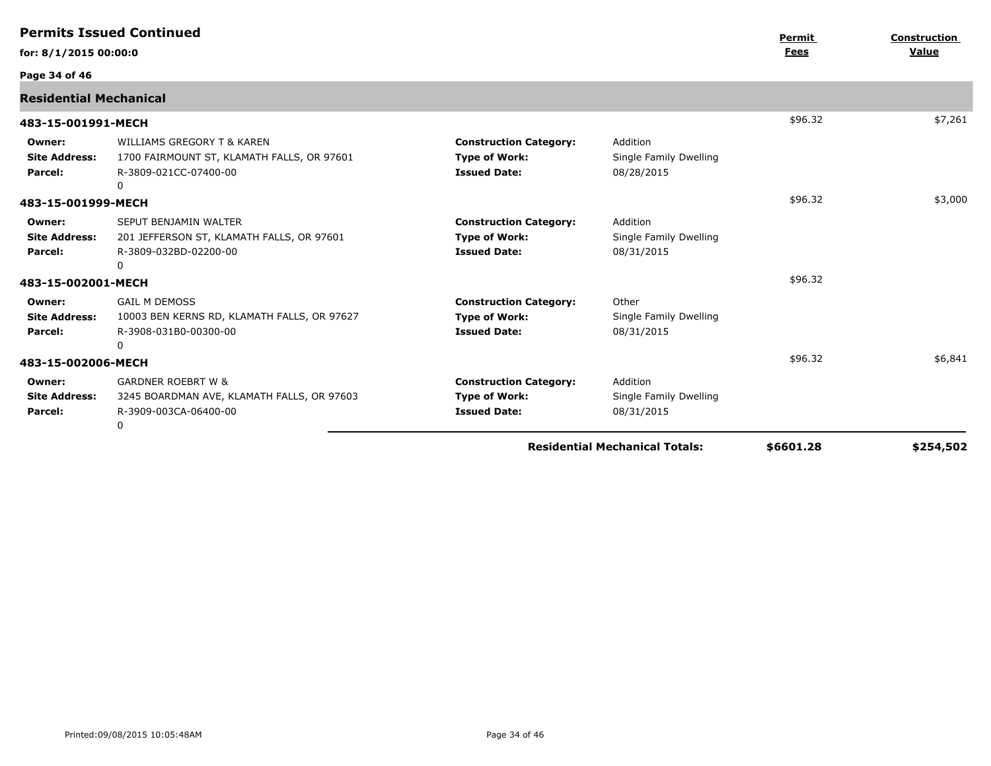|                                                  | <b>Permits Issued Continued</b>                                                                                   |                                                                              |                                                  | Permit    | <b>Construction</b> |
|--------------------------------------------------|-------------------------------------------------------------------------------------------------------------------|------------------------------------------------------------------------------|--------------------------------------------------|-----------|---------------------|
| for: 8/1/2015 00:00:0                            |                                                                                                                   |                                                                              |                                                  | Fees      | Value               |
| Page 34 of 46                                    |                                                                                                                   |                                                                              |                                                  |           |                     |
| <b>Residential Mechanical</b>                    |                                                                                                                   |                                                                              |                                                  |           |                     |
| 483-15-001991-MECH                               |                                                                                                                   |                                                                              |                                                  | \$96.32   | \$7,261             |
| Owner:<br><b>Site Address:</b><br><b>Parcel:</b> | <b>WILLIAMS GREGORY T &amp; KAREN</b><br>1700 FAIRMOUNT ST, KLAMATH FALLS, OR 97601<br>R-3809-021CC-07400-00<br>0 | <b>Construction Category:</b><br><b>Type of Work:</b><br><b>Issued Date:</b> | Addition<br>Single Family Dwelling<br>08/28/2015 |           |                     |
| 483-15-001999-MECH                               |                                                                                                                   |                                                                              |                                                  | \$96.32   | \$3,000             |
| Owner:<br><b>Site Address:</b><br><b>Parcel:</b> | SEPUT BENJAMIN WALTER<br>201 JEFFERSON ST, KLAMATH FALLS, OR 97601<br>R-3809-032BD-02200-00<br>0                  | <b>Construction Category:</b><br><b>Type of Work:</b><br><b>Issued Date:</b> | Addition<br>Single Family Dwelling<br>08/31/2015 |           |                     |
| 483-15-002001-MECH                               |                                                                                                                   |                                                                              |                                                  | \$96.32   |                     |
| Owner:<br><b>Site Address:</b><br>Parcel:        | <b>GAIL M DEMOSS</b><br>10003 BEN KERNS RD, KLAMATH FALLS, OR 97627<br>R-3908-031B0-00300-00<br>0                 | <b>Construction Category:</b><br><b>Type of Work:</b><br><b>Issued Date:</b> | Other<br>Single Family Dwelling<br>08/31/2015    |           |                     |
| 483-15-002006-MECH                               |                                                                                                                   |                                                                              |                                                  | \$96.32   | \$6,841             |
| Owner:<br><b>Site Address:</b><br>Parcel:        | <b>GARDNER ROEBRT W &amp;</b><br>3245 BOARDMAN AVE, KLAMATH FALLS, OR 97603<br>R-3909-003CA-06400-00<br>0         | <b>Construction Category:</b><br><b>Type of Work:</b><br><b>Issued Date:</b> | Addition<br>Single Family Dwelling<br>08/31/2015 |           |                     |
|                                                  |                                                                                                                   |                                                                              | <b>Residential Mechanical Totals:</b>            | \$6601.28 | \$254,502           |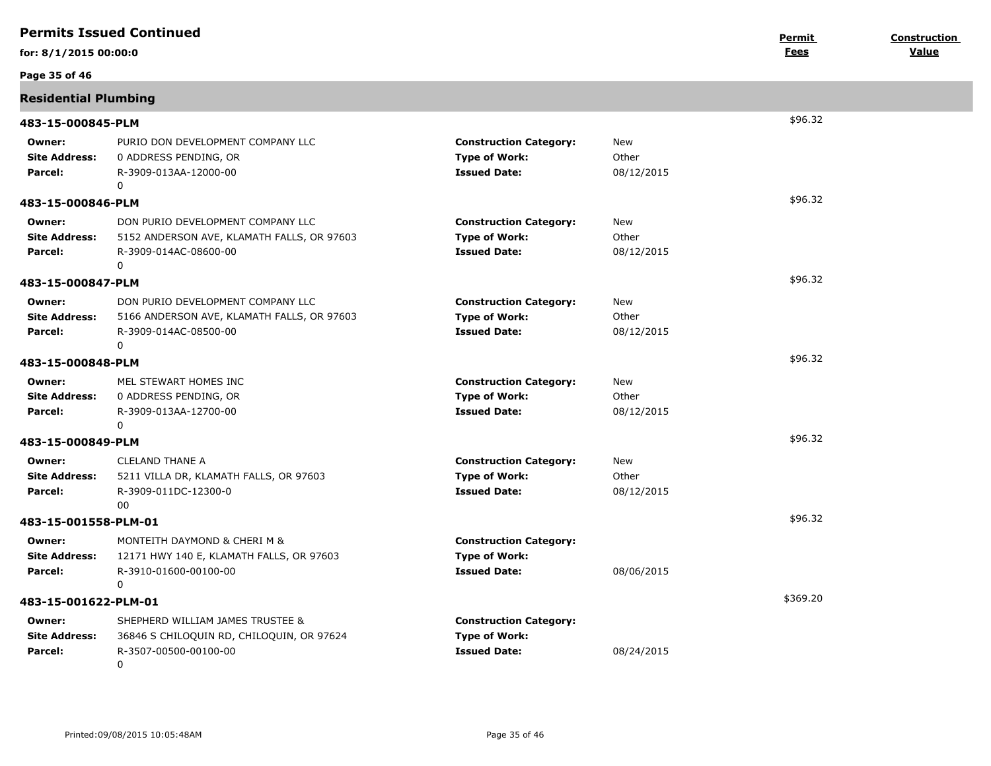|                                           | <b>Permits Issued Continued</b>                                                                                         |                                                                              |                            | <u>Permit</u> | <b>Construction</b> |
|-------------------------------------------|-------------------------------------------------------------------------------------------------------------------------|------------------------------------------------------------------------------|----------------------------|---------------|---------------------|
| for: 8/1/2015 00:00:0                     |                                                                                                                         |                                                                              |                            | <b>Fees</b>   | Value               |
| Page 35 of 46                             |                                                                                                                         |                                                                              |                            |               |                     |
| <b>Residential Plumbing</b>               |                                                                                                                         |                                                                              |                            |               |                     |
| 483-15-000845-PLM                         |                                                                                                                         |                                                                              |                            | \$96.32       |                     |
| Owner:<br><b>Site Address:</b><br>Parcel: | PURIO DON DEVELOPMENT COMPANY LLC<br>0 ADDRESS PENDING, OR<br>R-3909-013AA-12000-00<br>0                                | <b>Construction Category:</b><br><b>Type of Work:</b><br><b>Issued Date:</b> | New<br>Other<br>08/12/2015 |               |                     |
| 483-15-000846-PLM                         |                                                                                                                         |                                                                              |                            | \$96.32       |                     |
| Owner:<br><b>Site Address:</b><br>Parcel: | DON PURIO DEVELOPMENT COMPANY LLC<br>5152 ANDERSON AVE, KLAMATH FALLS, OR 97603<br>R-3909-014AC-08600-00<br>$\mathbf 0$ | <b>Construction Category:</b><br><b>Type of Work:</b><br><b>Issued Date:</b> | New<br>Other<br>08/12/2015 |               |                     |
| 483-15-000847-PLM                         |                                                                                                                         |                                                                              |                            | \$96.32       |                     |
| Owner:<br><b>Site Address:</b><br>Parcel: | DON PURIO DEVELOPMENT COMPANY LLC<br>5166 ANDERSON AVE, KLAMATH FALLS, OR 97603<br>R-3909-014AC-08500-00<br>$\mathbf 0$ | <b>Construction Category:</b><br><b>Type of Work:</b><br><b>Issued Date:</b> | New<br>Other<br>08/12/2015 |               |                     |
| 483-15-000848-PLM                         |                                                                                                                         |                                                                              |                            | \$96.32       |                     |
| Owner:<br><b>Site Address:</b><br>Parcel: | MEL STEWART HOMES INC<br>0 ADDRESS PENDING, OR<br>R-3909-013AA-12700-00<br>0                                            | <b>Construction Category:</b><br><b>Type of Work:</b><br><b>Issued Date:</b> | New<br>Other<br>08/12/2015 |               |                     |
| 483-15-000849-PLM                         |                                                                                                                         |                                                                              |                            | \$96.32       |                     |
| Owner:<br><b>Site Address:</b><br>Parcel: | <b>CLELAND THANE A</b><br>5211 VILLA DR, KLAMATH FALLS, OR 97603<br>R-3909-011DC-12300-0<br>00                          | <b>Construction Category:</b><br><b>Type of Work:</b><br><b>Issued Date:</b> | New<br>Other<br>08/12/2015 |               |                     |
| 483-15-001558-PLM-01                      |                                                                                                                         |                                                                              |                            | \$96.32       |                     |
| Owner:<br><b>Site Address:</b><br>Parcel: | MONTEITH DAYMOND & CHERI M &<br>12171 HWY 140 E, KLAMATH FALLS, OR 97603<br>R-3910-01600-00100-00<br>0                  | <b>Construction Category:</b><br><b>Type of Work:</b><br><b>Issued Date:</b> | 08/06/2015                 |               |                     |
| 483-15-001622-PLM-01                      |                                                                                                                         |                                                                              |                            | \$369.20      |                     |
| Owner:<br><b>Site Address:</b><br>Parcel: | SHEPHERD WILLIAM JAMES TRUSTEE &<br>36846 S CHILOQUIN RD, CHILOQUIN, OR 97624<br>R-3507-00500-00100-00<br>0             | <b>Construction Category:</b><br><b>Type of Work:</b><br><b>Issued Date:</b> | 08/24/2015                 |               |                     |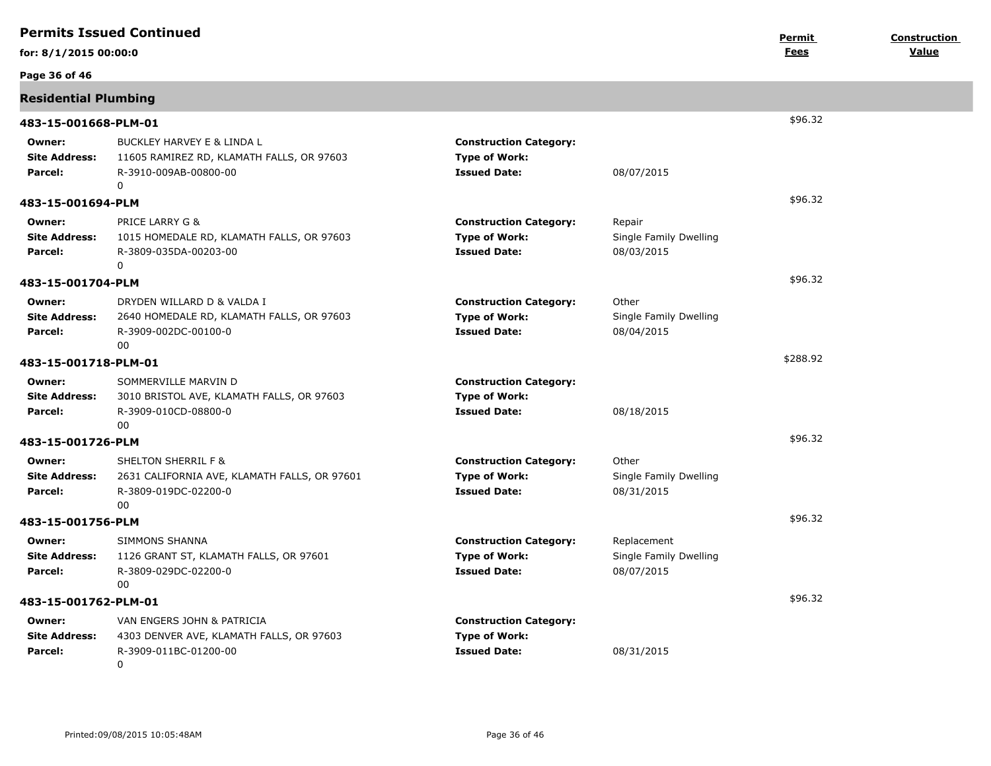|                                           | <b>Permits Issued Continued</b>                                                                                 |                                                                              |                                                     | <u>Permit</u> | Construction |
|-------------------------------------------|-----------------------------------------------------------------------------------------------------------------|------------------------------------------------------------------------------|-----------------------------------------------------|---------------|--------------|
| for: 8/1/2015 00:00:0                     |                                                                                                                 |                                                                              |                                                     | <b>Fees</b>   | Value        |
| Page 36 of 46                             |                                                                                                                 |                                                                              |                                                     |               |              |
| <b>Residential Plumbing</b>               |                                                                                                                 |                                                                              |                                                     |               |              |
| 483-15-001668-PLM-01                      |                                                                                                                 |                                                                              |                                                     | \$96.32       |              |
| Owner:<br><b>Site Address:</b><br>Parcel: | BUCKLEY HARVEY E & LINDA L<br>11605 RAMIREZ RD, KLAMATH FALLS, OR 97603<br>R-3910-009AB-00800-00<br>$\mathbf 0$ | <b>Construction Category:</b><br><b>Type of Work:</b><br><b>Issued Date:</b> | 08/07/2015                                          |               |              |
| 483-15-001694-PLM                         |                                                                                                                 |                                                                              |                                                     | \$96.32       |              |
| Owner:<br><b>Site Address:</b><br>Parcel: | PRICE LARRY G &<br>1015 HOMEDALE RD, KLAMATH FALLS, OR 97603<br>R-3809-035DA-00203-00<br>0                      | <b>Construction Category:</b><br><b>Type of Work:</b><br><b>Issued Date:</b> | Repair<br>Single Family Dwelling<br>08/03/2015      |               |              |
| 483-15-001704-PLM                         |                                                                                                                 |                                                                              |                                                     | \$96.32       |              |
| Owner:<br><b>Site Address:</b><br>Parcel: | DRYDEN WILLARD D & VALDA I<br>2640 HOMEDALE RD, KLAMATH FALLS, OR 97603<br>R-3909-002DC-00100-0<br>00           | <b>Construction Category:</b><br><b>Type of Work:</b><br><b>Issued Date:</b> | Other<br>Single Family Dwelling<br>08/04/2015       |               |              |
| 483-15-001718-PLM-01                      |                                                                                                                 |                                                                              |                                                     | \$288.92      |              |
| Owner:<br><b>Site Address:</b><br>Parcel: | SOMMERVILLE MARVIN D<br>3010 BRISTOL AVE, KLAMATH FALLS, OR 97603<br>R-3909-010CD-08800-0<br>00                 | <b>Construction Category:</b><br><b>Type of Work:</b><br><b>Issued Date:</b> | 08/18/2015                                          |               |              |
| 483-15-001726-PLM                         |                                                                                                                 |                                                                              |                                                     | \$96.32       |              |
| Owner:<br><b>Site Address:</b><br>Parcel: | <b>SHELTON SHERRIL F &amp;</b><br>2631 CALIFORNIA AVE, KLAMATH FALLS, OR 97601<br>R-3809-019DC-02200-0<br>00    | <b>Construction Category:</b><br><b>Type of Work:</b><br><b>Issued Date:</b> | Other<br>Single Family Dwelling<br>08/31/2015       |               |              |
| 483-15-001756-PLM                         |                                                                                                                 |                                                                              |                                                     | \$96.32       |              |
| Owner:<br><b>Site Address:</b><br>Parcel: | SIMMONS SHANNA<br>1126 GRANT ST, KLAMATH FALLS, OR 97601<br>R-3809-029DC-02200-0<br>00                          | <b>Construction Category:</b><br><b>Type of Work:</b><br><b>Issued Date:</b> | Replacement<br>Single Family Dwelling<br>08/07/2015 |               |              |
| 483-15-001762-PLM-01                      |                                                                                                                 |                                                                              |                                                     | \$96.32       |              |
| Owner:<br><b>Site Address:</b><br>Parcel: | VAN ENGERS JOHN & PATRICIA<br>4303 DENVER AVE, KLAMATH FALLS, OR 97603<br>R-3909-011BC-01200-00<br>0            | <b>Construction Category:</b><br><b>Type of Work:</b><br><b>Issued Date:</b> | 08/31/2015                                          |               |              |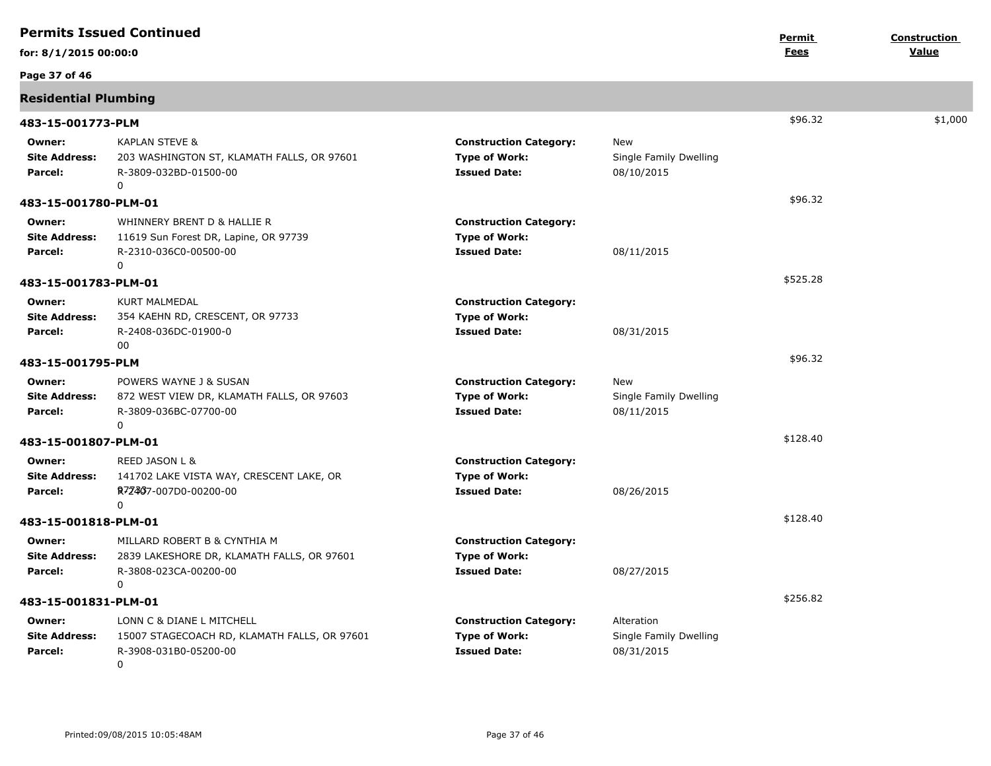| <b>Permits Issued Continued</b>           |                                                                                                                 | Permit                                                                       | Construction                                       |             |         |
|-------------------------------------------|-----------------------------------------------------------------------------------------------------------------|------------------------------------------------------------------------------|----------------------------------------------------|-------------|---------|
| for: 8/1/2015 00:00:0                     |                                                                                                                 |                                                                              |                                                    | <u>Fees</u> | Value   |
| Page 37 of 46                             |                                                                                                                 |                                                                              |                                                    |             |         |
| <b>Residential Plumbing</b>               |                                                                                                                 |                                                                              |                                                    |             |         |
| 483-15-001773-PLM                         |                                                                                                                 |                                                                              |                                                    | \$96.32     | \$1,000 |
| Owner:<br><b>Site Address:</b><br>Parcel: | <b>KAPLAN STEVE &amp;</b><br>203 WASHINGTON ST, KLAMATH FALLS, OR 97601<br>R-3809-032BD-01500-00<br>0           | <b>Construction Category:</b><br><b>Type of Work:</b><br><b>Issued Date:</b> | New<br>Single Family Dwelling<br>08/10/2015        |             |         |
| 483-15-001780-PLM-01                      |                                                                                                                 |                                                                              |                                                    | \$96.32     |         |
| Owner:<br><b>Site Address:</b><br>Parcel: | WHINNERY BRENT D & HALLIE R<br>11619 Sun Forest DR, Lapine, OR 97739<br>R-2310-036C0-00500-00<br>0              | <b>Construction Category:</b><br><b>Type of Work:</b><br><b>Issued Date:</b> | 08/11/2015                                         |             |         |
| 483-15-001783-PLM-01                      |                                                                                                                 |                                                                              |                                                    | \$525.28    |         |
| Owner:<br><b>Site Address:</b><br>Parcel: | <b>KURT MALMEDAL</b><br>354 KAEHN RD, CRESCENT, OR 97733<br>R-2408-036DC-01900-0<br>00                          | <b>Construction Category:</b><br><b>Type of Work:</b><br><b>Issued Date:</b> | 08/31/2015                                         |             |         |
| 483-15-001795-PLM                         |                                                                                                                 |                                                                              |                                                    | \$96.32     |         |
| Owner:<br><b>Site Address:</b><br>Parcel: | POWERS WAYNE J & SUSAN<br>872 WEST VIEW DR, KLAMATH FALLS, OR 97603<br>R-3809-036BC-07700-00<br>0               | <b>Construction Category:</b><br><b>Type of Work:</b><br><b>Issued Date:</b> | New<br>Single Family Dwelling<br>08/11/2015        |             |         |
| 483-15-001807-PLM-01                      |                                                                                                                 |                                                                              |                                                    | \$128.40    |         |
| Owner:<br><b>Site Address:</b><br>Parcel: | REED JASON L &<br>141702 LAKE VISTA WAY, CRESCENT LAKE, OR<br>R7Z407-007D0-00200-00<br>0                        | <b>Construction Category:</b><br><b>Type of Work:</b><br><b>Issued Date:</b> | 08/26/2015                                         |             |         |
| 483-15-001818-PLM-01                      |                                                                                                                 |                                                                              |                                                    | \$128.40    |         |
| Owner:<br><b>Site Address:</b><br>Parcel: | MILLARD ROBERT B & CYNTHIA M<br>2839 LAKESHORE DR, KLAMATH FALLS, OR 97601<br>R-3808-023CA-00200-00<br>$\Omega$ | <b>Construction Category:</b><br><b>Type of Work:</b><br><b>Issued Date:</b> | 08/27/2015                                         |             |         |
| 483-15-001831-PLM-01                      |                                                                                                                 |                                                                              |                                                    | \$256.82    |         |
| Owner:<br><b>Site Address:</b><br>Parcel: | LONN C & DIANE L MITCHELL<br>15007 STAGECOACH RD, KLAMATH FALLS, OR 97601<br>R-3908-031B0-05200-00<br>0         | <b>Construction Category:</b><br><b>Type of Work:</b><br><b>Issued Date:</b> | Alteration<br>Single Family Dwelling<br>08/31/2015 |             |         |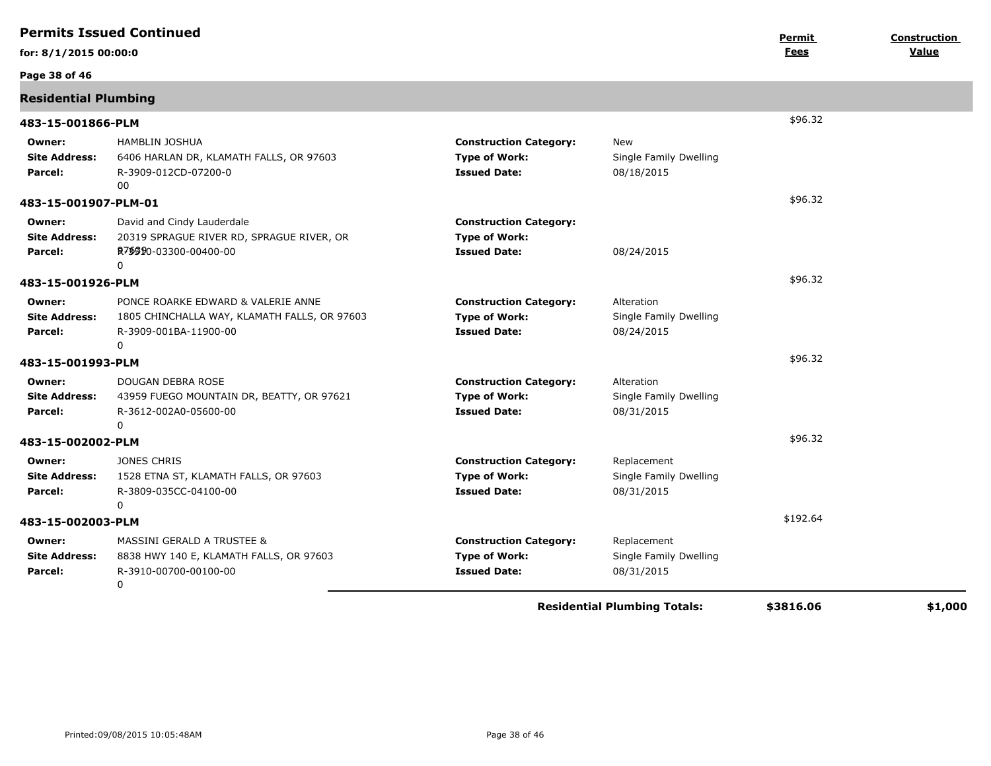| <b>Permits Issued Continued</b>           |                                                                                                                  |                                                                              | <b>Construction</b><br>Permit                       |           |         |
|-------------------------------------------|------------------------------------------------------------------------------------------------------------------|------------------------------------------------------------------------------|-----------------------------------------------------|-----------|---------|
| for: 8/1/2015 00:00:0                     |                                                                                                                  |                                                                              |                                                     | Fees      | Value   |
| Page 38 of 46                             |                                                                                                                  |                                                                              |                                                     |           |         |
| <b>Residential Plumbing</b>               |                                                                                                                  |                                                                              |                                                     |           |         |
| 483-15-001866-PLM                         |                                                                                                                  |                                                                              |                                                     | \$96.32   |         |
| Owner:<br><b>Site Address:</b><br>Parcel: | <b>HAMBLIN JOSHUA</b><br>6406 HARLAN DR, KLAMATH FALLS, OR 97603<br>R-3909-012CD-07200-0<br>00                   | <b>Construction Category:</b><br><b>Type of Work:</b><br><b>Issued Date:</b> | New<br>Single Family Dwelling<br>08/18/2015         |           |         |
| 483-15-001907-PLM-01                      |                                                                                                                  |                                                                              |                                                     | \$96.32   |         |
| Owner:<br><b>Site Address:</b><br>Parcel: | David and Cindy Lauderdale<br>20319 SPRAGUE RIVER RD, SPRAGUE RIVER, OR<br>R7\$\$90-03300-00400-00<br>0          | <b>Construction Category:</b><br><b>Type of Work:</b><br><b>Issued Date:</b> | 08/24/2015                                          |           |         |
| 483-15-001926-PLM                         |                                                                                                                  |                                                                              |                                                     | \$96.32   |         |
| Owner:<br><b>Site Address:</b><br>Parcel: | PONCE ROARKE EDWARD & VALERIE ANNE<br>1805 CHINCHALLA WAY, KLAMATH FALLS, OR 97603<br>R-3909-001BA-11900-00<br>0 | <b>Construction Category:</b><br><b>Type of Work:</b><br><b>Issued Date:</b> | Alteration<br>Single Family Dwelling<br>08/24/2015  |           |         |
| 483-15-001993-PLM                         |                                                                                                                  |                                                                              |                                                     | \$96.32   |         |
| Owner:<br><b>Site Address:</b><br>Parcel: | DOUGAN DEBRA ROSE<br>43959 FUEGO MOUNTAIN DR, BEATTY, OR 97621<br>R-3612-002A0-05600-00<br>0                     | <b>Construction Category:</b><br><b>Type of Work:</b><br><b>Issued Date:</b> | Alteration<br>Single Family Dwelling<br>08/31/2015  |           |         |
| 483-15-002002-PLM                         |                                                                                                                  |                                                                              |                                                     | \$96.32   |         |
| Owner:<br><b>Site Address:</b><br>Parcel: | <b>JONES CHRIS</b><br>1528 ETNA ST, KLAMATH FALLS, OR 97603<br>R-3809-035CC-04100-00<br>0                        | <b>Construction Category:</b><br><b>Type of Work:</b><br><b>Issued Date:</b> | Replacement<br>Single Family Dwelling<br>08/31/2015 |           |         |
| 483-15-002003-PLM                         |                                                                                                                  |                                                                              |                                                     | \$192.64  |         |
| Owner:<br><b>Site Address:</b><br>Parcel: | <b>MASSINI GERALD A TRUSTEE &amp;</b><br>8838 HWY 140 E, KLAMATH FALLS, OR 97603<br>R-3910-00700-00100-00<br>0   | <b>Construction Category:</b><br><b>Type of Work:</b><br><b>Issued Date:</b> | Replacement<br>Single Family Dwelling<br>08/31/2015 |           |         |
|                                           |                                                                                                                  |                                                                              | <b>Residential Plumbing Totals:</b>                 | \$3816.06 | \$1,000 |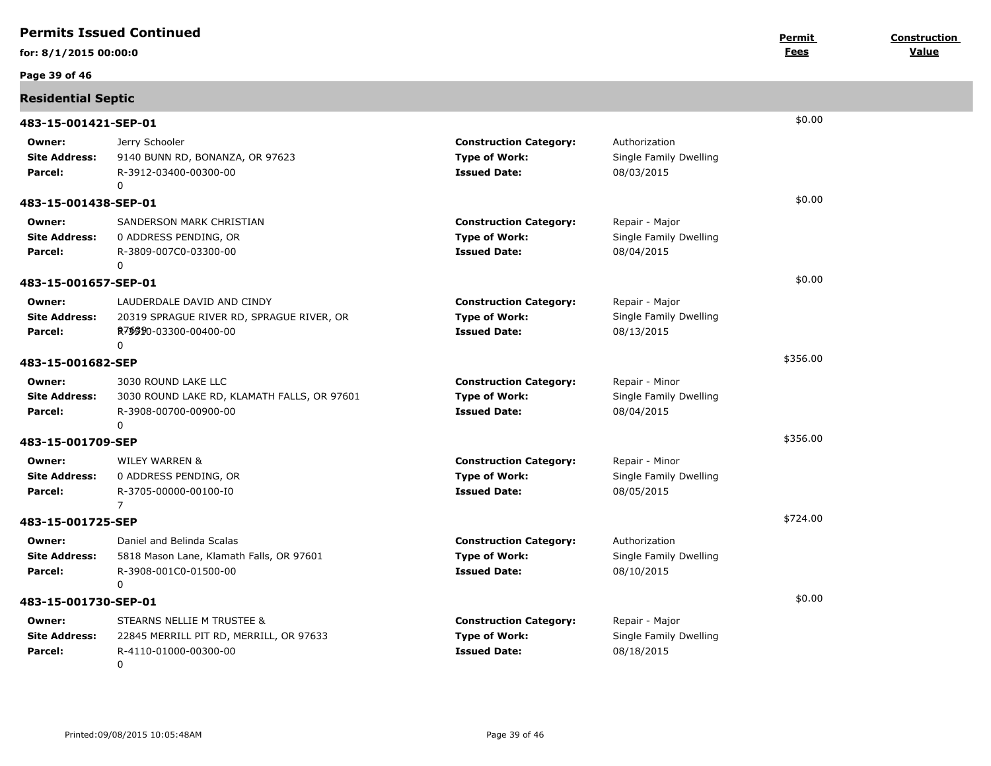|                                           | <b>Permits Issued Continued</b>                                                                                             |                                                                              |                                                        | Permit   | Construction |
|-------------------------------------------|-----------------------------------------------------------------------------------------------------------------------------|------------------------------------------------------------------------------|--------------------------------------------------------|----------|--------------|
| for: 8/1/2015 00:00:0                     |                                                                                                                             |                                                                              |                                                        | Fees     | Value        |
| Page 39 of 46                             |                                                                                                                             |                                                                              |                                                        |          |              |
| <b>Residential Septic</b>                 |                                                                                                                             |                                                                              |                                                        |          |              |
| 483-15-001421-SEP-01                      |                                                                                                                             |                                                                              |                                                        | \$0.00   |              |
| Owner:<br><b>Site Address:</b><br>Parcel: | Jerry Schooler<br>9140 BUNN RD, BONANZA, OR 97623<br>R-3912-03400-00300-00<br>0                                             | <b>Construction Category:</b><br><b>Type of Work:</b><br><b>Issued Date:</b> | Authorization<br>Single Family Dwelling<br>08/03/2015  |          |              |
| 483-15-001438-SEP-01                      |                                                                                                                             |                                                                              |                                                        | \$0.00   |              |
| Owner:<br><b>Site Address:</b><br>Parcel: | SANDERSON MARK CHRISTIAN<br>0 ADDRESS PENDING, OR<br>R-3809-007C0-03300-00<br>0                                             | <b>Construction Category:</b><br><b>Type of Work:</b><br><b>Issued Date:</b> | Repair - Major<br>Single Family Dwelling<br>08/04/2015 |          |              |
| 483-15-001657-SEP-01                      |                                                                                                                             |                                                                              |                                                        | \$0.00   |              |
| Owner:<br><b>Site Address:</b><br>Parcel: | LAUDERDALE DAVID AND CINDY<br>20319 SPRAGUE RIVER RD, SPRAGUE RIVER, OR<br>R <sub>7</sub> \$\$90-03300-00400-00<br>$\Omega$ | <b>Construction Category:</b><br><b>Type of Work:</b><br><b>Issued Date:</b> | Repair - Major<br>Single Family Dwelling<br>08/13/2015 |          |              |
| 483-15-001682-SEP                         |                                                                                                                             |                                                                              |                                                        | \$356.00 |              |
| Owner:<br><b>Site Address:</b><br>Parcel: | 3030 ROUND LAKE LLC<br>3030 ROUND LAKE RD, KLAMATH FALLS, OR 97601<br>R-3908-00700-00900-00<br>$\mathbf 0$                  | <b>Construction Category:</b><br><b>Type of Work:</b><br><b>Issued Date:</b> | Repair - Minor<br>Single Family Dwelling<br>08/04/2015 |          |              |
| 483-15-001709-SEP                         |                                                                                                                             |                                                                              |                                                        | \$356.00 |              |
| Owner:<br><b>Site Address:</b><br>Parcel: | <b>WILEY WARREN &amp;</b><br>0 ADDRESS PENDING, OR<br>R-3705-00000-00100-I0<br>$\overline{7}$                               | <b>Construction Category:</b><br><b>Type of Work:</b><br><b>Issued Date:</b> | Repair - Minor<br>Single Family Dwelling<br>08/05/2015 |          |              |
| 483-15-001725-SEP                         |                                                                                                                             |                                                                              |                                                        | \$724.00 |              |
| Owner:<br><b>Site Address:</b><br>Parcel: | Daniel and Belinda Scalas<br>5818 Mason Lane, Klamath Falls, OR 97601<br>R-3908-001C0-01500-00<br>0                         | <b>Construction Category:</b><br><b>Type of Work:</b><br><b>Issued Date:</b> | Authorization<br>Single Family Dwelling<br>08/10/2015  |          |              |
| 483-15-001730-SEP-01                      |                                                                                                                             |                                                                              |                                                        | \$0.00   |              |
| Owner:<br><b>Site Address:</b><br>Parcel: | STEARNS NELLIE M TRUSTEE &<br>22845 MERRILL PIT RD, MERRILL, OR 97633<br>R-4110-01000-00300-00<br>$\Omega$                  | <b>Construction Category:</b><br><b>Type of Work:</b><br><b>Issued Date:</b> | Repair - Major<br>Single Family Dwelling<br>08/18/2015 |          |              |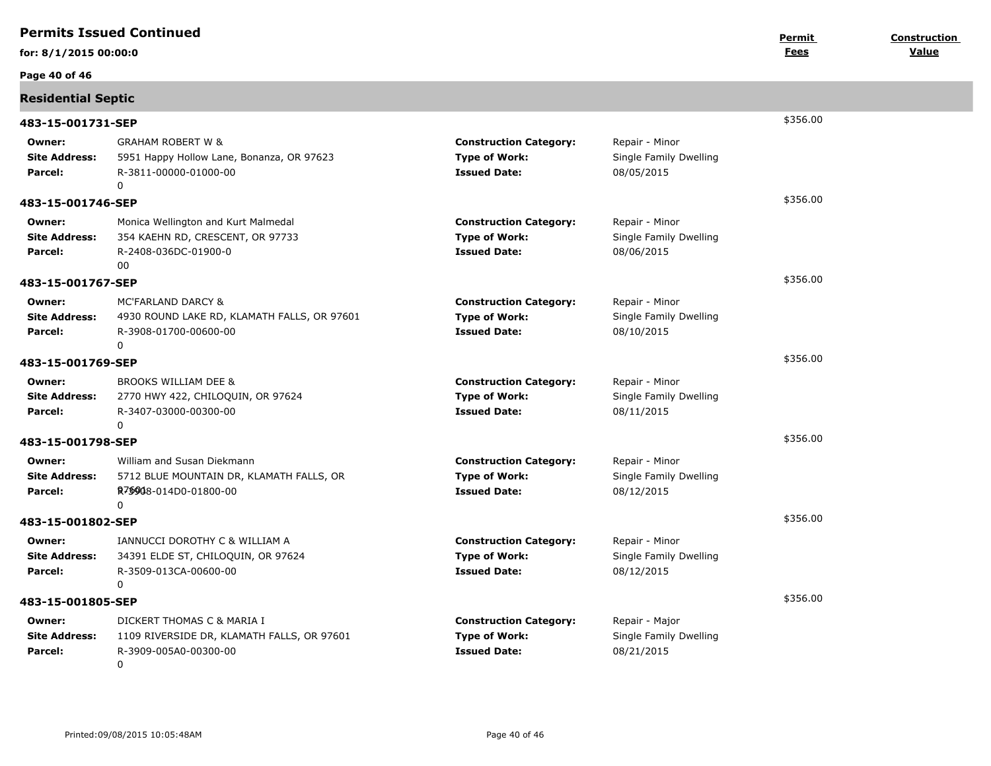|                                           | <b>Permits Issued Continued</b>                                                                         |                                                                              |                                                        |                | Construction |
|-------------------------------------------|---------------------------------------------------------------------------------------------------------|------------------------------------------------------------------------------|--------------------------------------------------------|----------------|--------------|
| for: 8/1/2015 00:00:0                     |                                                                                                         |                                                                              |                                                        | Permit<br>Fees | Value        |
| Page 40 of 46                             |                                                                                                         |                                                                              |                                                        |                |              |
| <b>Residential Septic</b>                 |                                                                                                         |                                                                              |                                                        |                |              |
| 483-15-001731-SEP                         |                                                                                                         | \$356.00                                                                     |                                                        |                |              |
| Owner:<br><b>Site Address:</b><br>Parcel: | <b>GRAHAM ROBERT W &amp;</b><br>5951 Happy Hollow Lane, Bonanza, OR 97623<br>R-3811-00000-01000-00<br>0 | <b>Construction Category:</b><br><b>Type of Work:</b><br><b>Issued Date:</b> | Repair - Minor<br>Single Family Dwelling<br>08/05/2015 |                |              |
| 483-15-001746-SEP                         |                                                                                                         |                                                                              |                                                        | \$356.00       |              |
| Owner:<br><b>Site Address:</b><br>Parcel: | Monica Wellington and Kurt Malmedal<br>354 KAEHN RD, CRESCENT, OR 97733<br>R-2408-036DC-01900-0<br>00   | <b>Construction Category:</b><br><b>Type of Work:</b><br><b>Issued Date:</b> | Repair - Minor<br>Single Family Dwelling<br>08/06/2015 |                |              |
| 483-15-001767-SEP                         |                                                                                                         |                                                                              |                                                        | \$356.00       |              |
| Owner:<br><b>Site Address:</b><br>Parcel: | MC'FARLAND DARCY &<br>4930 ROUND LAKE RD, KLAMATH FALLS, OR 97601<br>R-3908-01700-00600-00<br>0         | <b>Construction Category:</b><br><b>Type of Work:</b><br><b>Issued Date:</b> | Repair - Minor<br>Single Family Dwelling<br>08/10/2015 |                |              |
| 483-15-001769-SEP                         |                                                                                                         |                                                                              |                                                        | \$356.00       |              |
| Owner:<br><b>Site Address:</b><br>Parcel: | <b>BROOKS WILLIAM DEE &amp;</b><br>2770 HWY 422, CHILOQUIN, OR 97624<br>R-3407-03000-00300-00<br>0      | <b>Construction Category:</b><br><b>Type of Work:</b><br><b>Issued Date:</b> | Repair - Minor<br>Single Family Dwelling<br>08/11/2015 |                |              |
| 483-15-001798-SEP                         |                                                                                                         |                                                                              |                                                        | \$356.00       |              |
| Owner:<br><b>Site Address:</b><br>Parcel: | William and Susan Diekmann<br>5712 BLUE MOUNTAIN DR, KLAMATH FALLS, OR<br>R7\$908-014D0-01800-00<br>0   | <b>Construction Category:</b><br><b>Type of Work:</b><br><b>Issued Date:</b> | Repair - Minor<br>Single Family Dwelling<br>08/12/2015 |                |              |
| 483-15-001802-SEP                         |                                                                                                         |                                                                              |                                                        | \$356.00       |              |
| Owner:<br><b>Site Address:</b><br>Parcel: | IANNUCCI DOROTHY C & WILLIAM A<br>34391 ELDE ST, CHILOQUIN, OR 97624<br>R-3509-013CA-00600-00<br>$\cap$ | <b>Construction Category:</b><br><b>Type of Work:</b><br><b>Issued Date:</b> | Repair - Minor<br>Single Family Dwelling<br>08/12/2015 |                |              |
| 483-15-001805-SEP                         |                                                                                                         |                                                                              |                                                        | \$356.00       |              |
| Owner:<br><b>Site Address:</b><br>Parcel: | DICKERT THOMAS C & MARIA I<br>1109 RIVERSIDE DR, KLAMATH FALLS, OR 97601<br>R-3909-005A0-00300-00<br>0  | <b>Construction Category:</b><br><b>Type of Work:</b><br><b>Issued Date:</b> | Repair - Major<br>Single Family Dwelling<br>08/21/2015 |                |              |
|                                           |                                                                                                         |                                                                              |                                                        |                |              |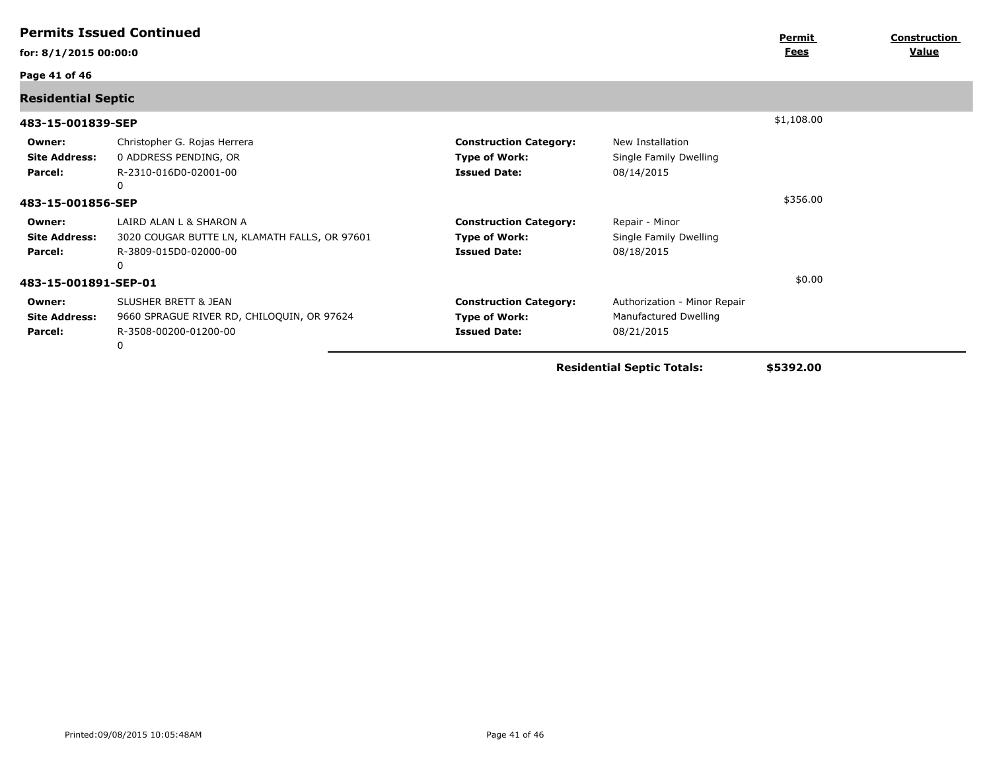| <u>Fees</u><br>for: 8/1/2015 00:00:0<br>Page 41 of 46<br><b>Residential Septic</b><br>\$1,108.00<br>483-15-001839-SEP<br>Christopher G. Rojas Herrera<br><b>Construction Category:</b><br>New Installation<br>Owner:<br>0 ADDRESS PENDING, OR<br><b>Type of Work:</b><br><b>Site Address:</b><br>Single Family Dwelling<br>R-2310-016D0-02001-00<br><b>Issued Date:</b><br>Parcel:<br>08/14/2015<br>0<br>\$356.00<br>483-15-001856-SEP<br>LAIRD ALAN L & SHARON A<br><b>Construction Category:</b><br>Repair - Minor<br>Owner:<br>3020 COUGAR BUTTE LN, KLAMATH FALLS, OR 97601<br><b>Site Address:</b><br><b>Type of Work:</b><br>Single Family Dwelling<br>R-3809-015D0-02000-00<br><b>Issued Date:</b><br>08/18/2015<br>Parcel:<br>$\Omega$<br>\$0.00<br>483-15-001891-SEP-01<br><b>SLUSHER BRETT &amp; JEAN</b><br><b>Construction Category:</b><br>Authorization - Minor Repair<br>Owner:<br><b>Site Address:</b><br>9660 SPRAGUE RIVER RD, CHILOQUIN, OR 97624<br>Manufactured Dwelling<br><b>Type of Work:</b><br>R-3508-00200-01200-00<br><b>Issued Date:</b><br>08/21/2015<br>Parcel: | <b>Permits Issued Continued</b> |   | Permit | <b>Construction</b> |  |              |
|------------------------------------------------------------------------------------------------------------------------------------------------------------------------------------------------------------------------------------------------------------------------------------------------------------------------------------------------------------------------------------------------------------------------------------------------------------------------------------------------------------------------------------------------------------------------------------------------------------------------------------------------------------------------------------------------------------------------------------------------------------------------------------------------------------------------------------------------------------------------------------------------------------------------------------------------------------------------------------------------------------------------------------------------------------------------------------------------|---------------------------------|---|--------|---------------------|--|--------------|
|                                                                                                                                                                                                                                                                                                                                                                                                                                                                                                                                                                                                                                                                                                                                                                                                                                                                                                                                                                                                                                                                                                |                                 |   |        |                     |  | <u>Value</u> |
|                                                                                                                                                                                                                                                                                                                                                                                                                                                                                                                                                                                                                                                                                                                                                                                                                                                                                                                                                                                                                                                                                                |                                 |   |        |                     |  |              |
|                                                                                                                                                                                                                                                                                                                                                                                                                                                                                                                                                                                                                                                                                                                                                                                                                                                                                                                                                                                                                                                                                                |                                 |   |        |                     |  |              |
|                                                                                                                                                                                                                                                                                                                                                                                                                                                                                                                                                                                                                                                                                                                                                                                                                                                                                                                                                                                                                                                                                                |                                 |   |        |                     |  |              |
|                                                                                                                                                                                                                                                                                                                                                                                                                                                                                                                                                                                                                                                                                                                                                                                                                                                                                                                                                                                                                                                                                                |                                 |   |        |                     |  |              |
|                                                                                                                                                                                                                                                                                                                                                                                                                                                                                                                                                                                                                                                                                                                                                                                                                                                                                                                                                                                                                                                                                                |                                 |   |        |                     |  |              |
|                                                                                                                                                                                                                                                                                                                                                                                                                                                                                                                                                                                                                                                                                                                                                                                                                                                                                                                                                                                                                                                                                                |                                 |   |        |                     |  |              |
|                                                                                                                                                                                                                                                                                                                                                                                                                                                                                                                                                                                                                                                                                                                                                                                                                                                                                                                                                                                                                                                                                                |                                 |   |        |                     |  |              |
|                                                                                                                                                                                                                                                                                                                                                                                                                                                                                                                                                                                                                                                                                                                                                                                                                                                                                                                                                                                                                                                                                                |                                 | 0 |        |                     |  |              |

**Residential Septic Totals: \$5392.00**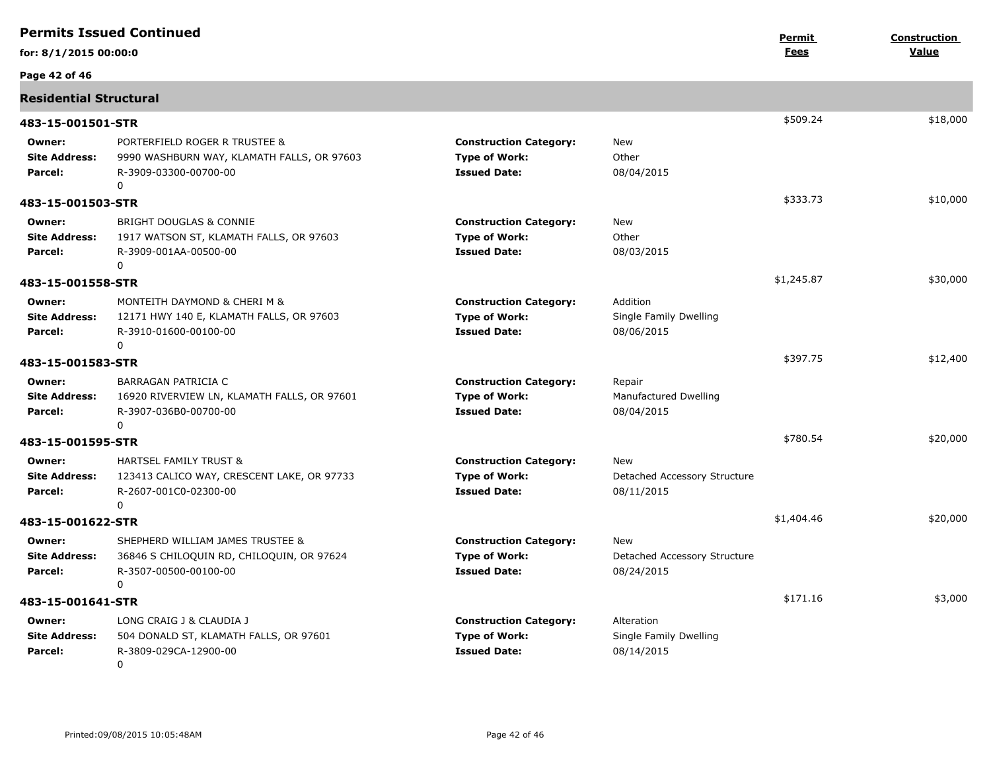| <b>Permits Issued Continued</b>           |                                                                                                                       |                                                                              | Permit                                             | <b>Construction</b> |          |
|-------------------------------------------|-----------------------------------------------------------------------------------------------------------------------|------------------------------------------------------------------------------|----------------------------------------------------|---------------------|----------|
| for: 8/1/2015 00:00:0                     |                                                                                                                       |                                                                              |                                                    | Fees                | Value    |
| Page 42 of 46                             |                                                                                                                       |                                                                              |                                                    |                     |          |
| <b>Residential Structural</b>             |                                                                                                                       |                                                                              |                                                    |                     |          |
| 483-15-001501-STR                         |                                                                                                                       |                                                                              |                                                    | \$509.24            | \$18,000 |
| Owner:<br><b>Site Address:</b><br>Parcel: | PORTERFIELD ROGER R TRUSTEE &<br>9990 WASHBURN WAY, KLAMATH FALLS, OR 97603<br>R-3909-03300-00700-00<br>$\Omega$      | <b>Construction Category:</b><br><b>Type of Work:</b><br><b>Issued Date:</b> | <b>New</b><br>Other<br>08/04/2015                  |                     |          |
| 483-15-001503-STR                         |                                                                                                                       |                                                                              |                                                    | \$333.73            | \$10,000 |
| Owner:<br><b>Site Address:</b><br>Parcel: | <b>BRIGHT DOUGLAS &amp; CONNIE</b><br>1917 WATSON ST, KLAMATH FALLS, OR 97603<br>R-3909-001AA-00500-00<br>0           | <b>Construction Category:</b><br><b>Type of Work:</b><br><b>Issued Date:</b> | New<br>Other<br>08/03/2015                         |                     |          |
| 483-15-001558-STR                         |                                                                                                                       |                                                                              |                                                    | \$1,245.87          | \$30,000 |
| Owner:<br><b>Site Address:</b><br>Parcel: | MONTEITH DAYMOND & CHERI M &<br>12171 HWY 140 E, KLAMATH FALLS, OR 97603<br>R-3910-01600-00100-00<br>$\Omega$         | <b>Construction Category:</b><br><b>Type of Work:</b><br><b>Issued Date:</b> | Addition<br>Single Family Dwelling<br>08/06/2015   |                     |          |
| 483-15-001583-STR                         |                                                                                                                       |                                                                              |                                                    | \$397.75            | \$12,400 |
| Owner:<br><b>Site Address:</b><br>Parcel: | <b>BARRAGAN PATRICIA C</b><br>16920 RIVERVIEW LN, KLAMATH FALLS, OR 97601<br>R-3907-036B0-00700-00<br>0               | <b>Construction Category:</b><br><b>Type of Work:</b><br><b>Issued Date:</b> | Repair<br>Manufactured Dwelling<br>08/04/2015      |                     |          |
| 483-15-001595-STR                         |                                                                                                                       |                                                                              |                                                    | \$780.54            | \$20,000 |
| Owner:<br><b>Site Address:</b><br>Parcel: | <b>HARTSEL FAMILY TRUST &amp;</b><br>123413 CALICO WAY, CRESCENT LAKE, OR 97733<br>R-2607-001C0-02300-00<br>$\Omega$  | <b>Construction Category:</b><br><b>Type of Work:</b><br><b>Issued Date:</b> | New<br>Detached Accessory Structure<br>08/11/2015  |                     |          |
| 483-15-001622-STR                         |                                                                                                                       |                                                                              |                                                    | \$1,404.46          | \$20,000 |
| Owner:<br><b>Site Address:</b><br>Parcel: | SHEPHERD WILLIAM JAMES TRUSTEE &<br>36846 S CHILOQUIN RD, CHILOQUIN, OR 97624<br>R-3507-00500-00100-00<br>$\mathbf 0$ | <b>Construction Category:</b><br><b>Type of Work:</b><br><b>Issued Date:</b> | New<br>Detached Accessory Structure<br>08/24/2015  |                     |          |
| 483-15-001641-STR                         |                                                                                                                       |                                                                              |                                                    | \$171.16            | \$3,000  |
| Owner:<br><b>Site Address:</b><br>Parcel: | LONG CRAIG J & CLAUDIA J<br>504 DONALD ST, KLAMATH FALLS, OR 97601<br>R-3809-029CA-12900-00<br>$\mathbf 0$            | <b>Construction Category:</b><br><b>Type of Work:</b><br><b>Issued Date:</b> | Alteration<br>Single Family Dwelling<br>08/14/2015 |                     |          |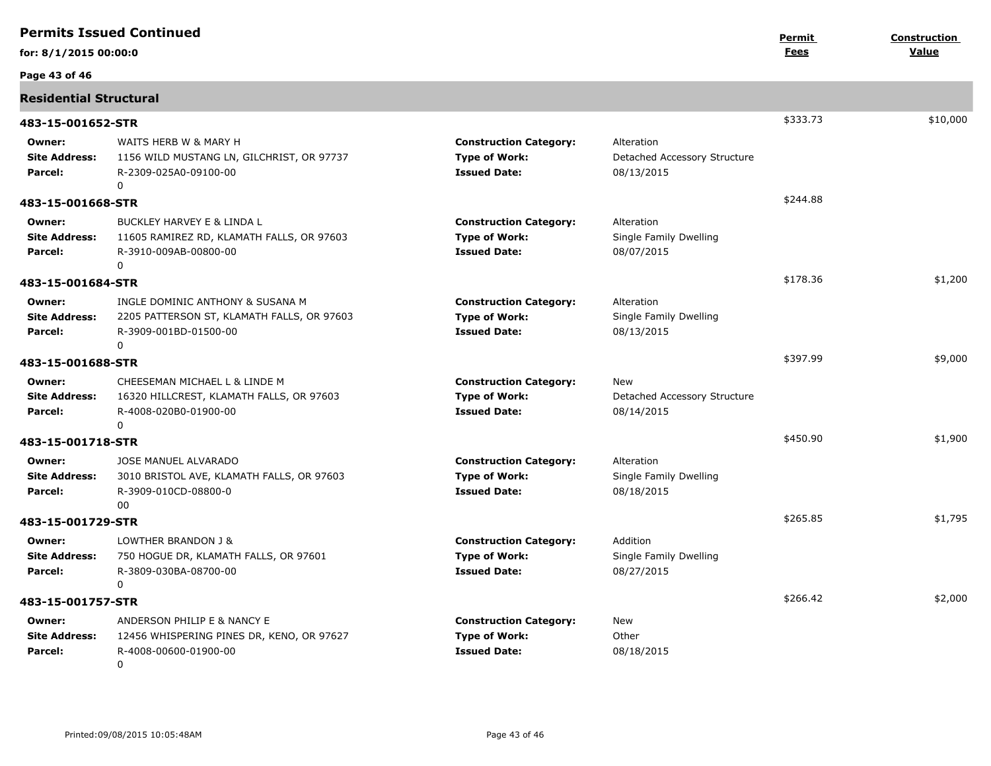| <b>Permits Issued Continued</b>           |                                                                                                                     |                                                                              |                                                          | Permit      | Construction |
|-------------------------------------------|---------------------------------------------------------------------------------------------------------------------|------------------------------------------------------------------------------|----------------------------------------------------------|-------------|--------------|
| for: 8/1/2015 00:00:0                     |                                                                                                                     |                                                                              |                                                          | <b>Fees</b> | Value        |
| Page 43 of 46                             |                                                                                                                     |                                                                              |                                                          |             |              |
| <b>Residential Structural</b>             |                                                                                                                     |                                                                              |                                                          |             |              |
| 483-15-001652-STR                         |                                                                                                                     |                                                                              |                                                          | \$333.73    | \$10,000     |
| Owner:<br><b>Site Address:</b><br>Parcel: | WAITS HERB W & MARY H<br>1156 WILD MUSTANG LN, GILCHRIST, OR 97737<br>R-2309-025A0-09100-00<br>0                    | <b>Construction Category:</b><br><b>Type of Work:</b><br><b>Issued Date:</b> | Alteration<br>Detached Accessory Structure<br>08/13/2015 |             |              |
| 483-15-001668-STR                         |                                                                                                                     |                                                                              |                                                          | \$244.88    |              |
| Owner:<br><b>Site Address:</b><br>Parcel: | BUCKLEY HARVEY E & LINDA L<br>11605 RAMIREZ RD, KLAMATH FALLS, OR 97603<br>R-3910-009AB-00800-00<br>$\Omega$        | <b>Construction Category:</b><br><b>Type of Work:</b><br><b>Issued Date:</b> | Alteration<br>Single Family Dwelling<br>08/07/2015       |             |              |
| 483-15-001684-STR                         |                                                                                                                     |                                                                              |                                                          | \$178.36    | \$1,200      |
| Owner:<br><b>Site Address:</b><br>Parcel: | INGLE DOMINIC ANTHONY & SUSANA M<br>2205 PATTERSON ST, KLAMATH FALLS, OR 97603<br>R-3909-001BD-01500-00<br>$\Omega$ | <b>Construction Category:</b><br><b>Type of Work:</b><br><b>Issued Date:</b> | Alteration<br>Single Family Dwelling<br>08/13/2015       |             |              |
| 483-15-001688-STR                         |                                                                                                                     |                                                                              |                                                          | \$397.99    | \$9,000      |
| Owner:<br><b>Site Address:</b><br>Parcel: | CHEESEMAN MICHAEL L & LINDE M<br>16320 HILLCREST, KLAMATH FALLS, OR 97603<br>R-4008-020B0-01900-00<br>0             | <b>Construction Category:</b><br><b>Type of Work:</b><br><b>Issued Date:</b> | New<br>Detached Accessory Structure<br>08/14/2015        |             |              |
| 483-15-001718-STR                         |                                                                                                                     |                                                                              |                                                          | \$450.90    | \$1,900      |
| Owner:<br><b>Site Address:</b><br>Parcel: | <b>JOSE MANUEL ALVARADO</b><br>3010 BRISTOL AVE, KLAMATH FALLS, OR 97603<br>R-3909-010CD-08800-0<br>00              | <b>Construction Category:</b><br><b>Type of Work:</b><br><b>Issued Date:</b> | Alteration<br>Single Family Dwelling<br>08/18/2015       |             |              |
| 483-15-001729-STR                         |                                                                                                                     |                                                                              |                                                          | \$265.85    | \$1,795      |
| Owner:<br><b>Site Address:</b><br>Parcel: | LOWTHER BRANDON J &<br>750 HOGUE DR, KLAMATH FALLS, OR 97601<br>R-3809-030BA-08700-00<br>$\Omega$                   | <b>Construction Category:</b><br><b>Type of Work:</b><br><b>Issued Date:</b> | Addition<br>Single Family Dwelling<br>08/27/2015         |             |              |
| 483-15-001757-STR                         |                                                                                                                     |                                                                              |                                                          | \$266.42    | \$2,000      |
| Owner:<br><b>Site Address:</b><br>Parcel: | ANDERSON PHILIP E & NANCY E<br>12456 WHISPERING PINES DR, KENO, OR 97627<br>R-4008-00600-01900-00<br>0              | <b>Construction Category:</b><br><b>Type of Work:</b><br><b>Issued Date:</b> | New<br>Other<br>08/18/2015                               |             |              |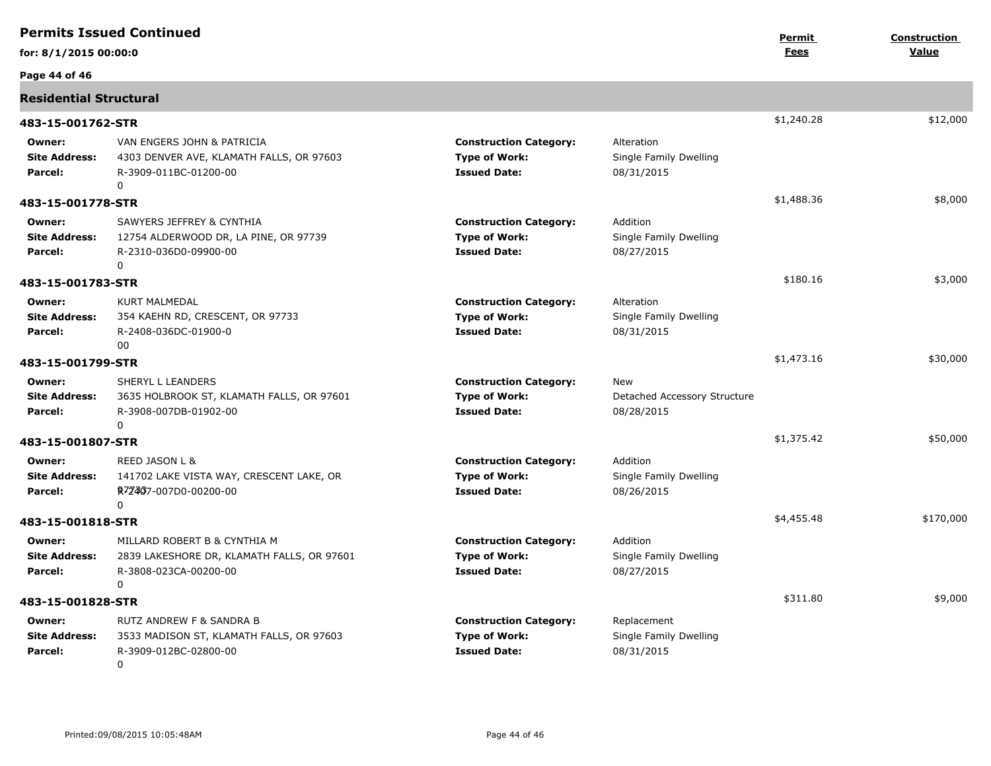| <b>Permits Issued Continued</b>           |                                                                                                                 |                                                                              |                                                          | Permit      | <b>Construction</b> |
|-------------------------------------------|-----------------------------------------------------------------------------------------------------------------|------------------------------------------------------------------------------|----------------------------------------------------------|-------------|---------------------|
| for: 8/1/2015 00:00:0                     |                                                                                                                 |                                                                              |                                                          | <u>Fees</u> | Value               |
| Page 44 of 46                             |                                                                                                                 |                                                                              |                                                          |             |                     |
| <b>Residential Structural</b>             |                                                                                                                 |                                                                              |                                                          |             |                     |
| 483-15-001762-STR                         |                                                                                                                 |                                                                              |                                                          | \$1,240.28  | \$12,000            |
| Owner:<br><b>Site Address:</b><br>Parcel: | VAN ENGERS JOHN & PATRICIA<br>4303 DENVER AVE, KLAMATH FALLS, OR 97603<br>R-3909-011BC-01200-00<br>$\mathbf{0}$ | <b>Construction Category:</b><br><b>Type of Work:</b><br><b>Issued Date:</b> | Alteration<br>Single Family Dwelling<br>08/31/2015       |             |                     |
| 483-15-001778-STR                         |                                                                                                                 |                                                                              |                                                          | \$1,488.36  | \$8,000             |
| Owner:<br><b>Site Address:</b><br>Parcel: | SAWYERS JEFFREY & CYNTHIA<br>12754 ALDERWOOD DR, LA PINE, OR 97739<br>R-2310-036D0-09900-00<br>0                | <b>Construction Category:</b><br><b>Type of Work:</b><br><b>Issued Date:</b> | Addition<br>Single Family Dwelling<br>08/27/2015         |             |                     |
| 483-15-001783-STR                         |                                                                                                                 |                                                                              |                                                          | \$180.16    | \$3,000             |
| Owner:<br><b>Site Address:</b><br>Parcel: | <b>KURT MALMEDAL</b><br>354 KAEHN RD, CRESCENT, OR 97733<br>R-2408-036DC-01900-0<br>00                          | <b>Construction Category:</b><br><b>Type of Work:</b><br><b>Issued Date:</b> | Alteration<br>Single Family Dwelling<br>08/31/2015       |             |                     |
| 483-15-001799-STR                         |                                                                                                                 |                                                                              |                                                          | \$1,473.16  | \$30,000            |
| Owner:<br><b>Site Address:</b><br>Parcel: | SHERYL L LEANDERS<br>3635 HOLBROOK ST, KLAMATH FALLS, OR 97601<br>R-3908-007DB-01902-00<br>$\mathbf{0}$         | <b>Construction Category:</b><br><b>Type of Work:</b><br><b>Issued Date:</b> | <b>New</b><br>Detached Accessory Structure<br>08/28/2015 |             |                     |
| 483-15-001807-STR                         |                                                                                                                 |                                                                              |                                                          | \$1,375.42  | \$50,000            |
| Owner:<br><b>Site Address:</b><br>Parcel: | REED JASON L &<br>141702 LAKE VISTA WAY, CRESCENT LAKE, OR<br>R72467-007D0-00200-00<br>0                        | <b>Construction Category:</b><br><b>Type of Work:</b><br><b>Issued Date:</b> | Addition<br>Single Family Dwelling<br>08/26/2015         |             |                     |
| 483-15-001818-STR                         |                                                                                                                 |                                                                              |                                                          | \$4,455.48  | \$170,000           |
| Owner:<br><b>Site Address:</b><br>Parcel: | MILLARD ROBERT B & CYNTHIA M<br>2839 LAKESHORE DR, KLAMATH FALLS, OR 97601<br>R-3808-023CA-00200-00<br>$\Omega$ | <b>Construction Category:</b><br><b>Type of Work:</b><br><b>Issued Date:</b> | Addition<br>Single Family Dwelling<br>08/27/2015         |             |                     |
| 483-15-001828-STR                         |                                                                                                                 |                                                                              |                                                          | \$311.80    | \$9,000             |
| Owner:<br><b>Site Address:</b><br>Parcel: | RUTZ ANDREW F & SANDRA B<br>3533 MADISON ST, KLAMATH FALLS, OR 97603<br>R-3909-012BC-02800-00<br>0              | <b>Construction Category:</b><br><b>Type of Work:</b><br><b>Issued Date:</b> | Replacement<br>Single Family Dwelling<br>08/31/2015      |             |                     |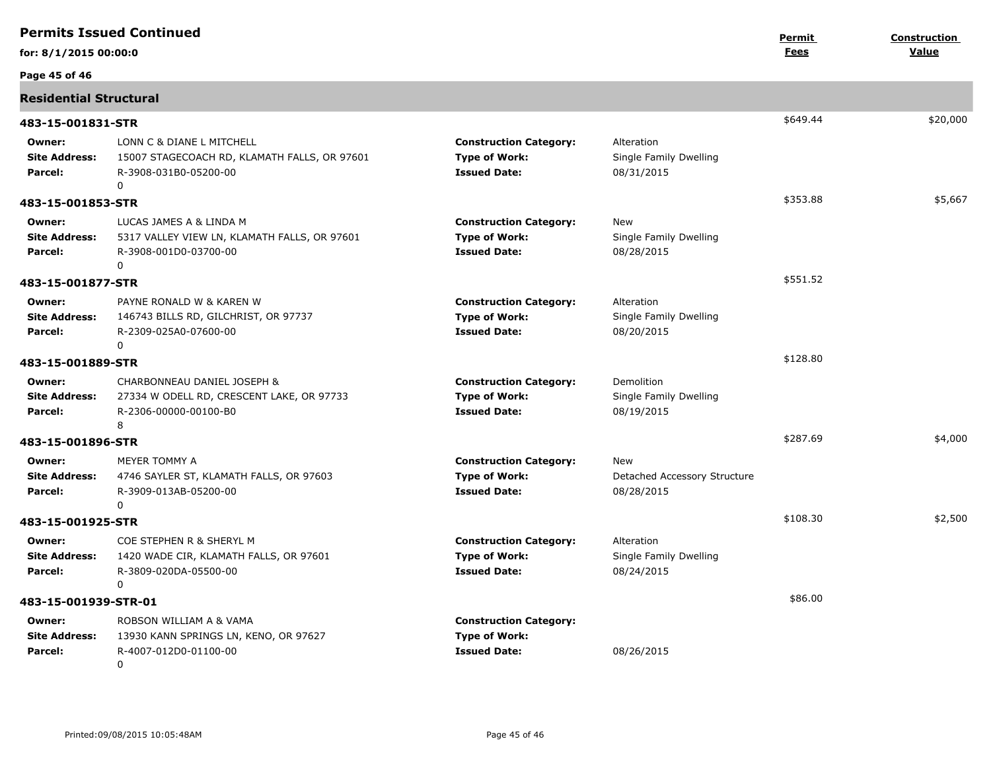| <b>Permits Issued Continued</b>           |                                                                                                           |                                                                              | Permit                                             | Construction |          |
|-------------------------------------------|-----------------------------------------------------------------------------------------------------------|------------------------------------------------------------------------------|----------------------------------------------------|--------------|----------|
| for: 8/1/2015 00:00:0                     |                                                                                                           |                                                                              |                                                    | Fees         | Value    |
| Page 45 of 46                             |                                                                                                           |                                                                              |                                                    |              |          |
| <b>Residential Structural</b>             |                                                                                                           |                                                                              |                                                    |              |          |
| 483-15-001831-STR                         |                                                                                                           |                                                                              |                                                    | \$649.44     | \$20,000 |
| Owner:<br><b>Site Address:</b><br>Parcel: | LONN C & DIANE L MITCHELL<br>15007 STAGECOACH RD, KLAMATH FALLS, OR 97601<br>R-3908-031B0-05200-00<br>0   | <b>Construction Category:</b><br><b>Type of Work:</b><br><b>Issued Date:</b> | Alteration<br>Single Family Dwelling<br>08/31/2015 |              |          |
| 483-15-001853-STR                         |                                                                                                           |                                                                              |                                                    | \$353.88     | \$5,667  |
| Owner:<br><b>Site Address:</b><br>Parcel: | LUCAS JAMES A & LINDA M<br>5317 VALLEY VIEW LN, KLAMATH FALLS, OR 97601<br>R-3908-001D0-03700-00<br>0     | <b>Construction Category:</b><br><b>Type of Work:</b><br><b>Issued Date:</b> | New<br>Single Family Dwelling<br>08/28/2015        |              |          |
| 483-15-001877-STR                         |                                                                                                           |                                                                              |                                                    | \$551.52     |          |
| Owner:<br><b>Site Address:</b><br>Parcel: | PAYNE RONALD W & KAREN W<br>146743 BILLS RD, GILCHRIST, OR 97737<br>R-2309-025A0-07600-00<br>$\mathbf{0}$ | <b>Construction Category:</b><br><b>Type of Work:</b><br><b>Issued Date:</b> | Alteration<br>Single Family Dwelling<br>08/20/2015 |              |          |
| 483-15-001889-STR                         |                                                                                                           |                                                                              |                                                    | \$128.80     |          |
| Owner:                                    | CHARBONNEAU DANIEL JOSEPH &                                                                               | <b>Construction Category:</b>                                                | Demolition                                         |              |          |
| <b>Site Address:</b><br>Parcel:           | 27334 W ODELL RD, CRESCENT LAKE, OR 97733<br>R-2306-00000-00100-B0<br>8                                   | <b>Type of Work:</b><br><b>Issued Date:</b>                                  | Single Family Dwelling<br>08/19/2015               |              |          |
| 483-15-001896-STR                         |                                                                                                           |                                                                              |                                                    | \$287.69     | \$4,000  |
| Owner:<br><b>Site Address:</b><br>Parcel: | MEYER TOMMY A<br>4746 SAYLER ST, KLAMATH FALLS, OR 97603<br>R-3909-013AB-05200-00<br>0                    | <b>Construction Category:</b><br><b>Type of Work:</b><br><b>Issued Date:</b> | New<br>Detached Accessory Structure<br>08/28/2015  |              |          |
| 483-15-001925-STR                         |                                                                                                           |                                                                              |                                                    | \$108.30     | \$2,500  |
| Owner:<br><b>Site Address:</b><br>Parcel: | COE STEPHEN R & SHERYL M<br>1420 WADE CIR, KLAMATH FALLS, OR 97601<br>R-3809-020DA-05500-00<br>0          | <b>Construction Category:</b><br><b>Type of Work:</b><br><b>Issued Date:</b> | Alteration<br>Single Family Dwelling<br>08/24/2015 |              |          |
| 483-15-001939-STR-01                      |                                                                                                           |                                                                              |                                                    | \$86.00      |          |
| Owner:<br><b>Site Address:</b><br>Parcel: | ROBSON WILLIAM A & VAMA<br>13930 KANN SPRINGS LN, KENO, OR 97627<br>R-4007-012D0-01100-00<br>0            | <b>Construction Category:</b><br><b>Type of Work:</b><br><b>Issued Date:</b> | 08/26/2015                                         |              |          |